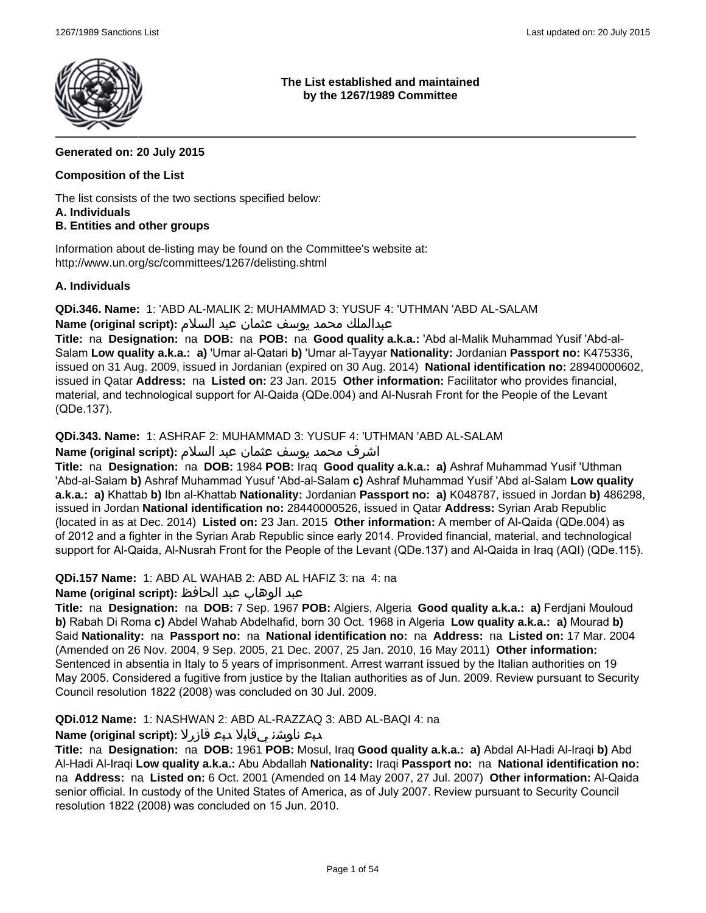

**The List established and maintained by the 1267/1989 Committee**

### **Generated on: 20 July 2015**

### **Composition of the List**

The list consists of the two sections specified below: **A. Individuals**

### **B. Entities and other groups**

Information about de-listing may be found on the Committee's website at: http://www.un.org/sc/committees/1267/delisting.shtml

### **A. Individuals**

**QDi.346. Name:** 1: 'ABD AL-MALIK 2: MUHAMMAD 3: YUSUF 4: 'UTHMAN 'ABD AL-SALAM عبدالملك محمد يوسف عثمان عبد السلام **:(script original (Name**

**Title:** na **Designation:** na **DOB:** na **POB:** na **Good quality a.k.a.:** 'Abd al-Malik Muhammad Yusif 'Abd-al-Salam **Low quality a.k.a.: a)** 'Umar al-Qatari **b)** 'Umar al-Tayyar **Nationality:** Jordanian **Passport no:** K475336, issued on 31 Aug. 2009, issued in Jordanian (expired on 30 Aug. 2014) **National identification no:** 28940000602, issued in Qatar **Address:** na **Listed on:** 23 Jan. 2015 **Other information:** Facilitator who provides financial,

material, and technological support for Al-Qaida (QDe.004) and Al-Nusrah Front for the People of the Levant (QDe.137).

**QDi.343. Name:** 1: ASHRAF 2: MUHAMMAD 3: YUSUF 4: 'UTHMAN 'ABD AL-SALAM

اشرف محمد يوسف عثمان عبد السلام **:(script original (Name**

**Title:** na **Designation:** na **DOB:** 1984 **POB:** Iraq **Good quality a.k.a.: a)** Ashraf Muhammad Yusif 'Uthman 'Abd-al-Salam **b)** Ashraf Muhammad Yusuf 'Abd-al-Salam **c)** Ashraf Muhammad Yusif 'Abd al-Salam **Low quality a.k.a.: a)** Khattab **b)** Ibn al-Khattab **Nationality:** Jordanian **Passport no: a)** K048787, issued in Jordan **b)** 486298, issued in Jordan **National identification no:** 28440000526, issued in Qatar **Address:** Syrian Arab Republic (located in as at Dec. 2014) **Listed on:** 23 Jan. 2015 **Other information:** A member of Al-Qaida (QDe.004) as of 2012 and a fighter in the Syrian Arab Republic since early 2014. Provided financial, material, and technological support for Al-Qaida, Al-Nusrah Front for the People of the Levant (QDe.137) and Al-Qaida in Iraq (AQI) (QDe.115).

**QDi.157 Name:** 1: ABD AL WAHAB 2: ABD AL HAFIZ 3: na 4: na

### عبد الوهاب عبد الحافظ **:(script original (Name**

**Title:** na **Designation:** na **DOB:** 7 Sep. 1967 **POB:** Algiers, Algeria **Good quality a.k.a.: a)** Ferdjani Mouloud **b)** Rabah Di Roma **c)** Abdel Wahab Abdelhafid, born 30 Oct. 1968 in Algeria **Low quality a.k.a.: a)** Mourad **b)** Said **Nationality:** na **Passport no:** na **National identification no:** na **Address:** na **Listed on:** 17 Mar. 2004 (Amended on 26 Nov. 2004, 9 Sep. 2005, 21 Dec. 2007, 25 Jan. 2010, 16 May 2011) **Other information:** Sentenced in absentia in Italy to 5 years of imprisonment. Arrest warrant issued by the Italian authorities on 19 May 2005. Considered a fugitive from justice by the Italian authorities as of Jun. 2009. Review pursuant to Security Council resolution 1822 (2008) was concluded on 30 Jul. 2009.

#### **QDi.012 Name:** 1: NASHWAN 2: ABD AL-RAZZAQ 3: ABD AL-BAQI 4: na

### دبع ناوشن يقابلا دبع قازرلا **:(script original (Name**

**Title:** na **Designation:** na **DOB:** 1961 **POB:** Mosul, Iraq **Good quality a.k.a.: a)** Abdal Al-Hadi Al-Iraqi **b)** Abd Al-Hadi Al-Iraqi **Low quality a.k.a.:** Abu Abdallah **Nationality:** Iraqi **Passport no:** na **National identification no:**  na **Address:** na **Listed on:** 6 Oct. 2001 (Amended on 14 May 2007, 27 Jul. 2007) **Other information:** Al-Qaida senior official. In custody of the United States of America, as of July 2007. Review pursuant to Security Council resolution 1822 (2008) was concluded on 15 Jun. 2010.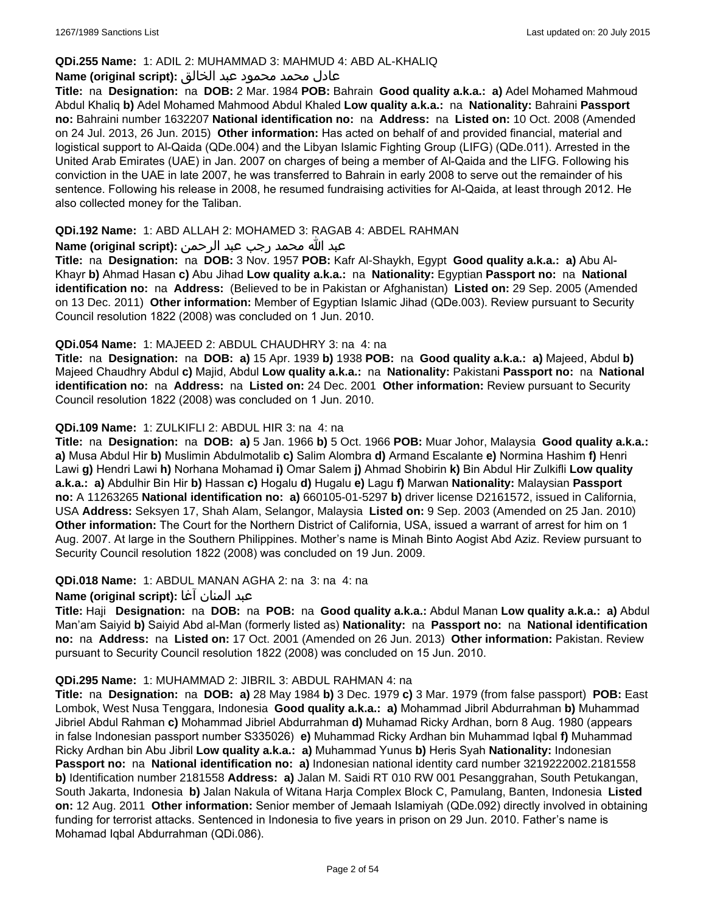### **QDi.255 Name:** 1: ADIL 2: MUHAMMAD 3: MAHMUD 4: ABD AL-KHALIQ

### عادل محمد محمود عبد الخالق **:(script original (Name**

**Title:** na **Designation:** na **DOB:** 2 Mar. 1984 **POB:** Bahrain **Good quality a.k.a.: a)** Adel Mohamed Mahmoud Abdul Khaliq **b)** Adel Mohamed Mahmood Abdul Khaled **Low quality a.k.a.:** na **Nationality:** Bahraini **Passport no:** Bahraini number 1632207 **National identification no:** na **Address:** na **Listed on:** 10 Oct. 2008 (Amended on 24 Jul. 2013, 26 Jun. 2015) **Other information:** Has acted on behalf of and provided financial, material and logistical support to Al-Qaida (QDe.004) and the Libyan Islamic Fighting Group (LIFG) (QDe.011). Arrested in the United Arab Emirates (UAE) in Jan. 2007 on charges of being a member of Al-Qaida and the LIFG. Following his conviction in the UAE in late 2007, he was transferred to Bahrain in early 2008 to serve out the remainder of his sentence. Following his release in 2008, he resumed fundraising activities for Al-Qaida, at least through 2012. He also collected money for the Taliban.

### **QDi.192 Name:** 1: ABD ALLAH 2: MOHAMED 3: RAGAB 4: ABDEL RAHMAN

#### عبد الله محمد رجب عبد الرحمن **:(script original (Name**

**Title:** na **Designation:** na **DOB:** 3 Nov. 1957 **POB:** Kafr Al-Shaykh, Egypt **Good quality a.k.a.: a)** Abu Al-Khayr **b)** Ahmad Hasan **c)** Abu Jihad **Low quality a.k.a.:** na **Nationality:** Egyptian **Passport no:** na **National identification no:** na **Address:** (Believed to be in Pakistan or Afghanistan) **Listed on:** 29 Sep. 2005 (Amended on 13 Dec. 2011) **Other information:** Member of Egyptian Islamic Jihad (QDe.003). Review pursuant to Security Council resolution 1822 (2008) was concluded on 1 Jun. 2010.

### **QDi.054 Name:** 1: MAJEED 2: ABDUL CHAUDHRY 3: na 4: na

**Title:** na **Designation:** na **DOB: a)** 15 Apr. 1939 **b)** 1938 **POB:** na **Good quality a.k.a.: a)** Majeed, Abdul **b)** Majeed Chaudhry Abdul **c)** Majid, Abdul **Low quality a.k.a.:** na **Nationality:** Pakistani **Passport no:** na **National identification no:** na **Address:** na **Listed on:** 24 Dec. 2001 **Other information:** Review pursuant to Security Council resolution 1822 (2008) was concluded on 1 Jun. 2010.

### **QDi.109 Name:** 1: ZULKIFLI 2: ABDUL HIR 3: na 4: na

**Title:** na **Designation:** na **DOB: a)** 5 Jan. 1966 **b)** 5 Oct. 1966 **POB:** Muar Johor, Malaysia **Good quality a.k.a.: a)** Musa Abdul Hir **b)** Muslimin Abdulmotalib **c)** Salim Alombra **d)** Armand Escalante **e)** Normina Hashim **f)** Henri Lawi **g)** Hendri Lawi **h)** Norhana Mohamad **i)** Omar Salem **j)** Ahmad Shobirin **k)** Bin Abdul Hir Zulkifli **Low quality a.k.a.: a)** Abdulhir Bin Hir **b)** Hassan **c)** Hogalu **d)** Hugalu **e)** Lagu **f)** Marwan **Nationality:** Malaysian **Passport no:** A 11263265 **National identification no: a)** 660105-01-5297 **b)** driver license D2161572, issued in California, USA **Address:** Seksyen 17, Shah Alam, Selangor, Malaysia **Listed on:** 9 Sep. 2003 (Amended on 25 Jan. 2010) **Other information:** The Court for the Northern District of California, USA, issued a warrant of arrest for him on 1 Aug. 2007. At large in the Southern Philippines. Mother's name is Minah Binto Aogist Abd Aziz. Review pursuant to Security Council resolution 1822 (2008) was concluded on 19 Jun. 2009.

### **QDi.018 Name:** 1: ABDUL MANAN AGHA 2: na 3: na 4: na

## عبد المنان آغا **:(script original (Name**

**Title:** Haji **Designation:** na **DOB:** na **POB:** na **Good quality a.k.a.:** Abdul Manan **Low quality a.k.a.: a)** Abdul Man'am Saiyid **b)** Saiyid Abd al-Man (formerly listed as) **Nationality:** na **Passport no:** na **National identification no:** na **Address:** na **Listed on:** 17 Oct. 2001 (Amended on 26 Jun. 2013) **Other information:** Pakistan. Review pursuant to Security Council resolution 1822 (2008) was concluded on 15 Jun. 2010.

#### **QDi.295 Name:** 1: MUHAMMAD 2: JIBRIL 3: ABDUL RAHMAN 4: na

**Title:** na **Designation:** na **DOB: a)** 28 May 1984 **b)** 3 Dec. 1979 **c)** 3 Mar. 1979 (from false passport) **POB:** East Lombok, West Nusa Tenggara, Indonesia **Good quality a.k.a.: a)** Mohammad Jibril Abdurrahman **b)** Muhammad Jibriel Abdul Rahman **c)** Mohammad Jibriel Abdurrahman **d)** Muhamad Ricky Ardhan, born 8 Aug. 1980 (appears in false Indonesian passport number S335026) **e)** Muhammad Ricky Ardhan bin Muhammad Iqbal **f)** Muhammad Ricky Ardhan bin Abu Jibril **Low quality a.k.a.: a)** Muhammad Yunus **b)** Heris Syah **Nationality:** Indonesian **Passport no:** na **National identification no: a)** Indonesian national identity card number 3219222002.2181558 **b)** Identification number 2181558 **Address: a)** Jalan M. Saidi RT 010 RW 001 Pesanggrahan, South Petukangan, South Jakarta, Indonesia **b)** Jalan Nakula of Witana Harja Complex Block C, Pamulang, Banten, Indonesia **Listed on:** 12 Aug. 2011 **Other information:** Senior member of Jemaah Islamiyah (QDe.092) directly involved in obtaining funding for terrorist attacks. Sentenced in Indonesia to five years in prison on 29 Jun. 2010. Father's name is Mohamad Iqbal Abdurrahman (QDi.086).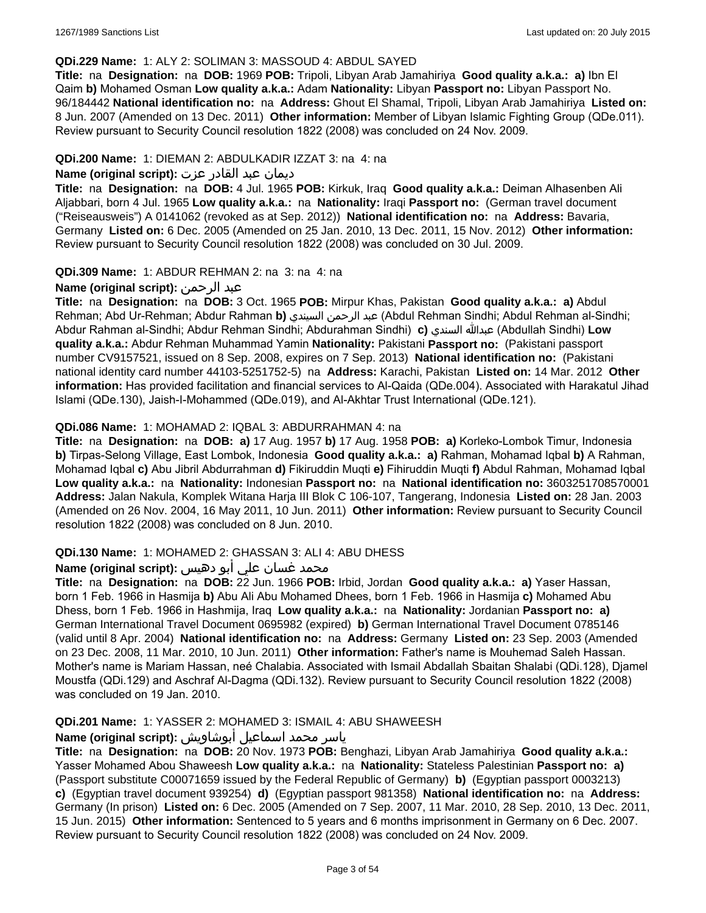### **QDi.229 Name:** 1: ALY 2: SOLIMAN 3: MASSOUD 4: ABDUL SAYED

**Title:** na **Designation:** na **DOB:** 1969 **POB:** Tripoli, Libyan Arab Jamahiriya **Good quality a.k.a.: a)** Ibn El Qaim **b)** Mohamed Osman **Low quality a.k.a.:** Adam **Nationality:** Libyan **Passport no:** Libyan Passport No. 96/184442 **National identification no:** na **Address:** Ghout El Shamal, Tripoli, Libyan Arab Jamahiriya **Listed on:** 8 Jun. 2007 (Amended on 13 Dec. 2011) **Other information:** Member of Libyan Islamic Fighting Group (QDe.011). Review pursuant to Security Council resolution 1822 (2008) was concluded on 24 Nov. 2009.

#### **QDi.200 Name:** 1: DIEMAN 2: ABDULKADIR IZZAT 3: na 4: na

### ديمان عبد القادر عزت **:(script original (Name**

**Title:** na **Designation:** na **DOB:** 4 Jul. 1965 **POB:** Kirkuk, Iraq **Good quality a.k.a.:** Deiman Alhasenben Ali Aljabbari, born 4 Jul. 1965 **Low quality a.k.a.:** na **Nationality:** Iraqi **Passport no:** (German travel document ("Reiseausweis") A 0141062 (revoked as at Sep. 2012)) **National identification no:** na **Address:** Bavaria, Germany **Listed on:** 6 Dec. 2005 (Amended on 25 Jan. 2010, 13 Dec. 2011, 15 Nov. 2012) **Other information:** Review pursuant to Security Council resolution 1822 (2008) was concluded on 30 Jul. 2009.

### **QDi.309 Name:** 1: ABDUR REHMAN 2: na 3: na 4: na

### **Name (original script):** الرحمن عبد

**Title:** na **Designation:** na **DOB:** 3 Oct. 1965 **POB:** Mirpur Khas, Pakistan **Good quality a.k.a.: a)** Abdul Rehman; Abd Ur-Rehman; Abdur Rahman **b)** السيندي الرحمن عبد) Abdul Rehman Sindhi; Abdul Rehman al-Sindhi; Abdur Rahman al-Sindhi; Abdur Rehman Sindhi; Abdurahman Sindhi) **c)** السندي عبدالله) Abdullah Sindhi) **Low quality a.k.a.:** Abdur Rehman Muhammad Yamin **Nationality:** Pakistani **Passport no:** (Pakistani passport number CV9157521, issued on 8 Sep. 2008, expires on 7 Sep. 2013) **National identification no:** (Pakistani national identity card number 44103-5251752-5) na **Address:** Karachi, Pakistan **Listed on:** 14 Mar. 2012 **Other information:** Has provided facilitation and financial services to Al-Qaida (QDe.004). Associated with Harakatul Jihad Islami (QDe.130), Jaish-I-Mohammed (QDe.019), and Al-Akhtar Trust International (QDe.121).

### **QDi.086 Name:** 1: MOHAMAD 2: IQBAL 3: ABDURRAHMAN 4: na

**Title:** na **Designation:** na **DOB: a)** 17 Aug. 1957 **b)** 17 Aug. 1958 **POB: a)** Korleko-Lombok Timur, Indonesia **b)** Tirpas-Selong Village, East Lombok, Indonesia **Good quality a.k.a.: a)** Rahman, Mohamad Iqbal **b)** A Rahman, Mohamad Iqbal **c)** Abu Jibril Abdurrahman **d)** Fikiruddin Muqti **e)** Fihiruddin Muqti **f)** Abdul Rahman, Mohamad Iqbal **Low quality a.k.a.:** na **Nationality:** Indonesian **Passport no:** na **National identification no:** 3603251708570001 **Address:** Jalan Nakula, Komplek Witana Harja III Blok C 106-107, Tangerang, Indonesia **Listed on:** 28 Jan. 2003 (Amended on 26 Nov. 2004, 16 May 2011, 10 Jun. 2011) **Other information:** Review pursuant to Security Council resolution 1822 (2008) was concluded on 8 Jun. 2010.

#### **QDi.130 Name:** 1: MOHAMED 2: GHASSAN 3: ALI 4: ABU DHESS

### محمد غسان علي أبو دهيس :**Name (original script**)

**Title:** na **Designation:** na **DOB:** 22 Jun. 1966 **POB:** Irbid, Jordan **Good quality a.k.a.: a)** Yaser Hassan, born 1 Feb. 1966 in Hasmija **b)** Abu Ali Abu Mohamed Dhees, born 1 Feb. 1966 in Hasmija **c)** Mohamed Abu Dhess, born 1 Feb. 1966 in Hashmija, Iraq **Low quality a.k.a.:** na **Nationality:** Jordanian **Passport no: a)** German International Travel Document 0695982 (expired) **b)** German International Travel Document 0785146 (valid until 8 Apr. 2004) **National identification no:** na **Address:** Germany **Listed on:** 23 Sep. 2003 (Amended on 23 Dec. 2008, 11 Mar. 2010, 10 Jun. 2011) **Other information:** Father's name is Mouhemad Saleh Hassan. Mother's name is Mariam Hassan, neé Chalabia. Associated with Ismail Abdallah Sbaitan Shalabi (QDi.128), Djamel Moustfa (QDi.129) and Aschraf Al-Dagma (QDi.132). Review pursuant to Security Council resolution 1822 (2008) was concluded on 19 Jan. 2010.

#### **QDi.201 Name:** 1: YASSER 2: MOHAMED 3: ISMAIL 4: ABU SHAWEESH

#### ياسر محمد اسماعيل أبوشاويش **:(script original (Name**

**Title:** na **Designation:** na **DOB:** 20 Nov. 1973 **POB:** Benghazi, Libyan Arab Jamahiriya **Good quality a.k.a.:** Yasser Mohamed Abou Shaweesh **Low quality a.k.a.:** na **Nationality:** Stateless Palestinian **Passport no: a)**  (Passport substitute C00071659 issued by the Federal Republic of Germany) **b)** (Egyptian passport 0003213) **c)** (Egyptian travel document 939254) **d)** (Egyptian passport 981358) **National identification no:** na **Address:** Germany (In prison) **Listed on:** 6 Dec. 2005 (Amended on 7 Sep. 2007, 11 Mar. 2010, 28 Sep. 2010, 13 Dec. 2011, 15 Jun. 2015) **Other information:** Sentenced to 5 years and 6 months imprisonment in Germany on 6 Dec. 2007. Review pursuant to Security Council resolution 1822 (2008) was concluded on 24 Nov. 2009.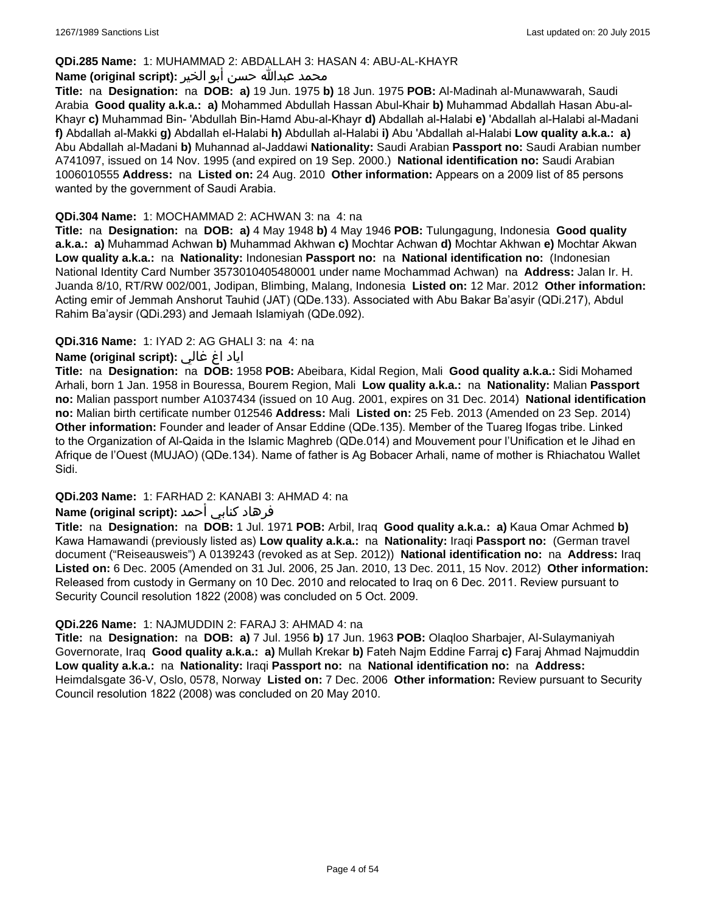### **QDi.285 Name:** 1: MUHAMMAD 2: ABDALLAH 3: HASAN 4: ABU-AL-KHAYR

#### محمد عبدالله حسن أبو الخير **:Name (original script**)

**Title:** na **Designation:** na **DOB: a)** 19 Jun. 1975 **b)** 18 Jun. 1975 **POB:** Al-Madinah al-Munawwarah, Saudi Arabia **Good quality a.k.a.: a)** Mohammed Abdullah Hassan Abul-Khair **b)** Muhammad Abdallah Hasan Abu-al-Khayr **c)** Muhammad Bin- 'Abdullah Bin-Hamd Abu-al-Khayr **d)** Abdallah al-Halabi **e)** 'Abdallah al-Halabi al-Madani **f)** Abdallah al-Makki **g)** Abdallah el-Halabi **h)** Abdullah al-Halabi **i)** Abu 'Abdallah al-Halabi **Low quality a.k.a.: a)** Abu Abdallah al-Madani **b)** Muhannad al-Jaddawi **Nationality:** Saudi Arabian **Passport no:** Saudi Arabian number A741097, issued on 14 Nov. 1995 (and expired on 19 Sep. 2000.) **National identification no:** Saudi Arabian 1006010555 **Address:** na **Listed on:** 24 Aug. 2010 **Other information:** Appears on a 2009 list of 85 persons wanted by the government of Saudi Arabia.

### **QDi.304 Name:** 1: MOCHAMMAD 2: ACHWAN 3: na 4: na

**Title:** na **Designation:** na **DOB: a)** 4 May 1948 **b)** 4 May 1946 **POB:** Tulungagung, Indonesia **Good quality a.k.a.: a)** Muhammad Achwan **b)** Muhammad Akhwan **c)** Mochtar Achwan **d)** Mochtar Akhwan **e)** Mochtar Akwan **Low quality a.k.a.:** na **Nationality:** Indonesian **Passport no:** na **National identification no:** (Indonesian National Identity Card Number 3573010405480001 under name Mochammad Achwan) na **Address:** Jalan Ir. H. Juanda 8/10, RT/RW 002/001, Jodipan, Blimbing, Malang, Indonesia **Listed on:** 12 Mar. 2012 **Other information:** Acting emir of Jemmah Anshorut Tauhid (JAT) (QDe.133). Associated with Abu Bakar Ba'asyir (QDi.217), Abdul Rahim Ba'aysir (QDi.293) and Jemaah Islamiyah (QDe.092).

### **QDi.316 Name:** 1: IYAD 2: AG GHALI 3: na 4: na

### اياد اغ غالي **:(script original (Name**

**Title:** na **Designation:** na **DOB:** 1958 **POB:** Abeibara, Kidal Region, Mali **Good quality a.k.a.:** Sidi Mohamed Arhali, born 1 Jan. 1958 in Bouressa, Bourem Region, Mali **Low quality a.k.a.:** na **Nationality:** Malian **Passport no:** Malian passport number A1037434 (issued on 10 Aug. 2001, expires on 31 Dec. 2014) **National identification no:** Malian birth certificate number 012546 **Address:** Mali **Listed on:** 25 Feb. 2013 (Amended on 23 Sep. 2014) **Other information:** Founder and leader of Ansar Eddine (QDe.135). Member of the Tuareg Ifogas tribe. Linked to the Organization of Al-Qaida in the Islamic Maghreb (QDe.014) and Mouvement pour l'Unification et le Jihad en Afrique de l'Ouest (MUJAO) (QDe.134). Name of father is Ag Bobacer Arhali, name of mother is Rhiachatou Wallet Sidi.

### **QDi.203 Name:** 1: FARHAD 2: KANABI 3: AHMAD 4: na

### فرهاد كنابي أحمد **:(script original (Name**

**Title:** na **Designation:** na **DOB:** 1 Jul. 1971 **POB:** Arbil, Iraq **Good quality a.k.a.: a)** Kaua Omar Achmed **b)** Kawa Hamawandi (previously listed as) **Low quality a.k.a.:** na **Nationality:** Iraqi **Passport no:** (German travel document ("Reiseausweis") A 0139243 (revoked as at Sep. 2012)) **National identification no:** na **Address:** Iraq **Listed on:** 6 Dec. 2005 (Amended on 31 Jul. 2006, 25 Jan. 2010, 13 Dec. 2011, 15 Nov. 2012) **Other information:** Released from custody in Germany on 10 Dec. 2010 and relocated to Iraq on 6 Dec. 2011. Review pursuant to Security Council resolution 1822 (2008) was concluded on 5 Oct. 2009.

### **QDi.226 Name:** 1: NAJMUDDIN 2: FARAJ 3: AHMAD 4: na

**Title:** na **Designation:** na **DOB: a)** 7 Jul. 1956 **b)** 17 Jun. 1963 **POB:** Olaqloo Sharbajer, Al-Sulaymaniyah Governorate, Iraq **Good quality a.k.a.: a)** Mullah Krekar **b)** Fateh Najm Eddine Farraj **c)** Faraj Ahmad Najmuddin **Low quality a.k.a.:** na **Nationality:** Iraqi **Passport no:** na **National identification no:** na **Address:** Heimdalsgate 36-V, Oslo, 0578, Norway **Listed on:** 7 Dec. 2006 **Other information:** Review pursuant to Security Council resolution 1822 (2008) was concluded on 20 May 2010.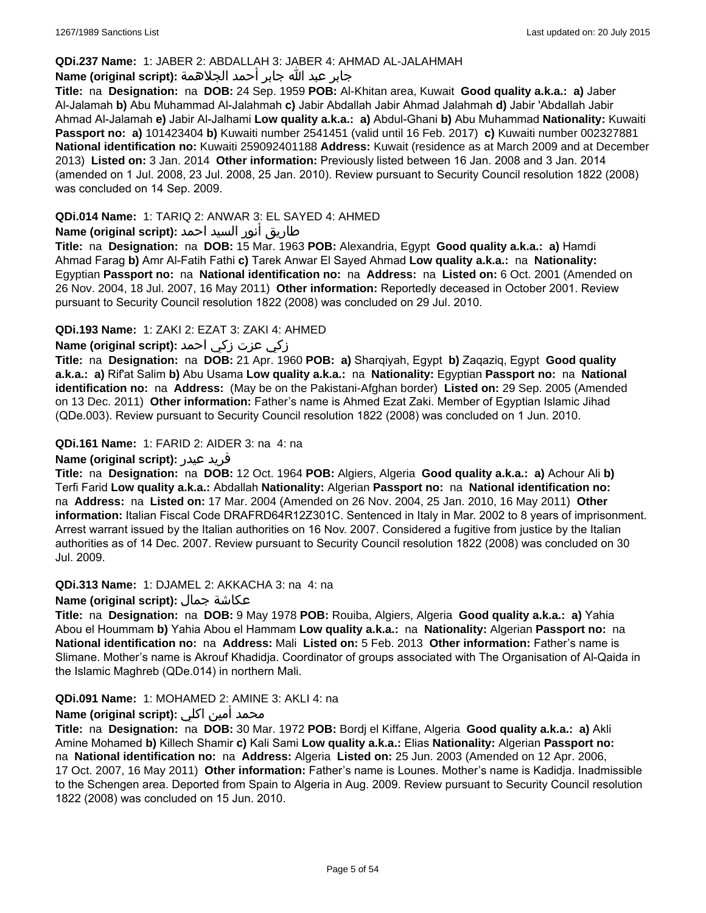### **QDi.237 Name:** 1: JABER 2: ABDALLAH 3: JABER 4: AHMAD AL-JALAHMAH

## جابر عبد الله جابر أحمد الجلاهمة **:(script original (Name**

**Title:** na **Designation:** na **DOB:** 24 Sep. 1959 **POB:** Al-Khitan area, Kuwait **Good quality a.k.a.: a)** Jaber Al-Jalamah **b)** Abu Muhammad Al-Jalahmah **c)** Jabir Abdallah Jabir Ahmad Jalahmah **d)** Jabir 'Abdallah Jabir Ahmad Al-Jalamah **e)** Jabir Al-Jalhami **Low quality a.k.a.: a)** Abdul-Ghani **b)** Abu Muhammad **Nationality:** Kuwaiti **Passport no: a)** 101423404 **b)** Kuwaiti number 2541451 (valid until 16 Feb. 2017) **c)** Kuwaiti number 002327881 **National identification no:** Kuwaiti 259092401188 **Address:** Kuwait (residence as at March 2009 and at December 2013) **Listed on:** 3 Jan. 2014 **Other information:** Previously listed between 16 Jan. 2008 and 3 Jan. 2014 (amended on 1 Jul. 2008, 23 Jul. 2008, 25 Jan. 2010). Review pursuant to Security Council resolution 1822 (2008) was concluded on 14 Sep. 2009.

### **QDi.014 Name:** 1: TARIQ 2: ANWAR 3: EL SAYED 4: AHMED

# طاريق أنور السيد احمد **:Name (original script)**

**Title:** na **Designation:** na **DOB:** 15 Mar. 1963 **POB:** Alexandria, Egypt **Good quality a.k.a.: a)** Hamdi Ahmad Farag **b)** Amr Al-Fatih Fathi **c)** Tarek Anwar El Sayed Ahmad **Low quality a.k.a.:** na **Nationality:** Egyptian **Passport no:** na **National identification no:** na **Address:** na **Listed on:** 6 Oct. 2001 (Amended on 26 Nov. 2004, 18 Jul. 2007, 16 May 2011) **Other information:** Reportedly deceased in October 2001. Review pursuant to Security Council resolution 1822 (2008) was concluded on 29 Jul. 2010.

### **QDi.193 Name:** 1: ZAKI 2: EZAT 3: ZAKI 4: AHMED

### زكي عزت زكي احمد **:(script original (Name**

**Title:** na **Designation:** na **DOB:** 21 Apr. 1960 **POB: a)** Sharqiyah, Egypt **b)** Zaqaziq, Egypt **Good quality a.k.a.: a)** Rif'at Salim **b)** Abu Usama **Low quality a.k.a.:** na **Nationality:** Egyptian **Passport no:** na **National identification no:** na **Address:** (May be on the Pakistani-Afghan border) **Listed on:** 29 Sep. 2005 (Amended on 13 Dec. 2011) **Other information:** Father's name is Ahmed Ezat Zaki. Member of Egyptian Islamic Jihad (QDe.003). Review pursuant to Security Council resolution 1822 (2008) was concluded on 1 Jun. 2010.

### **QDi.161 Name:** 1: FARID 2: AIDER 3: na 4: na

#### **Name (original script):** عيدر فريد

**Title:** na **Designation:** na **DOB:** 12 Oct. 1964 **POB:** Algiers, Algeria **Good quality a.k.a.: a)** Achour Ali **b)** Terfi Farid **Low quality a.k.a.:** Abdallah **Nationality:** Algerian **Passport no:** na **National identification no:**  na **Address:** na **Listed on:** 17 Mar. 2004 (Amended on 26 Nov. 2004, 25 Jan. 2010, 16 May 2011) **Other information:** Italian Fiscal Code DRAFRD64R12Z301C. Sentenced in Italy in Mar. 2002 to 8 years of imprisonment. Arrest warrant issued by the Italian authorities on 16 Nov. 2007. Considered a fugitive from justice by the Italian authorities as of 14 Dec. 2007. Review pursuant to Security Council resolution 1822 (2008) was concluded on 30 Jul. 2009.

#### **QDi.313 Name:** 1: DJAMEL 2: AKKACHA 3: na 4: na

#### **Name (original script):** جمال عكاشة

**Title:** na **Designation:** na **DOB:** 9 May 1978 **POB:** Rouiba, Algiers, Algeria **Good quality a.k.a.: a)** Yahia Abou el Hoummam **b)** Yahia Abou el Hammam **Low quality a.k.a.:** na **Nationality:** Algerian **Passport no:** na **National identification no:** na **Address:** Mali **Listed on:** 5 Feb. 2013 **Other information:** Father's name is Slimane. Mother's name is Akrouf Khadidja. Coordinator of groups associated with The Organisation of Al-Qaida in the Islamic Maghreb (QDe.014) in northern Mali.

#### **QDi.091 Name:** 1: MOHAMED 2: AMINE 3: AKLI 4: na

### محمد أمين اكلي **:Name (original script)**

**Title:** na **Designation:** na **DOB:** 30 Mar. 1972 **POB:** Bordj el Kiffane, Algeria **Good quality a.k.a.: a)** Akli Amine Mohamed **b)** Killech Shamir **c)** Kali Sami **Low quality a.k.a.:** Elias **Nationality:** Algerian **Passport no:**  na **National identification no:** na **Address:** Algeria **Listed on:** 25 Jun. 2003 (Amended on 12 Apr. 2006, 17 Oct. 2007, 16 May 2011) **Other information:** Father's name is Lounes. Mother's name is Kadidja. Inadmissible to the Schengen area. Deported from Spain to Algeria in Aug. 2009. Review pursuant to Security Council resolution 1822 (2008) was concluded on 15 Jun. 2010.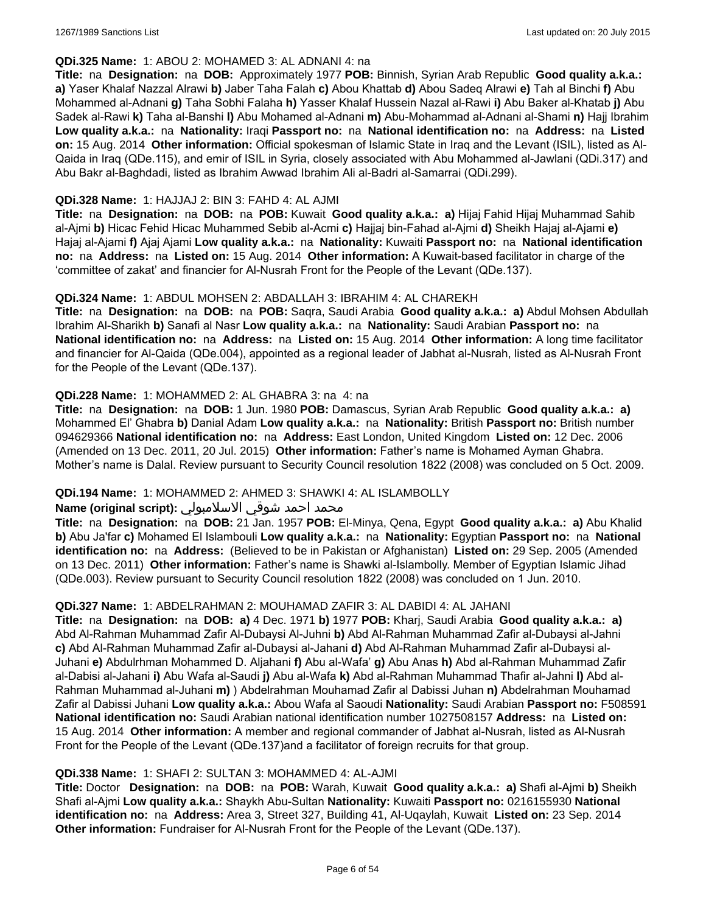### **QDi.325 Name:** 1: ABOU 2: MOHAMED 3: AL ADNANI 4: na

**Title:** na **Designation:** na **DOB:** Approximately 1977 **POB:** Binnish, Syrian Arab Republic **Good quality a.k.a.: a)** Yaser Khalaf Nazzal Alrawi **b)** Jaber Taha Falah **c)** Abou Khattab **d)** Abou Sadeq Alrawi **e)** Tah al Binchi **f)** Abu Mohammed al-Adnani **g)** Taha Sobhi Falaha **h)** Yasser Khalaf Hussein Nazal al-Rawi **i)** Abu Baker al-Khatab **j)** Abu Sadek al-Rawi **k)** Taha al-Banshi **l)** Abu Mohamed al-Adnani **m)** Abu-Mohammad al-Adnani al-Shami **n)** Hajj Ibrahim **Low quality a.k.a.:** na **Nationality:** Iraqi **Passport no:** na **National identification no:** na **Address:** na **Listed on:** 15 Aug. 2014 **Other information:** Official spokesman of Islamic State in Iraq and the Levant (ISIL), listed as Al-Qaida in Iraq (QDe.115), and emir of ISIL in Syria, closely associated with Abu Mohammed al-Jawlani (QDi.317) and Abu Bakr al-Baghdadi, listed as Ibrahim Awwad Ibrahim Ali al-Badri al-Samarrai (QDi.299).

### **QDi.328 Name:** 1: HAJJAJ 2: BIN 3: FAHD 4: AL AJMI

**Title:** na **Designation:** na **DOB:** na **POB:** Kuwait **Good quality a.k.a.: a)** Hijaj Fahid Hijaj Muhammad Sahib al-Ajmi **b)** Hicac Fehid Hicac Muhammed Sebib al-Acmi **c)** Hajjaj bin-Fahad al-Ajmi **d)** Sheikh Hajaj al-Ajami **e)** Hajaj al-Ajami **f)** Ajaj Ajami **Low quality a.k.a.:** na **Nationality:** Kuwaiti **Passport no:** na **National identification no:** na **Address:** na **Listed on:** 15 Aug. 2014 **Other information:** A Kuwait-based facilitator in charge of the 'committee of zakat' and financier for Al-Nusrah Front for the People of the Levant (QDe.137).

### **QDi.324 Name:** 1: ABDUL MOHSEN 2: ABDALLAH 3: IBRAHIM 4: AL CHAREKH

**Title:** na **Designation:** na **DOB:** na **POB:** Saqra, Saudi Arabia **Good quality a.k.a.: a)** Abdul Mohsen Abdullah Ibrahim Al-Sharikh **b)** Sanafi al Nasr **Low quality a.k.a.:** na **Nationality:** Saudi Arabian **Passport no:** na **National identification no:** na **Address:** na **Listed on:** 15 Aug. 2014 **Other information:** A long time facilitator and financier for Al-Qaida (QDe.004), appointed as a regional leader of Jabhat al-Nusrah, listed as Al-Nusrah Front for the People of the Levant (QDe.137).

### **QDi.228 Name:** 1: MOHAMMED 2: AL GHABRA 3: na 4: na

**Title:** na **Designation:** na **DOB:** 1 Jun. 1980 **POB:** Damascus, Syrian Arab Republic **Good quality a.k.a.: a)** Mohammed El' Ghabra **b)** Danial Adam **Low quality a.k.a.:** na **Nationality:** British **Passport no:** British number 094629366 **National identification no:** na **Address:** East London, United Kingdom **Listed on:** 12 Dec. 2006 (Amended on 13 Dec. 2011, 20 Jul. 2015) **Other information:** Father's name is Mohamed Ayman Ghabra. Mother's name is Dalal. Review pursuant to Security Council resolution 1822 (2008) was concluded on 5 Oct. 2009.

#### **QDi.194 Name:** 1: MOHAMMED 2: AHMED 3: SHAWKI 4: AL ISLAMBOLLY

#### محمد احمد شوقي الاسلامبولي **:Name (original script)**

**Title:** na **Designation:** na **DOB:** 21 Jan. 1957 **POB:** El-Minya, Qena, Egypt **Good quality a.k.a.: a)** Abu Khalid **b)** Abu Ja'far **c)** Mohamed El Islambouli **Low quality a.k.a.:** na **Nationality:** Egyptian **Passport no:** na **National identification no:** na **Address:** (Believed to be in Pakistan or Afghanistan) **Listed on:** 29 Sep. 2005 (Amended on 13 Dec. 2011) **Other information:** Father's name is Shawki al-Islambolly. Member of Egyptian Islamic Jihad (QDe.003). Review pursuant to Security Council resolution 1822 (2008) was concluded on 1 Jun. 2010.

#### **QDi.327 Name:** 1: ABDELRAHMAN 2: MOUHAMAD ZAFIR 3: AL DABIDI 4: AL JAHANI

**Title:** na **Designation:** na **DOB: a)** 4 Dec. 1971 **b)** 1977 **POB:** Kharj, Saudi Arabia **Good quality a.k.a.: a)** Abd Al-Rahman Muhammad Zafir Al-Dubaysi Al-Juhni **b)** Abd Al-Rahman Muhammad Zafir al-Dubaysi al-Jahni **c)** Abd Al-Rahman Muhammad Zafir al-Dubaysi al-Jahani **d)** Abd Al-Rahman Muhammad Zafir al-Dubaysi al-Juhani **e)** Abdulrhman Mohammed D. Aljahani **f)** Abu al-Wafa' **g)** Abu Anas **h)** Abd al-Rahman Muhammad Zafir al-Dabisi al-Jahani **i)** Abu Wafa al-Saudi **j)** Abu al-Wafa **k)** Abd al-Rahman Muhammad Thafir al-Jahni **l)** Abd al-Rahman Muhammad al-Juhani **m)** ) Abdelrahman Mouhamad Zafir al Dabissi Juhan **n)** Abdelrahman Mouhamad Zafir al Dabissi Juhani **Low quality a.k.a.:** Abou Wafa al Saoudi **Nationality:** Saudi Arabian **Passport no:** F508591 **National identification no:** Saudi Arabian national identification number 1027508157 **Address:** na **Listed on:** 15 Aug. 2014 **Other information:** A member and regional commander of Jabhat al-Nusrah, listed as Al-Nusrah Front for the People of the Levant (QDe.137)and a facilitator of foreign recruits for that group.

#### **QDi.338 Name:** 1: SHAFI 2: SULTAN 3: MOHAMMED 4: AL-AJMI

**Title:** Doctor **Designation:** na **DOB:** na **POB:** Warah, Kuwait **Good quality a.k.a.: a)** Shafi al-Ajmi **b)** Sheikh Shafi al-Ajmi **Low quality a.k.a.:** Shaykh Abu-Sultan **Nationality:** Kuwaiti **Passport no:** 0216155930 **National identification no:** na **Address:** Area 3, Street 327, Building 41, Al-Uqaylah, Kuwait **Listed on:** 23 Sep. 2014 **Other information:** Fundraiser for Al-Nusrah Front for the People of the Levant (QDe.137).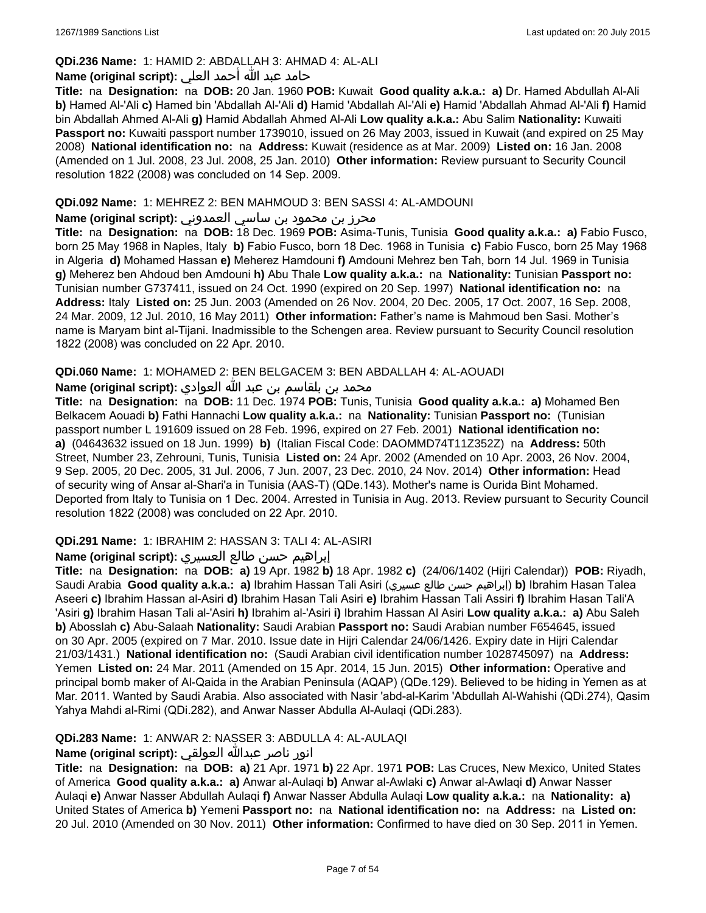### **QDi.236 Name:** 1: HAMID 2: ABDALLAH 3: AHMAD 4: AL-ALI

### حامد عبد الله أحمد العلي **:(script original (Name**

**Title:** na **Designation:** na **DOB:** 20 Jan. 1960 **POB:** Kuwait **Good quality a.k.a.: a)** Dr. Hamed Abdullah Al-Ali **b)** Hamed Al-'Ali **c)** Hamed bin 'Abdallah Al-'Ali **d)** Hamid 'Abdallah Al-'Ali **e)** Hamid 'Abdallah Ahmad Al-'Ali **f)** Hamid bin Abdallah Ahmed Al-Ali **g)** Hamid Abdallah Ahmed Al-Ali **Low quality a.k.a.:** Abu Salim **Nationality:** Kuwaiti **Passport no:** Kuwaiti passport number 1739010, issued on 26 May 2003, issued in Kuwait (and expired on 25 May 2008) **National identification no:** na **Address:** Kuwait (residence as at Mar. 2009) **Listed on:** 16 Jan. 2008 (Amended on 1 Jul. 2008, 23 Jul. 2008, 25 Jan. 2010) **Other information:** Review pursuant to Security Council resolution 1822 (2008) was concluded on 14 Sep. 2009.

### **QDi.092 Name:** 1: MEHREZ 2: BEN MAHMOUD 3: BEN SASSI 4: AL-AMDOUNI

### محرز بن محمود بن ساسي العمدوني **:Name (original script**)

**Title:** na **Designation:** na **DOB:** 18 Dec. 1969 **POB:** Asima-Tunis, Tunisia **Good quality a.k.a.: a)** Fabio Fusco, born 25 May 1968 in Naples, Italy **b)** Fabio Fusco, born 18 Dec. 1968 in Tunisia **c)** Fabio Fusco, born 25 May 1968 in Algeria **d)** Mohamed Hassan **e)** Meherez Hamdouni **f)** Amdouni Mehrez ben Tah, born 14 Jul. 1969 in Tunisia **g)** Meherez ben Ahdoud ben Amdouni **h)** Abu Thale **Low quality a.k.a.:** na **Nationality:** Tunisian **Passport no:** Tunisian number G737411, issued on 24 Oct. 1990 (expired on 20 Sep. 1997) **National identification no:** na **Address:** Italy **Listed on:** 25 Jun. 2003 (Amended on 26 Nov. 2004, 20 Dec. 2005, 17 Oct. 2007, 16 Sep. 2008, 24 Mar. 2009, 12 Jul. 2010, 16 May 2011) **Other information:** Father's name is Mahmoud ben Sasi. Mother's name is Maryam bint al-Tijani. Inadmissible to the Schengen area. Review pursuant to Security Council resolution 1822 (2008) was concluded on 22 Apr. 2010.

### **QDi.060 Name:** 1: MOHAMED 2: BEN BELGACEM 3: BEN ABDALLAH 4: AL-AOUADI

## محمد بن بلقاسم بن عبد الله العوادي **:Name (original script**)

**Title:** na **Designation:** na **DOB:** 11 Dec. 1974 **POB:** Tunis, Tunisia **Good quality a.k.a.: a)** Mohamed Ben Belkacem Aouadi **b)** Fathi Hannachi **Low quality a.k.a.:** na **Nationality:** Tunisian **Passport no:** (Tunisian passport number L 191609 issued on 28 Feb. 1996, expired on 27 Feb. 2001) **National identification no: a)** (04643632 issued on 18 Jun. 1999) **b)** (Italian Fiscal Code: DAOMMD74T11Z352Z) na **Address:** 50th Street, Number 23, Zehrouni, Tunis, Tunisia **Listed on:** 24 Apr. 2002 (Amended on 10 Apr. 2003, 26 Nov. 2004, 9 Sep. 2005, 20 Dec. 2005, 31 Jul. 2006, 7 Jun. 2007, 23 Dec. 2010, 24 Nov. 2014) **Other information:** Head of security wing of Ansar al-Shari'a in Tunisia (AAS-T) (QDe.143). Mother's name is Ourida Bint Mohamed. Deported from Italy to Tunisia on 1 Dec. 2004. Arrested in Tunisia in Aug. 2013. Review pursuant to Security Council resolution 1822 (2008) was concluded on 22 Apr. 2010.

### **QDi.291 Name:** 1: IBRAHIM 2: HASSAN 3: TALI 4: AL-ASIRI

#### إبراهيم حسن طالع العسيري **:(script original (Name**

**Title:** na **Designation:** na **DOB: a)** 19 Apr. 1982 **b)** 18 Apr. 1982 **c)** (24/06/1402 (Hijri Calendar)) **POB:** Riyadh, Saudi Arabia **Good quality a.k.a.: a)** Ibrahim Hassan Tali Asiri (عسيري طالع حسن إبراهيم(**b)** Ibrahim Hasan Talea Aseeri **c)** Ibrahim Hassan al-Asiri **d)** Ibrahim Hasan Tali Asiri **e)** Ibrahim Hassan Tali Assiri **f)** Ibrahim Hasan Tali'A 'Asiri **g)** Ibrahim Hasan Tali al-'Asiri **h)** Ibrahim al-'Asiri **i)** Ibrahim Hassan Al Asiri **Low quality a.k.a.: a)** Abu Saleh **b)** Abosslah **c)** Abu-Salaah **Nationality:** Saudi Arabian **Passport no:** Saudi Arabian number F654645, issued on 30 Apr. 2005 (expired on 7 Mar. 2010. Issue date in Hijri Calendar 24/06/1426. Expiry date in Hijri Calendar 21/03/1431.) **National identification no:** (Saudi Arabian civil identification number 1028745097) na **Address:** Yemen **Listed on:** 24 Mar. 2011 (Amended on 15 Apr. 2014, 15 Jun. 2015) **Other information:** Operative and principal bomb maker of Al-Qaida in the Arabian Peninsula (AQAP) (QDe.129). Believed to be hiding in Yemen as at Mar. 2011. Wanted by Saudi Arabia. Also associated with Nasir 'abd-al-Karim 'Abdullah Al-Wahishi (QDi.274), Qasim Yahya Mahdi al-Rimi (QDi.282), and Anwar Nasser Abdulla Al-Aulaqi (QDi.283).

### **QDi.283 Name:** 1: ANWAR 2: NASSER 3: ABDULLA 4: AL-AULAQI

### انور ناصر عبدالله العولقي **:(script original (Name**

**Title:** na **Designation:** na **DOB: a)** 21 Apr. 1971 **b)** 22 Apr. 1971 **POB:** Las Cruces, New Mexico, United States of America **Good quality a.k.a.: a)** Anwar al-Aulaqi **b)** Anwar al-Awlaki **c)** Anwar al-Awlaqi **d)** Anwar Nasser Aulaqi **e)** Anwar Nasser Abdullah Aulaqi **f)** Anwar Nasser Abdulla Aulaqi **Low quality a.k.a.:** na **Nationality: a)** United States of America **b)** Yemeni **Passport no:** na **National identification no:** na **Address:** na **Listed on:** 20 Jul. 2010 (Amended on 30 Nov. 2011) **Other information:** Confirmed to have died on 30 Sep. 2011 in Yemen.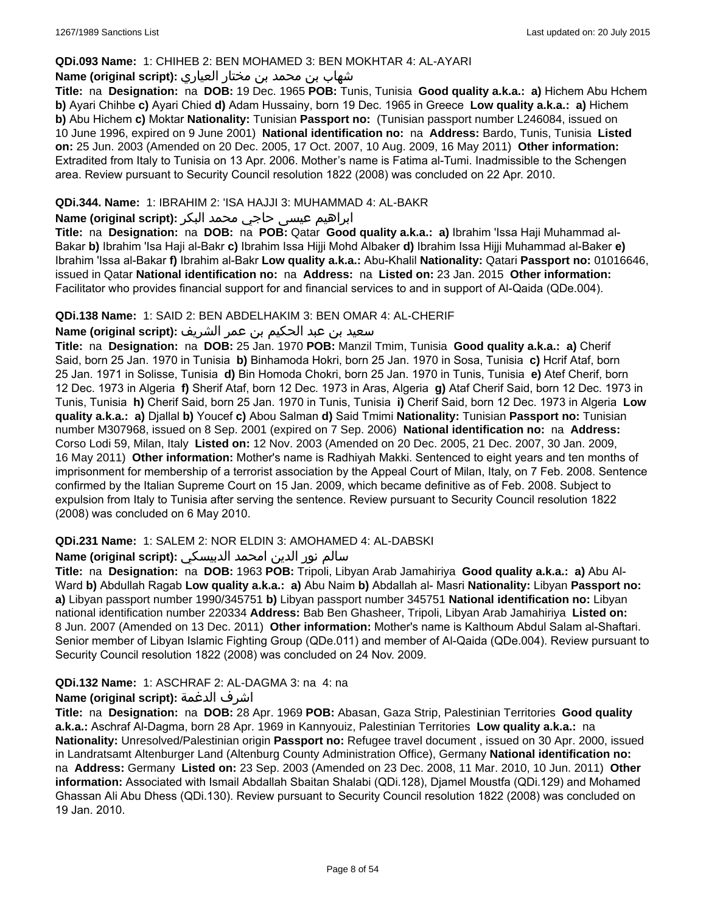### **QDi.093 Name:** 1: CHIHEB 2: BEN MOHAMED 3: BEN MOKHTAR 4: AL-AYARI

## شهاب بن محمد بن مختار العياري **:(script original (Name**

**Title:** na **Designation:** na **DOB:** 19 Dec. 1965 **POB:** Tunis, Tunisia **Good quality a.k.a.: a)** Hichem Abu Hchem **b)** Ayari Chihbe **c)** Ayari Chied **d)** Adam Hussainy, born 19 Dec. 1965 in Greece **Low quality a.k.a.: a)** Hichem **b)** Abu Hichem **c)** Moktar **Nationality:** Tunisian **Passport no:** (Tunisian passport number L246084, issued on 10 June 1996, expired on 9 June 2001) **National identification no:** na **Address:** Bardo, Tunis, Tunisia **Listed on:** 25 Jun. 2003 (Amended on 20 Dec. 2005, 17 Oct. 2007, 10 Aug. 2009, 16 May 2011) **Other information:** Extradited from Italy to Tunisia on 13 Apr. 2006. Mother's name is Fatima al-Tumi. Inadmissible to the Schengen area. Review pursuant to Security Council resolution 1822 (2008) was concluded on 22 Apr. 2010.

### **QDi.344. Name:** 1: IBRAHIM 2: 'ISA HAJJI 3: MUHAMMAD 4: AL-BAKR

## ابراهیم عیسی حاجي محمد البکر **:(script original (Name**

**Title:** na **Designation:** na **DOB:** na **POB:** Qatar **Good quality a.k.a.: a)** Ibrahim 'Issa Haji Muhammad al-Bakar **b)** Ibrahim 'Isa Haji al-Bakr **c)** Ibrahim Issa Hijji Mohd Albaker **d)** Ibrahim Issa Hijji Muhammad al-Baker **e)** Ibrahim 'Issa al-Bakar **f)** Ibrahim al-Bakr **Low quality a.k.a.:** Abu-Khalil **Nationality:** Qatari **Passport no:** 01016646, issued in Qatar **National identification no:** na **Address:** na **Listed on:** 23 Jan. 2015 **Other information:** Facilitator who provides financial support for and financial services to and in support of Al-Qaida (QDe.004).

#### **QDi.138 Name:** 1: SAID 2: BEN ABDELHAKIM 3: BEN OMAR 4: AL-CHERIF

## سعيد بن عبد الحكيم بن عمر الشريف **:(script original (Name**

**Title:** na **Designation:** na **DOB:** 25 Jan. 1970 **POB:** Manzil Tmim, Tunisia **Good quality a.k.a.: a)** Cherif Said, born 25 Jan. 1970 in Tunisia **b)** Binhamoda Hokri, born 25 Jan. 1970 in Sosa, Tunisia **c)** Hcrif Ataf, born 25 Jan. 1971 in Solisse, Tunisia **d)** Bin Homoda Chokri, born 25 Jan. 1970 in Tunis, Tunisia **e)** Atef Cherif, born 12 Dec. 1973 in Algeria **f)** Sherif Ataf, born 12 Dec. 1973 in Aras, Algeria **g)** Ataf Cherif Said, born 12 Dec. 1973 in Tunis, Tunisia **h)** Cherif Said, born 25 Jan. 1970 in Tunis, Tunisia **i)** Cherif Said, born 12 Dec. 1973 in Algeria **Low quality a.k.a.: a)** Djallal **b)** Youcef **c)** Abou Salman **d)** Said Tmimi **Nationality:** Tunisian **Passport no:** Tunisian number M307968, issued on 8 Sep. 2001 (expired on 7 Sep. 2006) **National identification no:** na **Address:** Corso Lodi 59, Milan, Italy **Listed on:** 12 Nov. 2003 (Amended on 20 Dec. 2005, 21 Dec. 2007, 30 Jan. 2009, 16 May 2011) **Other information:** Mother's name is Radhiyah Makki. Sentenced to eight years and ten months of imprisonment for membership of a terrorist association by the Appeal Court of Milan, Italy, on 7 Feb. 2008. Sentence confirmed by the Italian Supreme Court on 15 Jan. 2009, which became definitive as of Feb. 2008. Subject to expulsion from Italy to Tunisia after serving the sentence. Review pursuant to Security Council resolution 1822 (2008) was concluded on 6 May 2010.

### **QDi.231 Name:** 1: SALEM 2: NOR ELDIN 3: AMOHAMED 4: AL-DABSKI

## سالم نور الدين امحمد الدبيسكي **:(script original (Name**

**Title:** na **Designation:** na **DOB:** 1963 **POB:** Tripoli, Libyan Arab Jamahiriya **Good quality a.k.a.: a)** Abu Al-Ward **b)** Abdullah Ragab **Low quality a.k.a.: a)** Abu Naim **b)** Abdallah al- Masri **Nationality:** Libyan **Passport no: a)** Libyan passport number 1990/345751 **b)** Libyan passport number 345751 **National identification no:** Libyan national identification number 220334 **Address:** Bab Ben Ghasheer, Tripoli, Libyan Arab Jamahiriya **Listed on:** 8 Jun. 2007 (Amended on 13 Dec. 2011) **Other information:** Mother's name is Kalthoum Abdul Salam al-Shaftari. Senior member of Libyan Islamic Fighting Group (QDe.011) and member of Al-Qaida (QDe.004). Review pursuant to Security Council resolution 1822 (2008) was concluded on 24 Nov. 2009.

### **QDi.132 Name:** 1: ASCHRAF 2: AL-DAGMA 3: na 4: na

### **Name (original script):** الدغمة اشرف

**Title:** na **Designation:** na **DOB:** 28 Apr. 1969 **POB:** Abasan, Gaza Strip, Palestinian Territories **Good quality a.k.a.:** Aschraf Al-Dagma, born 28 Apr. 1969 in Kannyouiz, Palestinian Territories **Low quality a.k.a.:** na **Nationality:** Unresolved/Palestinian origin **Passport no:** Refugee travel document , issued on 30 Apr. 2000, issued in Landratsamt Altenburger Land (Altenburg County Administration Office), Germany **National identification no:**  na **Address:** Germany **Listed on:** 23 Sep. 2003 (Amended on 23 Dec. 2008, 11 Mar. 2010, 10 Jun. 2011) **Other information:** Associated with Ismail Abdallah Sbaitan Shalabi (QDi.128), Djamel Moustfa (QDi.129) and Mohamed Ghassan Ali Abu Dhess (QDi.130). Review pursuant to Security Council resolution 1822 (2008) was concluded on 19 Jan. 2010.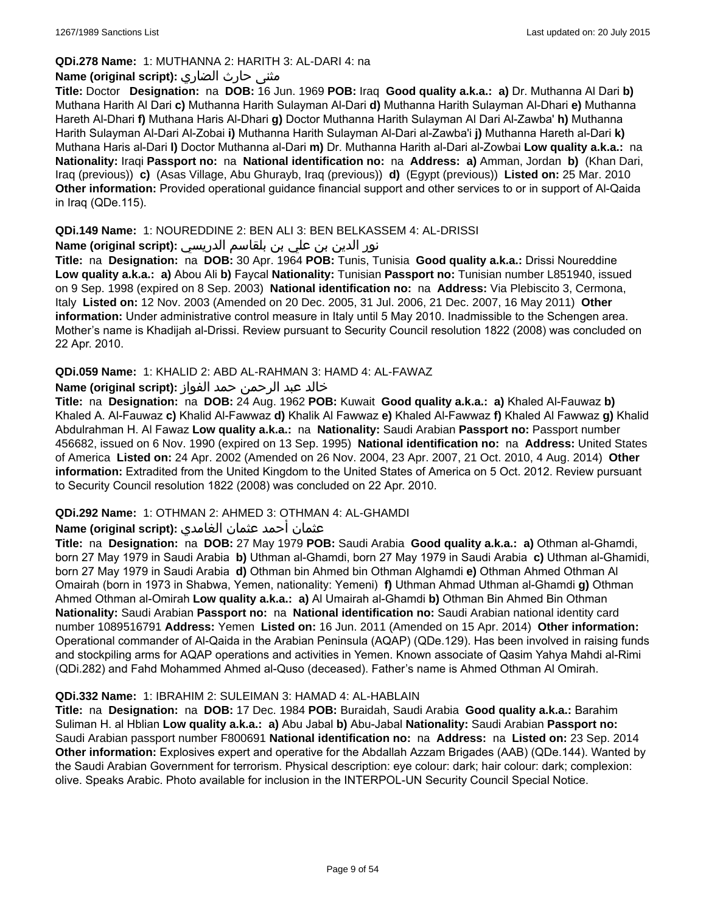## **QDi.278 Name:** 1: MUTHANNA 2: HARITH 3: AL-DARI 4: na

### مثنى حارث الضاري **:(script original (Name**

**Title:** Doctor **Designation:** na **DOB:** 16 Jun. 1969 **POB:** Iraq **Good quality a.k.a.: a)** Dr. Muthanna Al Dari **b)** Muthana Harith Al Dari **c)** Muthanna Harith Sulayman Al-Dari **d)** Muthanna Harith Sulayman Al-Dhari **e)** Muthanna Hareth Al-Dhari **f)** Muthana Haris Al-Dhari **g)** Doctor Muthanna Harith Sulayman Al Dari Al-Zawba' **h)** Muthanna Harith Sulayman Al-Dari Al-Zobai **i)** Muthanna Harith Sulayman Al-Dari al-Zawba'i **j)** Muthanna Hareth al-Dari **k)** Muthana Haris al-Dari **l)** Doctor Muthanna al-Dari **m)** Dr. Muthanna Harith al-Dari al-Zowbai **Low quality a.k.a.:** na **Nationality:** Iraqi **Passport no:** na **National identification no:** na **Address: a)** Amman, Jordan **b)** (Khan Dari, Iraq (previous)) **c)** (Asas Village, Abu Ghurayb, Iraq (previous)) **d)** (Egypt (previous)) **Listed on:** 25 Mar. 2010 **Other information:** Provided operational guidance financial support and other services to or in support of Al-Qaida in Iraq (QDe.115).

### **QDi.149 Name:** 1: NOUREDDINE 2: BEN ALI 3: BEN BELKASSEM 4: AL-DRISSI

## نور الدين بن علي بن بلقاسم الدريسي **:(script original (Name**

**Title:** na **Designation:** na **DOB:** 30 Apr. 1964 **POB:** Tunis, Tunisia **Good quality a.k.a.:** Drissi Noureddine **Low quality a.k.a.: a)** Abou Ali **b)** Faycal **Nationality:** Tunisian **Passport no:** Tunisian number L851940, issued on 9 Sep. 1998 (expired on 8 Sep. 2003) **National identification no:** na **Address:** Via Plebiscito 3, Cermona, Italy **Listed on:** 12 Nov. 2003 (Amended on 20 Dec. 2005, 31 Jul. 2006, 21 Dec. 2007, 16 May 2011) **Other information:** Under administrative control measure in Italy until 5 May 2010. Inadmissible to the Schengen area. Mother's name is Khadijah al-Drissi. Review pursuant to Security Council resolution 1822 (2008) was concluded on 22 Apr. 2010.

### **QDi.059 Name:** 1: KHALID 2: ABD AL-RAHMAN 3: HAMD 4: AL-FAWAZ

### خالد عبد الرحمن حمد الفواز **:(script original (Name**

**Title:** na **Designation:** na **DOB:** 24 Aug. 1962 **POB:** Kuwait **Good quality a.k.a.: a)** Khaled Al-Fauwaz **b)** Khaled A. Al-Fauwaz **c)** Khalid Al-Fawwaz **d)** Khalik Al Fawwaz **e)** Khaled Al-Fawwaz **f)** Khaled Al Fawwaz **g)** Khalid Abdulrahman H. Al Fawaz **Low quality a.k.a.:** na **Nationality:** Saudi Arabian **Passport no:** Passport number 456682, issued on 6 Nov. 1990 (expired on 13 Sep. 1995) **National identification no:** na **Address:** United States of America **Listed on:** 24 Apr. 2002 (Amended on 26 Nov. 2004, 23 Apr. 2007, 21 Oct. 2010, 4 Aug. 2014) **Other information:** Extradited from the United Kingdom to the United States of America on 5 Oct. 2012. Review pursuant to Security Council resolution 1822 (2008) was concluded on 22 Apr. 2010.

### **QDi.292 Name:** 1: OTHMAN 2: AHMED 3: OTHMAN 4: AL-GHAMDI

### عثمان أحمد عثمان الغامدي **:(script original (Name**

**Title:** na **Designation:** na **DOB:** 27 May 1979 **POB:** Saudi Arabia **Good quality a.k.a.: a)** Othman al-Ghamdi, born 27 May 1979 in Saudi Arabia **b)** Uthman al-Ghamdi, born 27 May 1979 in Saudi Arabia **c)** Uthman al-Ghamidi, born 27 May 1979 in Saudi Arabia **d)** Othman bin Ahmed bin Othman Alghamdi **e)** Othman Ahmed Othman Al Omairah (born in 1973 in Shabwa, Yemen, nationality: Yemeni) **f)** Uthman Ahmad Uthman al-Ghamdi **g)** Othman Ahmed Othman al-Omirah **Low quality a.k.a.: a)** Al Umairah al-Ghamdi **b)** Othman Bin Ahmed Bin Othman **Nationality:** Saudi Arabian **Passport no:** na **National identification no:** Saudi Arabian national identity card number 1089516791 **Address:** Yemen **Listed on:** 16 Jun. 2011 (Amended on 15 Apr. 2014) **Other information:** Operational commander of Al-Qaida in the Arabian Peninsula (AQAP) (QDe.129). Has been involved in raising funds and stockpiling arms for AQAP operations and activities in Yemen. Known associate of Qasim Yahya Mahdi al-Rimi (QDi.282) and Fahd Mohammed Ahmed al-Quso (deceased). Father's name is Ahmed Othman Al Omirah.

#### **QDi.332 Name:** 1: IBRAHIM 2: SULEIMAN 3: HAMAD 4: AL-HABLAIN

**Title:** na **Designation:** na **DOB:** 17 Dec. 1984 **POB:** Buraidah, Saudi Arabia **Good quality a.k.a.:** Barahim Suliman H. al Hblian **Low quality a.k.a.: a)** Abu Jabal **b)** Abu-Jabal **Nationality:** Saudi Arabian **Passport no:** Saudi Arabian passport number F800691 **National identification no:** na **Address:** na **Listed on:** 23 Sep. 2014 **Other information:** Explosives expert and operative for the Abdallah Azzam Brigades (AAB) (QDe.144). Wanted by the Saudi Arabian Government for terrorism. Physical description: eye colour: dark; hair colour: dark; complexion: olive. Speaks Arabic. Photo available for inclusion in the INTERPOL-UN Security Council Special Notice.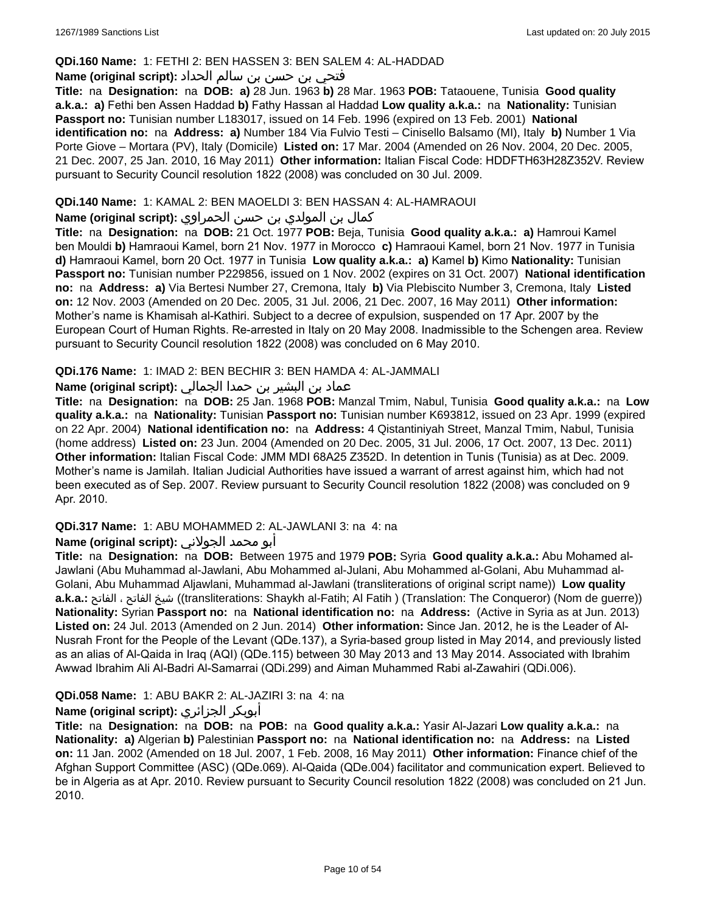### **QDi.160 Name:** 1: FETHI 2: BEN HASSEN 3: BEN SALEM 4: AL-HADDAD

### فتحي بن حسن بن سالم الحداد **:(script original (Name**

**Title:** na **Designation:** na **DOB: a)** 28 Jun. 1963 **b)** 28 Mar. 1963 **POB:** Tataouene, Tunisia **Good quality a.k.a.: a)** Fethi ben Assen Haddad **b)** Fathy Hassan al Haddad **Low quality a.k.a.:** na **Nationality:** Tunisian **Passport no:** Tunisian number L183017, issued on 14 Feb. 1996 (expired on 13 Feb. 2001) **National identification no:** na **Address: a)** Number 184 Via Fulvio Testi – Cinisello Balsamo (MI), Italy **b)** Number 1 Via Porte Giove – Mortara (PV), Italy (Domicile) **Listed on:** 17 Mar. 2004 (Amended on 26 Nov. 2004, 20 Dec. 2005, 21 Dec. 2007, 25 Jan. 2010, 16 May 2011) **Other information:** Italian Fiscal Code: HDDFTH63H28Z352V. Review pursuant to Security Council resolution 1822 (2008) was concluded on 30 Jul. 2009.

### **QDi.140 Name:** 1: KAMAL 2: BEN MAOELDI 3: BEN HASSAN 4: AL-HAMRAOUI

### كمال بن المولدي بن حسن الحمراوي **:Name (original script**)

**Title:** na **Designation:** na **DOB:** 21 Oct. 1977 **POB:** Beja, Tunisia **Good quality a.k.a.: a)** Hamroui Kamel ben Mouldi **b)** Hamraoui Kamel, born 21 Nov. 1977 in Morocco **c)** Hamraoui Kamel, born 21 Nov. 1977 in Tunisia **d)** Hamraoui Kamel, born 20 Oct. 1977 in Tunisia **Low quality a.k.a.: a)** Kamel **b)** Kimo **Nationality:** Tunisian **Passport no:** Tunisian number P229856, issued on 1 Nov. 2002 (expires on 31 Oct. 2007) **National identification no:** na **Address: a)** Via Bertesi Number 27, Cremona, Italy **b)** Via Plebiscito Number 3, Cremona, Italy **Listed on:** 12 Nov. 2003 (Amended on 20 Dec. 2005, 31 Jul. 2006, 21 Dec. 2007, 16 May 2011) **Other information:** Mother's name is Khamisah al-Kathiri. Subject to a decree of expulsion, suspended on 17 Apr. 2007 by the European Court of Human Rights. Re-arrested in Italy on 20 May 2008. Inadmissible to the Schengen area. Review pursuant to Security Council resolution 1822 (2008) was concluded on 6 May 2010.

### **QDi.176 Name:** 1: IMAD 2: BEN BECHIR 3: BEN HAMDA 4: AL-JAMMALI

## عماد بن البشير بن حمدا الجمالي **:(script original (Name**

**Title:** na **Designation:** na **DOB:** 25 Jan. 1968 **POB:** Manzal Tmim, Nabul, Tunisia **Good quality a.k.a.:** na **Low quality a.k.a.:** na **Nationality:** Tunisian **Passport no:** Tunisian number K693812, issued on 23 Apr. 1999 (expired on 22 Apr. 2004) **National identification no:** na **Address:** 4 Qistantiniyah Street, Manzal Tmim, Nabul, Tunisia (home address) **Listed on:** 23 Jun. 2004 (Amended on 20 Dec. 2005, 31 Jul. 2006, 17 Oct. 2007, 13 Dec. 2011) **Other information:** Italian Fiscal Code: JMM MDI 68A25 Z352D. In detention in Tunis (Tunisia) as at Dec. 2009. Mother's name is Jamilah. Italian Judicial Authorities have issued a warrant of arrest against him, which had not been executed as of Sep. 2007. Review pursuant to Security Council resolution 1822 (2008) was concluded on 9 Apr. 2010.

#### **QDi.317 Name:** 1: ABU MOHAMMED 2: AL-JAWLANI 3: na 4: na

## أبو محمد الجولاني **:(script original (Name**

**Title:** na **Designation:** na **DOB:** Between 1975 and 1979 **POB:** Syria **Good quality a.k.a.:** Abu Mohamed al-Jawlani (Abu Muhammad al-Jawlani, Abu Mohammed al-Julani, Abu Mohammed al-Golani, Abu Muhammad al-Golani, Abu Muhammad Aljawlani, Muhammad al-Jawlani (transliterations of original script name)) **Low quality a.k.a.:** الفاتح ، الفاتح شيخ)) transliterations: Shaykh al-Fatih; Al Fatih ) (Translation: The Conqueror) (Nom de guerre)) **Nationality:** Syrian **Passport no:** na **National identification no:** na **Address:** (Active in Syria as at Jun. 2013) **Listed on:** 24 Jul. 2013 (Amended on 2 Jun. 2014) **Other information:** Since Jan. 2012, he is the Leader of Al-Nusrah Front for the People of the Levant (QDe.137), a Syria-based group listed in May 2014, and previously listed as an alias of Al-Qaida in Iraq (AQI) (QDe.115) between 30 May 2013 and 13 May 2014. Associated with Ibrahim Awwad Ibrahim Ali Al-Badri Al-Samarrai (QDi.299) and Aiman Muhammed Rabi al-Zawahiri (QDi.006).

### **QDi.058 Name:** 1: ABU BAKR 2: AL-JAZIRI 3: na 4: na

## **Name (original script):** الجزائري أبوبكر

**Title:** na **Designation:** na **DOB:** na **POB:** na **Good quality a.k.a.:** Yasir Al-Jazari **Low quality a.k.a.:** na **Nationality: a)** Algerian **b)** Palestinian **Passport no:** na **National identification no:** na **Address:** na **Listed on:** 11 Jan. 2002 (Amended on 18 Jul. 2007, 1 Feb. 2008, 16 May 2011) **Other information:** Finance chief of the Afghan Support Committee (ASC) (QDe.069). Al-Qaida (QDe.004) facilitator and communication expert. Believed to be in Algeria as at Apr. 2010. Review pursuant to Security Council resolution 1822 (2008) was concluded on 21 Jun. 2010.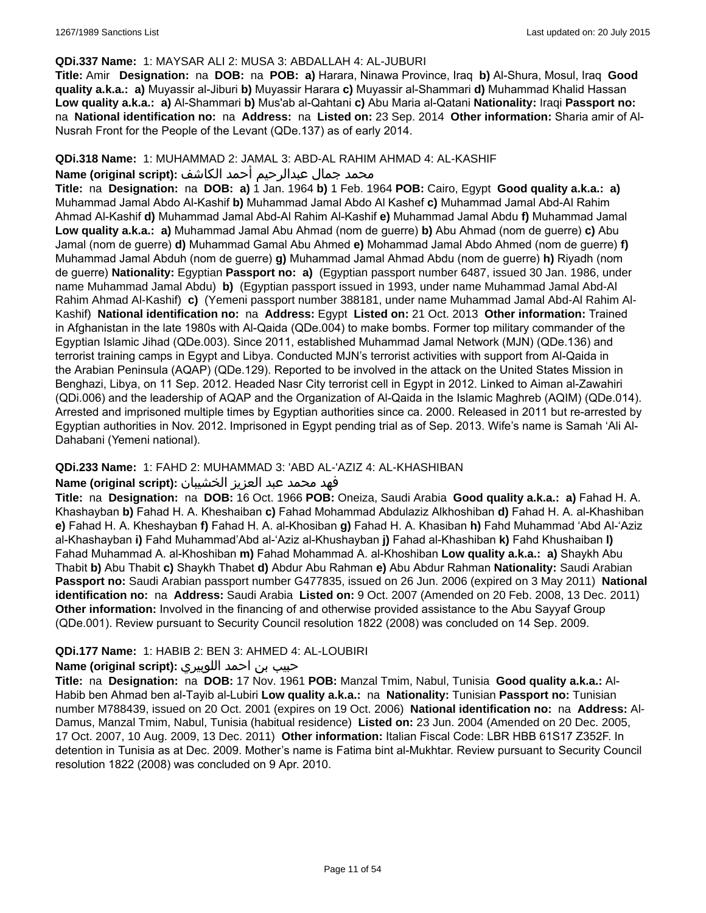### **QDi.337 Name:** 1: MAYSAR ALI 2: MUSA 3: ABDALLAH 4: AL-JUBURI

**Title:** Amir **Designation:** na **DOB:** na **POB: a)** Harara, Ninawa Province, Iraq **b)** Al-Shura, Mosul, Iraq **Good quality a.k.a.: a)** Muyassir al-Jiburi **b)** Muyassir Harara **c)** Muyassir al-Shammari **d)** Muhammad Khalid Hassan **Low quality a.k.a.: a)** Al-Shammari **b)** Mus'ab al-Qahtani **c)** Abu Maria al-Qatani **Nationality:** Iraqi **Passport no:**  na **National identification no:** na **Address:** na **Listed on:** 23 Sep. 2014 **Other information:** Sharia amir of Al-Nusrah Front for the People of the Levant (QDe.137) as of early 2014.

### **QDi.318 Name:** 1: MUHAMMAD 2: JAMAL 3: ABD-AL RAHIM AHMAD 4: AL-KASHIF

### محمد جمال عبدالرحيم أحمد الكاشف **:Name (original script)**

**Title:** na **Designation:** na **DOB: a)** 1 Jan. 1964 **b)** 1 Feb. 1964 **POB:** Cairo, Egypt **Good quality a.k.a.: a)** Muhammad Jamal Abdo Al-Kashif **b)** Muhammad Jamal Abdo Al Kashef **c)** Muhammad Jamal Abd-Al Rahim Ahmad Al-Kashif **d)** Muhammad Jamal Abd-Al Rahim Al-Kashif **e)** Muhammad Jamal Abdu **f)** Muhammad Jamal **Low quality a.k.a.: a)** Muhammad Jamal Abu Ahmad (nom de guerre) **b)** Abu Ahmad (nom de guerre) **c)** Abu Jamal (nom de guerre) **d)** Muhammad Gamal Abu Ahmed **e)** Mohammad Jamal Abdo Ahmed (nom de guerre) **f)** Muhammad Jamal Abduh (nom de guerre) **g)** Muhammad Jamal Ahmad Abdu (nom de guerre) **h)** Riyadh (nom de guerre) **Nationality:** Egyptian **Passport no: a)** (Egyptian passport number 6487, issued 30 Jan. 1986, under name Muhammad Jamal Abdu) **b)** (Egyptian passport issued in 1993, under name Muhammad Jamal Abd-Al Rahim Ahmad Al-Kashif) **c)** (Yemeni passport number 388181, under name Muhammad Jamal Abd-Al Rahim Al-Kashif) **National identification no:** na **Address:** Egypt **Listed on:** 21 Oct. 2013 **Other information:** Trained in Afghanistan in the late 1980s with Al-Qaida (QDe.004) to make bombs. Former top military commander of the Egyptian Islamic Jihad (QDe.003). Since 2011, established Muhammad Jamal Network (MJN) (QDe.136) and terrorist training camps in Egypt and Libya. Conducted MJN's terrorist activities with support from Al-Qaida in the Arabian Peninsula (AQAP) (QDe.129). Reported to be involved in the attack on the United States Mission in Benghazi, Libya, on 11 Sep. 2012. Headed Nasr City terrorist cell in Egypt in 2012. Linked to Aiman al-Zawahiri (QDi.006) and the leadership of AQAP and the Organization of Al-Qaida in the Islamic Maghreb (AQIM) (QDe.014). Arrested and imprisoned multiple times by Egyptian authorities since ca. 2000. Released in 2011 but re-arrested by Egyptian authorities in Nov. 2012. Imprisoned in Egypt pending trial as of Sep. 2013. Wife's name is Samah 'Ali Al-Dahabani (Yemeni national).

### **QDi.233 Name:** 1: FAHD 2: MUHAMMAD 3: 'ABD AL-'AZIZ 4: AL-KHASHIBAN

### فهد محمد عبد العزيز الخشيبان **:(script original (Name**

**Title:** na **Designation:** na **DOB:** 16 Oct. 1966 **POB:** Oneiza, Saudi Arabia **Good quality a.k.a.: a)** Fahad H. A. Khashayban **b)** Fahad H. A. Kheshaiban **c)** Fahad Mohammad Abdulaziz Alkhoshiban **d)** Fahad H. A. al-Khashiban **e)** Fahad H. A. Kheshayban **f)** Fahad H. A. al-Khosiban **g)** Fahad H. A. Khasiban **h)** Fahd Muhammad 'Abd Al-'Aziz al-Khashayban **i)** Fahd Muhammad'Abd al-'Aziz al-Khushayban **j)** Fahad al-Khashiban **k)** Fahd Khushaiban **l)** Fahad Muhammad A. al-Khoshiban **m)** Fahad Mohammad A. al-Khoshiban **Low quality a.k.a.: a)** Shaykh Abu Thabit **b)** Abu Thabit **c)** Shaykh Thabet **d)** Abdur Abu Rahman **e)** Abu Abdur Rahman **Nationality:** Saudi Arabian **Passport no:** Saudi Arabian passport number G477835, issued on 26 Jun. 2006 (expired on 3 May 2011) **National identification no:** na **Address:** Saudi Arabia **Listed on:** 9 Oct. 2007 (Amended on 20 Feb. 2008, 13 Dec. 2011) **Other information:** Involved in the financing of and otherwise provided assistance to the Abu Sayyaf Group (QDe.001). Review pursuant to Security Council resolution 1822 (2008) was concluded on 14 Sep. 2009.

### **QDi.177 Name:** 1: HABIB 2: BEN 3: AHMED 4: AL-LOUBIRI

#### حبيب بن احمد اللوبيري **:(script original (Name**

**Title:** na **Designation:** na **DOB:** 17 Nov. 1961 **POB:** Manzal Tmim, Nabul, Tunisia **Good quality a.k.a.:** Al-Habib ben Ahmad ben al-Tayib al-Lubiri **Low quality a.k.a.:** na **Nationality:** Tunisian **Passport no:** Tunisian number M788439, issued on 20 Oct. 2001 (expires on 19 Oct. 2006) **National identification no:** na **Address:** Al-Damus, Manzal Tmim, Nabul, Tunisia (habitual residence) **Listed on:** 23 Jun. 2004 (Amended on 20 Dec. 2005, 17 Oct. 2007, 10 Aug. 2009, 13 Dec. 2011) **Other information:** Italian Fiscal Code: LBR HBB 61S17 Z352F. In detention in Tunisia as at Dec. 2009. Mother's name is Fatima bint al-Mukhtar. Review pursuant to Security Council resolution 1822 (2008) was concluded on 9 Apr. 2010.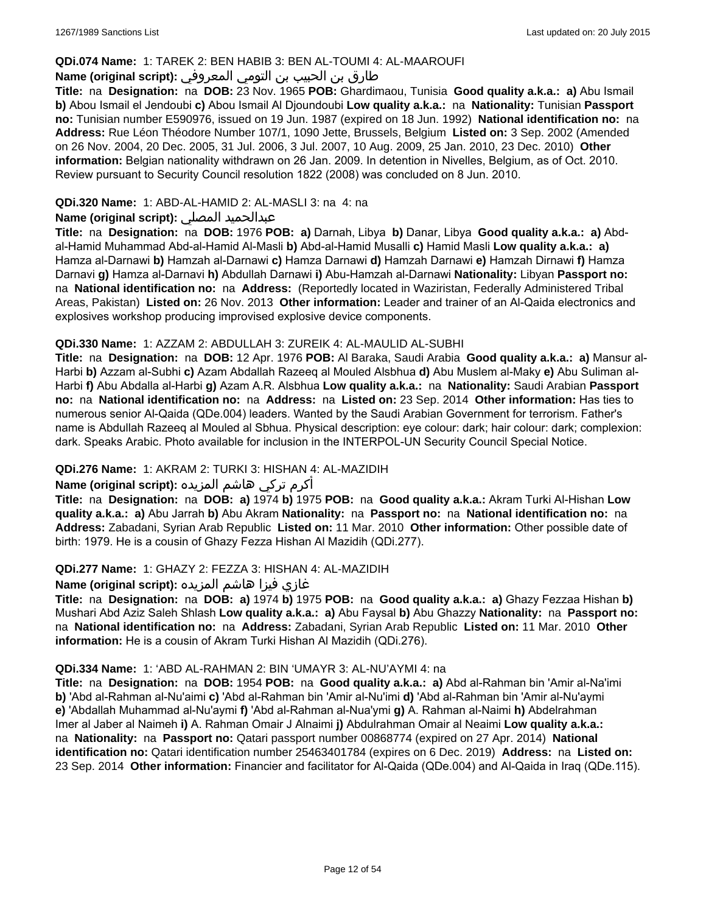### **QDi.074 Name:** 1: TAREK 2: BEN HABIB 3: BEN AL-TOUMI 4: AL-MAAROUFI

## طارق بن الحبيب بن التومي المعروفي **:(script original (Name**

**Title:** na **Designation:** na **DOB:** 23 Nov. 1965 **POB:** Ghardimaou, Tunisia **Good quality a.k.a.: a)** Abu Ismail **b)** Abou Ismail el Jendoubi **c)** Abou Ismail Al Djoundoubi **Low quality a.k.a.:** na **Nationality:** Tunisian **Passport no:** Tunisian number E590976, issued on 19 Jun. 1987 (expired on 18 Jun. 1992) **National identification no:** na **Address:** Rue Léon Théodore Number 107/1, 1090 Jette, Brussels, Belgium **Listed on:** 3 Sep. 2002 (Amended on 26 Nov. 2004, 20 Dec. 2005, 31 Jul. 2006, 3 Jul. 2007, 10 Aug. 2009, 25 Jan. 2010, 23 Dec. 2010) **Other information:** Belgian nationality withdrawn on 26 Jan. 2009. In detention in Nivelles, Belgium, as of Oct. 2010. Review pursuant to Security Council resolution 1822 (2008) was concluded on 8 Jun. 2010.

### **QDi.320 Name:** 1: ABD-AL-HAMID 2: AL-MASLI 3: na 4: na

### **Name (original script):** المصلي عبدالحميد

**Title:** na **Designation:** na **DOB:** 1976 **POB: a)** Darnah, Libya **b)** Danar, Libya **Good quality a.k.a.: a)** Abdal-Hamid Muhammad Abd-al-Hamid Al-Masli **b)** Abd-al-Hamid Musalli **c)** Hamid Masli **Low quality a.k.a.: a)** Hamza al-Darnawi **b)** Hamzah al-Darnawi **c)** Hamza Darnawi **d)** Hamzah Darnawi **e)** Hamzah Dirnawi **f)** Hamza Darnavi **g)** Hamza al-Darnavi **h)** Abdullah Darnawi **i)** Abu-Hamzah al-Darnawi **Nationality:** Libyan **Passport no:**  na **National identification no:** na **Address:** (Reportedly located in Waziristan, Federally Administered Tribal Areas, Pakistan) **Listed on:** 26 Nov. 2013 **Other information:** Leader and trainer of an Al-Qaida electronics and explosives workshop producing improvised explosive device components.

### **QDi.330 Name:** 1: AZZAM 2: ABDULLAH 3: ZUREIK 4: AL-MAULID AL-SUBHI

**Title:** na **Designation:** na **DOB:** 12 Apr. 1976 **POB:** Al Baraka, Saudi Arabia **Good quality a.k.a.: a)** Mansur al-Harbi **b)** Azzam al-Subhi **c)** Azam Abdallah Razeeq al Mouled Alsbhua **d)** Abu Muslem al-Maky **e)** Abu Suliman al-Harbi **f)** Abu Abdalla al-Harbi **g)** Azam A.R. Alsbhua **Low quality a.k.a.:** na **Nationality:** Saudi Arabian **Passport no:** na **National identification no:** na **Address:** na **Listed on:** 23 Sep. 2014 **Other information:** Has ties to numerous senior Al-Qaida (QDe.004) leaders. Wanted by the Saudi Arabian Government for terrorism. Father's name is Abdullah Razeeq al Mouled al Sbhua. Physical description: eye colour: dark; hair colour: dark; complexion: dark. Speaks Arabic. Photo available for inclusion in the INTERPOL-UN Security Council Special Notice.

### **QDi.276 Name:** 1: AKRAM 2: TURKI 3: HISHAN 4: AL-MAZIDIH

# أكرم تركي هاشم المزيده **:(script original (Name**

**Title:** na **Designation:** na **DOB: a)** 1974 **b)** 1975 **POB:** na **Good quality a.k.a.:** Akram Turki Al-Hishan **Low quality a.k.a.: a)** Abu Jarrah **b)** Abu Akram **Nationality:** na **Passport no:** na **National identification no:** na **Address:** Zabadani, Syrian Arab Republic **Listed on:** 11 Mar. 2010 **Other information:** Other possible date of birth: 1979. He is a cousin of Ghazy Fezza Hishan Al Mazidih (QDi.277).

#### **QDi.277 Name:** 1: GHAZY 2: FEZZA 3: HISHAN 4: AL-MAZIDIH

غازي فيزا هاشم المزيده **:(script original (Name**

**Title:** na **Designation:** na **DOB: a)** 1974 **b)** 1975 **POB:** na **Good quality a.k.a.: a)** Ghazy Fezzaa Hishan **b)** Mushari Abd Aziz Saleh Shlash **Low quality a.k.a.: a)** Abu Faysal **b)** Abu Ghazzy **Nationality:** na **Passport no:**  na **National identification no:** na **Address:** Zabadani, Syrian Arab Republic **Listed on:** 11 Mar. 2010 **Other information:** He is a cousin of Akram Turki Hishan Al Mazidih (QDi.276).

#### **QDi.334 Name:** 1: 'ABD AL-RAHMAN 2: BIN 'UMAYR 3: AL-NU'AYMI 4: na

**Title:** na **Designation:** na **DOB:** 1954 **POB:** na **Good quality a.k.a.: a)** Abd al-Rahman bin 'Amir al-Na'imi **b)** 'Abd al-Rahman al-Nu'aimi **c)** 'Abd al-Rahman bin 'Amir al-Nu'imi **d)** 'Abd al-Rahman bin 'Amir al-Nu'aymi **e)** 'Abdallah Muhammad al-Nu'aymi **f)** 'Abd al-Rahman al-Nua'ymi **g)** A. Rahman al-Naimi **h)** Abdelrahman Imer al Jaber al Naimeh **i)** A. Rahman Omair J Alnaimi **j)** Abdulrahman Omair al Neaimi **Low quality a.k.a.:**  na **Nationality:** na **Passport no:** Qatari passport number 00868774 (expired on 27 Apr. 2014) **National identification no:** Qatari identification number 25463401784 (expires on 6 Dec. 2019) **Address:** na **Listed on:** 23 Sep. 2014 **Other information:** Financier and facilitator for Al-Qaida (QDe.004) and Al-Qaida in Iraq (QDe.115).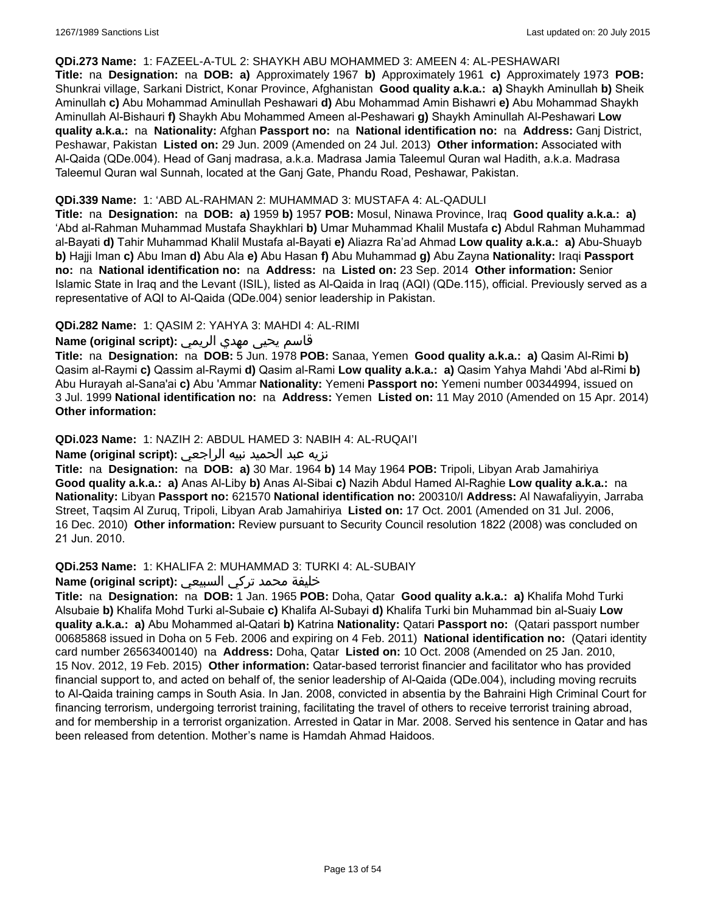#### **QDi.273 Name:** 1: FAZEEL-A-TUL 2: SHAYKH ABU MOHAMMED 3: AMEEN 4: AL-PESHAWARI

**Title:** na **Designation:** na **DOB: a)** Approximately 1967 **b)** Approximately 1961 **c)** Approximately 1973 **POB:** Shunkrai village, Sarkani District, Konar Province, Afghanistan **Good quality a.k.a.: a)** Shaykh Aminullah **b)** Sheik Aminullah **c)** Abu Mohammad Aminullah Peshawari **d)** Abu Mohammad Amin Bishawri **e)** Abu Mohammad Shaykh Aminullah Al-Bishauri **f)** Shaykh Abu Mohammed Ameen al-Peshawari **g)** Shaykh Aminullah Al-Peshawari **Low quality a.k.a.:** na **Nationality:** Afghan **Passport no:** na **National identification no:** na **Address:** Ganj District, Peshawar, Pakistan **Listed on:** 29 Jun. 2009 (Amended on 24 Jul. 2013) **Other information:** Associated with Al-Qaida (QDe.004). Head of Ganj madrasa, a.k.a. Madrasa Jamia Taleemul Quran wal Hadith, a.k.a. Madrasa Taleemul Quran wal Sunnah, located at the Ganj Gate, Phandu Road, Peshawar, Pakistan.

#### **QDi.339 Name:** 1: 'ABD AL-RAHMAN 2: MUHAMMAD 3: MUSTAFA 4: AL-QADULI

**Title:** na **Designation:** na **DOB: a)** 1959 **b)** 1957 **POB:** Mosul, Ninawa Province, Iraq **Good quality a.k.a.: a)** 'Abd al-Rahman Muhammad Mustafa Shaykhlari **b)** Umar Muhammad Khalil Mustafa **c)** Abdul Rahman Muhammad al-Bayati **d)** Tahir Muhammad Khalil Mustafa al-Bayati **e)** Aliazra Ra'ad Ahmad **Low quality a.k.a.: a)** Abu-Shuayb **b)** Hajji Iman **c)** Abu Iman **d)** Abu Ala **e)** Abu Hasan **f)** Abu Muhammad **g)** Abu Zayna **Nationality:** Iraqi **Passport no:** na **National identification no:** na **Address:** na **Listed on:** 23 Sep. 2014 **Other information:** Senior Islamic State in Iraq and the Levant (ISIL), listed as Al-Qaida in Iraq (AQI) (QDe.115), official. Previously served as a representative of AQI to Al-Qaida (QDe.004) senior leadership in Pakistan.

### **QDi.282 Name:** 1: QASIM 2: YAHYA 3: MAHDI 4: AL-RIMI

### قاسم يحيى مهدي الريمي **:(script original (Name**

**Title:** na **Designation:** na **DOB:** 5 Jun. 1978 **POB:** Sanaa, Yemen **Good quality a.k.a.: a)** Qasim Al-Rimi **b)** Qasim al-Raymi **c)** Qassim al-Raymi **d)** Qasim al-Rami **Low quality a.k.a.: a)** Qasim Yahya Mahdi 'Abd al-Rimi **b)** Abu Hurayah al-Sana'ai **c)** Abu 'Ammar **Nationality:** Yemeni **Passport no:** Yemeni number 00344994, issued on 3 Jul. 1999 **National identification no:** na **Address:** Yemen **Listed on:** 11 May 2010 (Amended on 15 Apr. 2014) **Other information:**

### **QDi.023 Name:** 1: NAZIH 2: ABDUL HAMED 3: NABIH 4: AL-RUQAI'I

#### نزيه عبد الحميد نبيه الراجعي **:(script original (Name**

**Title:** na **Designation:** na **DOB: a)** 30 Mar. 1964 **b)** 14 May 1964 **POB:** Tripoli, Libyan Arab Jamahiriya **Good quality a.k.a.: a)** Anas Al-Liby **b)** Anas Al-Sibai **c)** Nazih Abdul Hamed Al-Raghie **Low quality a.k.a.:** na **Nationality:** Libyan **Passport no:** 621570 **National identification no:** 200310/I **Address:** Al Nawafaliyyin, Jarraba Street, Taqsim Al Zuruq, Tripoli, Libyan Arab Jamahiriya **Listed on:** 17 Oct. 2001 (Amended on 31 Jul. 2006, 16 Dec. 2010) **Other information:** Review pursuant to Security Council resolution 1822 (2008) was concluded on 21 Jun. 2010.

#### **QDi.253 Name:** 1: KHALIFA 2: MUHAMMAD 3: TURKI 4: AL-SUBAIY

# خليفة محمد تركي السبيعي **:(script original (Name**

**Title:** na **Designation:** na **DOB:** 1 Jan. 1965 **POB:** Doha, Qatar **Good quality a.k.a.: a)** Khalifa Mohd Turki Alsubaie **b)** Khalifa Mohd Turki al-Subaie **c)** Khalifa Al-Subayi **d)** Khalifa Turki bin Muhammad bin al-Suaiy **Low quality a.k.a.: a)** Abu Mohammed al-Qatari **b)** Katrina **Nationality:** Qatari **Passport no:** (Qatari passport number 00685868 issued in Doha on 5 Feb. 2006 and expiring on 4 Feb. 2011) **National identification no:** (Qatari identity card number 26563400140) na **Address:** Doha, Qatar **Listed on:** 10 Oct. 2008 (Amended on 25 Jan. 2010, 15 Nov. 2012, 19 Feb. 2015) **Other information:** Qatar-based terrorist financier and facilitator who has provided financial support to, and acted on behalf of, the senior leadership of Al-Qaida (QDe.004), including moving recruits to Al-Qaida training camps in South Asia. In Jan. 2008, convicted in absentia by the Bahraini High Criminal Court for financing terrorism, undergoing terrorist training, facilitating the travel of others to receive terrorist training abroad, and for membership in a terrorist organization. Arrested in Qatar in Mar. 2008. Served his sentence in Qatar and has been released from detention. Mother's name is Hamdah Ahmad Haidoos.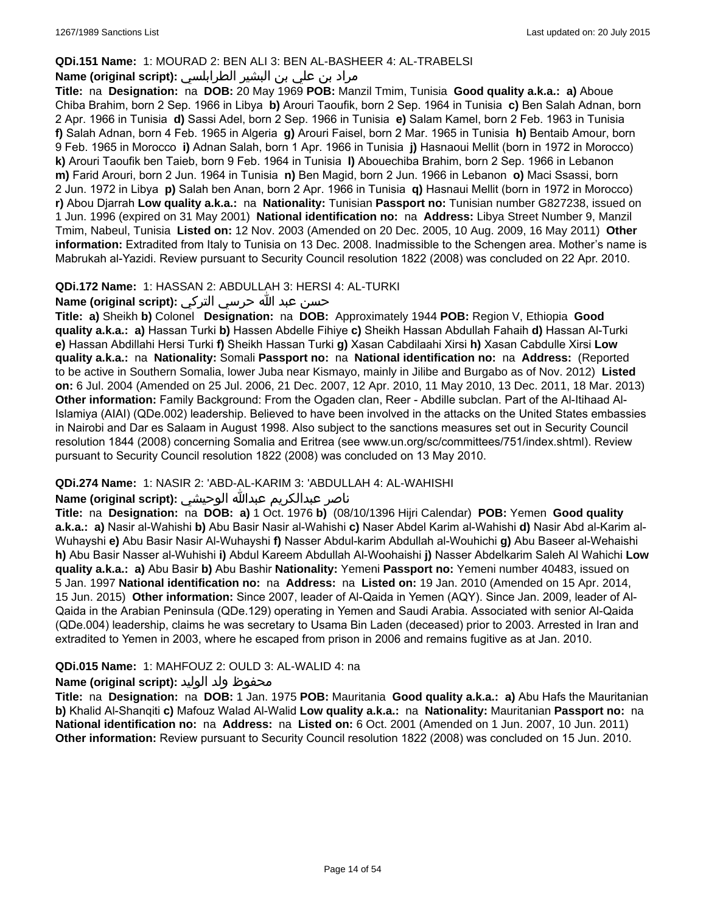#### **QDi.151 Name:** 1: MOURAD 2: BEN ALI 3: BEN AL-BASHEER 4: AL-TRABELSI

## مراد بن علي بن البشير الطرابلسي **:(Name (original script**

**Title:** na **Designation:** na **DOB:** 20 May 1969 **POB:** Manzil Tmim, Tunisia **Good quality a.k.a.: a)** Aboue Chiba Brahim, born 2 Sep. 1966 in Libya **b)** Arouri Taoufik, born 2 Sep. 1964 in Tunisia **c)** Ben Salah Adnan, born 2 Apr. 1966 in Tunisia **d)** Sassi Adel, born 2 Sep. 1966 in Tunisia **e)** Salam Kamel, born 2 Feb. 1963 in Tunisia **f)** Salah Adnan, born 4 Feb. 1965 in Algeria **g)** Arouri Faisel, born 2 Mar. 1965 in Tunisia **h)** Bentaib Amour, born 9 Feb. 1965 in Morocco **i)** Adnan Salah, born 1 Apr. 1966 in Tunisia **j)** Hasnaoui Mellit (born in 1972 in Morocco) **k)** Arouri Taoufik ben Taieb, born 9 Feb. 1964 in Tunisia **l)** Abouechiba Brahim, born 2 Sep. 1966 in Lebanon **m)** Farid Arouri, born 2 Jun. 1964 in Tunisia **n)** Ben Magid, born 2 Jun. 1966 in Lebanon **o)** Maci Ssassi, born 2 Jun. 1972 in Libya **p)** Salah ben Anan, born 2 Apr. 1966 in Tunisia **q)** Hasnaui Mellit (born in 1972 in Morocco) **r)** Abou Djarrah **Low quality a.k.a.:** na **Nationality:** Tunisian **Passport no:** Tunisian number G827238, issued on 1 Jun. 1996 (expired on 31 May 2001) **National identification no:** na **Address:** Libya Street Number 9, Manzil Tmim, Nabeul, Tunisia **Listed on:** 12 Nov. 2003 (Amended on 20 Dec. 2005, 10 Aug. 2009, 16 May 2011) **Other information:** Extradited from Italy to Tunisia on 13 Dec. 2008. Inadmissible to the Schengen area. Mother's name is Mabrukah al-Yazidi. Review pursuant to Security Council resolution 1822 (2008) was concluded on 22 Apr. 2010.

### **QDi.172 Name:** 1: HASSAN 2: ABDULLAH 3: HERSI 4: AL-TURKI

# حسن عبد الله حرسي التركي **:(script original (Name**

**Title: a)** Sheikh **b)** Colonel **Designation:** na **DOB:** Approximately 1944 **POB:** Region V, Ethiopia **Good quality a.k.a.: a)** Hassan Turki **b)** Hassen Abdelle Fihiye **c)** Sheikh Hassan Abdullah Fahaih **d)** Hassan Al-Turki **e)** Hassan Abdillahi Hersi Turki **f)** Sheikh Hassan Turki **g)** Xasan Cabdilaahi Xirsi **h)** Xasan Cabdulle Xirsi **Low quality a.k.a.:** na **Nationality:** Somali **Passport no:** na **National identification no:** na **Address:** (Reported to be active in Southern Somalia, lower Juba near Kismayo, mainly in Jilibe and Burgabo as of Nov. 2012) **Listed on:** 6 Jul. 2004 (Amended on 25 Jul. 2006, 21 Dec. 2007, 12 Apr. 2010, 11 May 2010, 13 Dec. 2011, 18 Mar. 2013) **Other information:** Family Background: From the Ogaden clan, Reer - Abdille subclan. Part of the Al-Itihaad Al-Islamiya (AIAI) (QDe.002) leadership. Believed to have been involved in the attacks on the United States embassies in Nairobi and Dar es Salaam in August 1998. Also subject to the sanctions measures set out in Security Council resolution 1844 (2008) concerning Somalia and Eritrea (see www.un.org/sc/committees/751/index.shtml). Review pursuant to Security Council resolution 1822 (2008) was concluded on 13 May 2010.

#### **QDi.274 Name:** 1: NASIR 2: 'ABD-AL-KARIM 3: 'ABDULLAH 4: AL-WAHISHI

### ناصر عبدالكريم عبدالله الوحيشي **:(script original (Name**

**Title:** na **Designation:** na **DOB: a)** 1 Oct. 1976 **b)** (08/10/1396 Hijri Calendar) **POB:** Yemen **Good quality a.k.a.: a)** Nasir al-Wahishi **b)** Abu Basir Nasir al-Wahishi **c)** Naser Abdel Karim al-Wahishi **d)** Nasir Abd al-Karim al-Wuhayshi **e)** Abu Basir Nasir Al-Wuhayshi **f)** Nasser Abdul-karim Abdullah al-Wouhichi **g)** Abu Baseer al-Wehaishi **h)** Abu Basir Nasser al-Wuhishi **i)** Abdul Kareem Abdullah Al-Woohaishi **j)** Nasser Abdelkarim Saleh Al Wahichi **Low quality a.k.a.: a)** Abu Basir **b)** Abu Bashir **Nationality:** Yemeni **Passport no:** Yemeni number 40483, issued on 5 Jan. 1997 **National identification no:** na **Address:** na **Listed on:** 19 Jan. 2010 (Amended on 15 Apr. 2014, 15 Jun. 2015) **Other information:** Since 2007, leader of Al-Qaida in Yemen (AQY). Since Jan. 2009, leader of Al-Qaida in the Arabian Peninsula (QDe.129) operating in Yemen and Saudi Arabia. Associated with senior Al-Qaida (QDe.004) leadership, claims he was secretary to Usama Bin Laden (deceased) prior to 2003. Arrested in Iran and extradited to Yemen in 2003, where he escaped from prison in 2006 and remains fugitive as at Jan. 2010.

### **QDi.015 Name:** 1: MAHFOUZ 2: OULD 3: AL-WALID 4: na

#### محفوظ ولد الوليد **:(script original (Name**

**Title:** na **Designation:** na **DOB:** 1 Jan. 1975 **POB:** Mauritania **Good quality a.k.a.: a)** Abu Hafs the Mauritanian **b)** Khalid Al-Shanqiti **c)** Mafouz Walad Al-Walid **Low quality a.k.a.:** na **Nationality:** Mauritanian **Passport no:** na **National identification no:** na **Address:** na **Listed on:** 6 Oct. 2001 (Amended on 1 Jun. 2007, 10 Jun. 2011) **Other information:** Review pursuant to Security Council resolution 1822 (2008) was concluded on 15 Jun. 2010.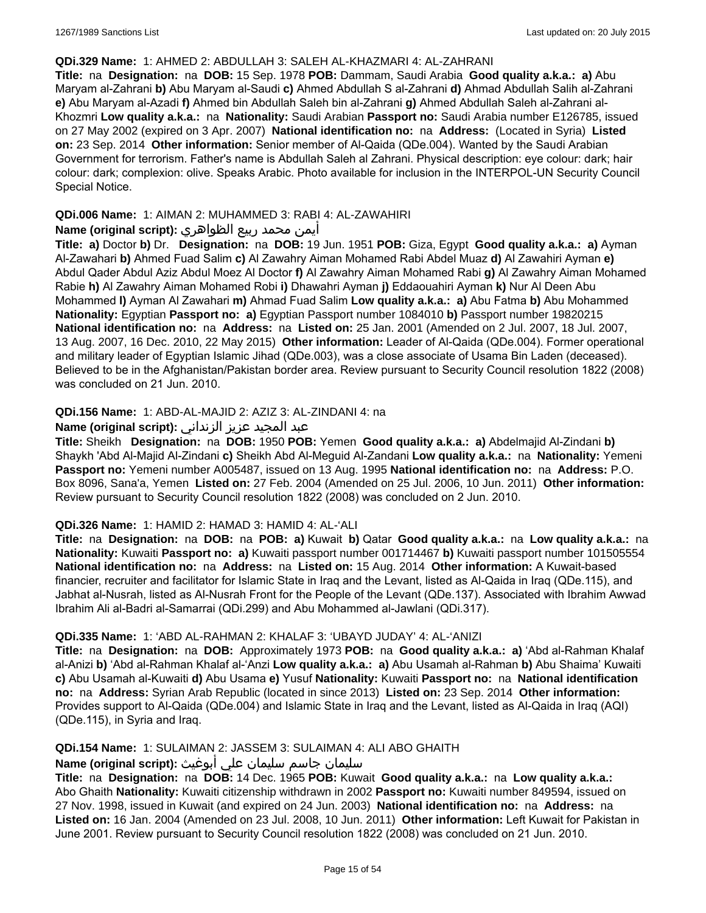#### **QDi.329 Name:** 1: AHMED 2: ABDULLAH 3: SALEH AL-KHAZMARI 4: AL-ZAHRANI

**Title:** na **Designation:** na **DOB:** 15 Sep. 1978 **POB:** Dammam, Saudi Arabia **Good quality a.k.a.: a)** Abu Maryam al-Zahrani **b)** Abu Maryam al-Saudi **c)** Ahmed Abdullah S al-Zahrani **d)** Ahmad Abdullah Salih al-Zahrani **e)** Abu Maryam al-Azadi **f)** Ahmed bin Abdullah Saleh bin al-Zahrani **g)** Ahmed Abdullah Saleh al-Zahrani al-Khozmri **Low quality a.k.a.:** na **Nationality:** Saudi Arabian **Passport no:** Saudi Arabia number E126785, issued on 27 May 2002 (expired on 3 Apr. 2007) **National identification no:** na **Address:** (Located in Syria) **Listed on:** 23 Sep. 2014 **Other information:** Senior member of Al-Qaida (QDe.004). Wanted by the Saudi Arabian Government for terrorism. Father's name is Abdullah Saleh al Zahrani. Physical description: eye colour: dark; hair colour: dark; complexion: olive. Speaks Arabic. Photo available for inclusion in the INTERPOL-UN Security Council Special Notice.

### **QDi.006 Name:** 1: AIMAN 2: MUHAMMED 3: RABI 4: AL-ZAWAHIRI

### أيمن محمد ربيع الظواهري **:(script original (Name**

**Title: a)** Doctor **b)** Dr. **Designation:** na **DOB:** 19 Jun. 1951 **POB:** Giza, Egypt **Good quality a.k.a.: a)** Ayman Al-Zawahari **b)** Ahmed Fuad Salim **c)** Al Zawahry Aiman Mohamed Rabi Abdel Muaz **d)** Al Zawahiri Ayman **e)** Abdul Qader Abdul Aziz Abdul Moez Al Doctor **f)** Al Zawahry Aiman Mohamed Rabi **g)** Al Zawahry Aiman Mohamed Rabie **h)** Al Zawahry Aiman Mohamed Robi **i)** Dhawahri Ayman **j)** Eddaouahiri Ayman **k)** Nur Al Deen Abu Mohammed **l)** Ayman Al Zawahari **m)** Ahmad Fuad Salim **Low quality a.k.a.: a)** Abu Fatma **b)** Abu Mohammed **Nationality:** Egyptian **Passport no: a)** Egyptian Passport number 1084010 **b)** Passport number 19820215 **National identification no:** na **Address:** na **Listed on:** 25 Jan. 2001 (Amended on 2 Jul. 2007, 18 Jul. 2007, 13 Aug. 2007, 16 Dec. 2010, 22 May 2015) **Other information:** Leader of Al-Qaida (QDe.004). Former operational and military leader of Egyptian Islamic Jihad (QDe.003), was a close associate of Usama Bin Laden (deceased). Believed to be in the Afghanistan/Pakistan border area. Review pursuant to Security Council resolution 1822 (2008) was concluded on 21 Jun. 2010.

### **QDi.156 Name:** 1: ABD-AL-MAJID 2: AZIZ 3: AL-ZINDANI 4: na

### عبد المجيد عزيز الزنداني **:(script original (Name**

**Title:** Sheikh **Designation:** na **DOB:** 1950 **POB:** Yemen **Good quality a.k.a.: a)** Abdelmajid Al-Zindani **b)** Shaykh 'Abd Al-Majid Al-Zindani **c)** Sheikh Abd Al-Meguid Al-Zandani **Low quality a.k.a.:** na **Nationality:** Yemeni **Passport no:** Yemeni number A005487, issued on 13 Aug. 1995 **National identification no:** na **Address:** P.O. Box 8096, Sana'a, Yemen **Listed on:** 27 Feb. 2004 (Amended on 25 Jul. 2006, 10 Jun. 2011) **Other information:** Review pursuant to Security Council resolution 1822 (2008) was concluded on 2 Jun. 2010.

#### **QDi.326 Name:** 1: HAMID 2: HAMAD 3: HAMID 4: AL-'ALI

**Title:** na **Designation:** na **DOB:** na **POB: a)** Kuwait **b)** Qatar **Good quality a.k.a.:** na **Low quality a.k.a.:** na **Nationality:** Kuwaiti **Passport no: a)** Kuwaiti passport number 001714467 **b)** Kuwaiti passport number 101505554 **National identification no:** na **Address:** na **Listed on:** 15 Aug. 2014 **Other information:** A Kuwait-based financier, recruiter and facilitator for Islamic State in Iraq and the Levant, listed as Al-Qaida in Iraq (QDe.115), and Jabhat al-Nusrah, listed as Al-Nusrah Front for the People of the Levant (QDe.137). Associated with Ibrahim Awwad Ibrahim Ali al-Badri al-Samarrai (QDi.299) and Abu Mohammed al-Jawlani (QDi.317).

#### **QDi.335 Name:** 1: 'ABD AL-RAHMAN 2: KHALAF 3: 'UBAYD JUDAY' 4: AL-'ANIZI

**Title:** na **Designation:** na **DOB:** Approximately 1973 **POB:** na **Good quality a.k.a.: a)** 'Abd al-Rahman Khalaf al-Anizi **b)** 'Abd al-Rahman Khalaf al-'Anzi **Low quality a.k.a.: a)** Abu Usamah al-Rahman **b)** Abu Shaima' Kuwaiti **c)** Abu Usamah al-Kuwaiti **d)** Abu Usama **e)** Yusuf **Nationality:** Kuwaiti **Passport no:** na **National identification no:** na **Address:** Syrian Arab Republic (located in since 2013) **Listed on:** 23 Sep. 2014 **Other information:** Provides support to Al-Qaida (QDe.004) and Islamic State in Iraq and the Levant, listed as Al-Qaida in Iraq (AQI) (QDe.115), in Syria and Iraq.

### **QDi.154 Name:** 1: SULAIMAN 2: JASSEM 3: SULAIMAN 4: ALI ABO GHAITH

# سليمان جاسم سليمان علي أبوغيث **:(script original (Name**

**Title:** na **Designation:** na **DOB:** 14 Dec. 1965 **POB:** Kuwait **Good quality a.k.a.:** na **Low quality a.k.a.:** Abo Ghaith **Nationality:** Kuwaiti citizenship withdrawn in 2002 **Passport no:** Kuwaiti number 849594, issued on 27 Nov. 1998, issued in Kuwait (and expired on 24 Jun. 2003) **National identification no:** na **Address:** na **Listed on:** 16 Jan. 2004 (Amended on 23 Jul. 2008, 10 Jun. 2011) **Other information:** Left Kuwait for Pakistan in June 2001. Review pursuant to Security Council resolution 1822 (2008) was concluded on 21 Jun. 2010.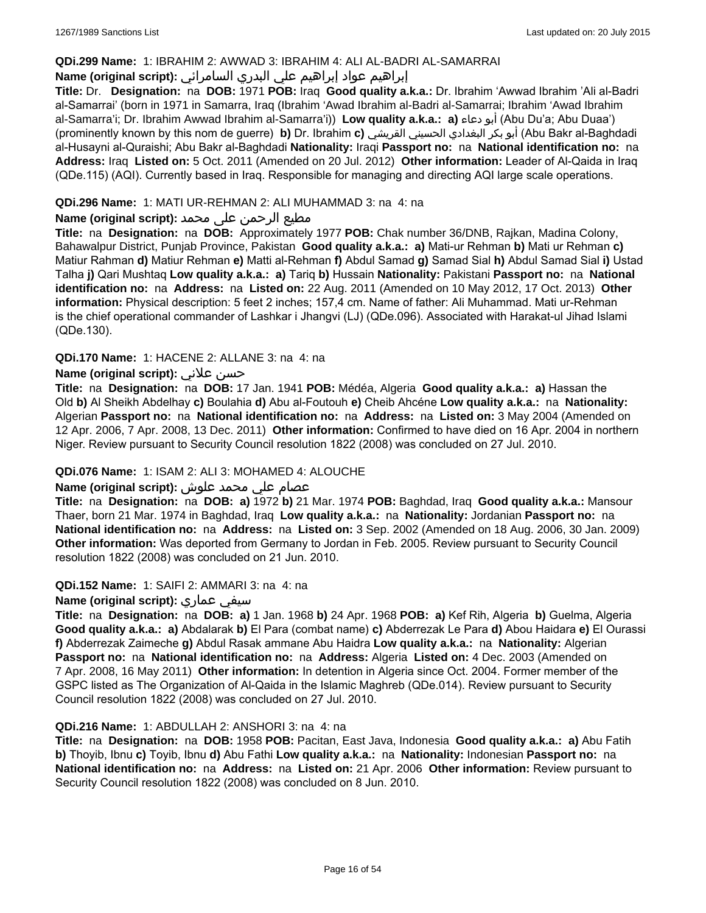### **QDi.299 Name:** 1: IBRAHIM 2: AWWAD 3: IBRAHIM 4: ALI AL-BADRI AL-SAMARRAI

## إبراهيم عواد إبراهيم علي البدري السامرائي **:(script original (Name**

**Title:** Dr. **Designation:** na **DOB:** 1971 **POB:** Iraq **Good quality a.k.a.:** Dr. Ibrahim 'Awwad Ibrahim 'Ali al-Badri al-Samarrai' (born in 1971 in Samarra, Iraq (Ibrahim 'Awad Ibrahim al-Badri al-Samarrai; Ibrahim 'Awad Ibrahim al-Samarra'i; Dr. Ibrahim Awwad Ibrahim al-Samarra'i)) **Low quality a.k.a.: a)** دعاء أبو) Abu Du'a; Abu Duaa') (prominently known by this nom de guerre) **b)** Dr. Ibrahim **c)** القريشي الحسيني البغدادي بكر أبو) Abu Bakr al-Baghdadi al-Husayni al-Quraishi; Abu Bakr al-Baghdadi **Nationality:** Iraqi **Passport no:** na **National identification no:** na **Address:** Iraq **Listed on:** 5 Oct. 2011 (Amended on 20 Jul. 2012) **Other information:** Leader of Al-Qaida in Iraq (QDe.115) (AQI). Currently based in Iraq. Responsible for managing and directing AQI large scale operations.

### **QDi.296 Name:** 1: MATI UR-REHMAN 2: ALI MUHAMMAD 3: na 4: na

### مطیع الرحمن علی محمد **:Name (original script)**

**Title:** na **Designation:** na **DOB:** Approximately 1977 **POB:** Chak number 36/DNB, Rajkan, Madina Colony, Bahawalpur District, Punjab Province, Pakistan **Good quality a.k.a.: a)** Mati-ur Rehman **b)** Mati ur Rehman **c)** Matiur Rahman **d)** Matiur Rehman **e)** Matti al-Rehman **f)** Abdul Samad **g)** Samad Sial **h)** Abdul Samad Sial **i)** Ustad Talha **j)** Qari Mushtaq **Low quality a.k.a.: a)** Tariq **b)** Hussain **Nationality:** Pakistani **Passport no:** na **National identification no:** na **Address:** na **Listed on:** 22 Aug. 2011 (Amended on 10 May 2012, 17 Oct. 2013) **Other information:** Physical description: 5 feet 2 inches; 157,4 cm. Name of father: Ali Muhammad. Mati ur-Rehman is the chief operational commander of Lashkar i Jhangvi (LJ) (QDe.096). Associated with Harakat-ul Jihad Islami (QDe.130).

### **QDi.170 Name:** 1: HACENE 2: ALLANE 3: na 4: na

## **Name (original script):** علاني حسن

**Title:** na **Designation:** na **DOB:** 17 Jan. 1941 **POB:** Médéa, Algeria **Good quality a.k.a.: a)** Hassan the Old **b)** Al Sheikh Abdelhay **c)** Boulahia **d)** Abu al-Foutouh **e)** Cheib Ahcéne **Low quality a.k.a.:** na **Nationality:** Algerian **Passport no:** na **National identification no:** na **Address:** na **Listed on:** 3 May 2004 (Amended on 12 Apr. 2006, 7 Apr. 2008, 13 Dec. 2011) **Other information:** Confirmed to have died on 16 Apr. 2004 in northern Niger. Review pursuant to Security Council resolution 1822 (2008) was concluded on 27 Jul. 2010.

#### **QDi.076 Name:** 1: ISAM 2: ALI 3: MOHAMED 4: ALOUCHE

### عصام علي محمد علوش **:(script original (Name**

**Title:** na **Designation:** na **DOB: a)** 1972 **b)** 21 Mar. 1974 **POB:** Baghdad, Iraq **Good quality a.k.a.:** Mansour Thaer, born 21 Mar. 1974 in Baghdad, Iraq **Low quality a.k.a.:** na **Nationality:** Jordanian **Passport no:** na **National identification no:** na **Address:** na **Listed on:** 3 Sep. 2002 (Amended on 18 Aug. 2006, 30 Jan. 2009) **Other information:** Was deported from Germany to Jordan in Feb. 2005. Review pursuant to Security Council resolution 1822 (2008) was concluded on 21 Jun. 2010.

#### **QDi.152 Name:** 1: SAIFI 2: AMMARI 3: na 4: na

#### **Name (original script):** عماري سيفي

**Title:** na **Designation:** na **DOB: a)** 1 Jan. 1968 **b)** 24 Apr. 1968 **POB: a)** Kef Rih, Algeria **b)** Guelma, Algeria **Good quality a.k.a.: a)** Abdalarak **b)** El Para (combat name) **c)** Abderrezak Le Para **d)** Abou Haidara **e)** El Ourassi **f)** Abderrezak Zaimeche **g)** Abdul Rasak ammane Abu Haidra **Low quality a.k.a.:** na **Nationality:** Algerian **Passport no:** na **National identification no:** na **Address:** Algeria **Listed on:** 4 Dec. 2003 (Amended on 7 Apr. 2008, 16 May 2011) **Other information:** In detention in Algeria since Oct. 2004. Former member of the GSPC listed as The Organization of Al-Qaida in the Islamic Maghreb (QDe.014). Review pursuant to Security Council resolution 1822 (2008) was concluded on 27 Jul. 2010.

#### **QDi.216 Name:** 1: ABDULLAH 2: ANSHORI 3: na 4: na

**Title:** na **Designation:** na **DOB:** 1958 **POB:** Pacitan, East Java, Indonesia **Good quality a.k.a.: a)** Abu Fatih **b)** Thoyib, Ibnu **c)** Toyib, Ibnu **d)** Abu Fathi **Low quality a.k.a.:** na **Nationality:** Indonesian **Passport no:** na **National identification no:** na **Address:** na **Listed on:** 21 Apr. 2006 **Other information:** Review pursuant to Security Council resolution 1822 (2008) was concluded on 8 Jun. 2010.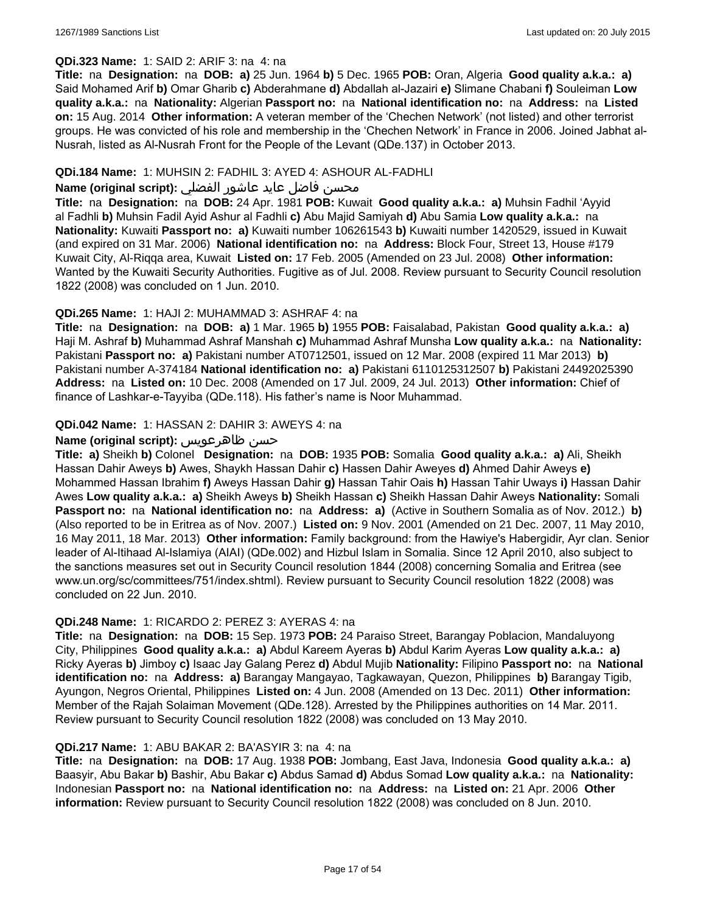### **QDi.323 Name:** 1: SAID 2: ARIF 3: na 4: na

**Title:** na **Designation:** na **DOB: a)** 25 Jun. 1964 **b)** 5 Dec. 1965 **POB:** Oran, Algeria **Good quality a.k.a.: a)** Said Mohamed Arif **b)** Omar Gharib **c)** Abderahmane **d)** Abdallah al-Jazairi **e)** Slimane Chabani **f)** Souleiman **Low quality a.k.a.:** na **Nationality:** Algerian **Passport no:** na **National identification no:** na **Address:** na **Listed on:** 15 Aug. 2014 **Other information:** A veteran member of the 'Chechen Network' (not listed) and other terrorist groups. He was convicted of his role and membership in the 'Chechen Network' in France in 2006. Joined Jabhat al-Nusrah, listed as Al-Nusrah Front for the People of the Levant (QDe.137) in October 2013.

### **QDi.184 Name:** 1: MUHSIN 2: FADHIL 3: AYED 4: ASHOUR AL-FADHLI

## محسن فاضل عايد عاشور الفضلي **:Name (original script**)

**Title:** na **Designation:** na **DOB:** 24 Apr. 1981 **POB:** Kuwait **Good quality a.k.a.: a)** Muhsin Fadhil 'Ayyid al Fadhli **b)** Muhsin Fadil Ayid Ashur al Fadhli **c)** Abu Majid Samiyah **d)** Abu Samia **Low quality a.k.a.:** na **Nationality:** Kuwaiti **Passport no: a)** Kuwaiti number 106261543 **b)** Kuwaiti number 1420529, issued in Kuwait (and expired on 31 Mar. 2006) **National identification no:** na **Address:** Block Four, Street 13, House #179 Kuwait City, Al-Riqqa area, Kuwait **Listed on:** 17 Feb. 2005 (Amended on 23 Jul. 2008) **Other information:** Wanted by the Kuwaiti Security Authorities. Fugitive as of Jul. 2008. Review pursuant to Security Council resolution 1822 (2008) was concluded on 1 Jun. 2010.

### **QDi.265 Name:** 1: HAJI 2: MUHAMMAD 3: ASHRAF 4: na

**Title:** na **Designation:** na **DOB: a)** 1 Mar. 1965 **b)** 1955 **POB:** Faisalabad, Pakistan **Good quality a.k.a.: a)** Haji M. Ashraf **b)** Muhammad Ashraf Manshah **c)** Muhammad Ashraf Munsha **Low quality a.k.a.:** na **Nationality:** Pakistani **Passport no: a)** Pakistani number AT0712501, issued on 12 Mar. 2008 (expired 11 Mar 2013) **b)** Pakistani number A-374184 **National identification no: a)** Pakistani 6110125312507 **b)** Pakistani 24492025390 **Address:** na **Listed on:** 10 Dec. 2008 (Amended on 17 Jul. 2009, 24 Jul. 2013) **Other information:** Chief of finance of Lashkar-e-Tayyiba (QDe.118). His father's name is Noor Muhammad.

### **QDi.042 Name:** 1: HASSAN 2: DAHIR 3: AWEYS 4: na

### **Name (original script):** ظاهرعويس حسن

**Title: a)** Sheikh **b)** Colonel **Designation:** na **DOB:** 1935 **POB:** Somalia **Good quality a.k.a.: a)** Ali, Sheikh Hassan Dahir Aweys **b)** Awes, Shaykh Hassan Dahir **c)** Hassen Dahir Aweyes **d)** Ahmed Dahir Aweys **e)** Mohammed Hassan Ibrahim **f)** Aweys Hassan Dahir **g)** Hassan Tahir Oais **h)** Hassan Tahir Uways **i)** Hassan Dahir Awes **Low quality a.k.a.: a)** Sheikh Aweys **b)** Sheikh Hassan **c)** Sheikh Hassan Dahir Aweys **Nationality:** Somali **Passport no:** na **National identification no:** na **Address: a)** (Active in Southern Somalia as of Nov. 2012.) **b)**  (Also reported to be in Eritrea as of Nov. 2007.) **Listed on:** 9 Nov. 2001 (Amended on 21 Dec. 2007, 11 May 2010, 16 May 2011, 18 Mar. 2013) **Other information:** Family background: from the Hawiye's Habergidir, Ayr clan. Senior leader of Al-Itihaad Al-Islamiya (AIAI) (QDe.002) and Hizbul Islam in Somalia. Since 12 April 2010, also subject to the sanctions measures set out in Security Council resolution 1844 (2008) concerning Somalia and Eritrea (see www.un.org/sc/committees/751/index.shtml). Review pursuant to Security Council resolution 1822 (2008) was concluded on 22 Jun. 2010.

#### **QDi.248 Name:** 1: RICARDO 2: PEREZ 3: AYERAS 4: na

**Title:** na **Designation:** na **DOB:** 15 Sep. 1973 **POB:** 24 Paraiso Street, Barangay Poblacion, Mandaluyong City, Philippines **Good quality a.k.a.: a)** Abdul Kareem Ayeras **b)** Abdul Karim Ayeras **Low quality a.k.a.: a)** Ricky Ayeras **b)** Jimboy **c)** Isaac Jay Galang Perez **d)** Abdul Mujib **Nationality:** Filipino **Passport no:** na **National identification no:** na **Address: a)** Barangay Mangayao, Tagkawayan, Quezon, Philippines **b)** Barangay Tigib, Ayungon, Negros Oriental, Philippines **Listed on:** 4 Jun. 2008 (Amended on 13 Dec. 2011) **Other information:** Member of the Rajah Solaiman Movement (QDe.128). Arrested by the Philippines authorities on 14 Mar. 2011. Review pursuant to Security Council resolution 1822 (2008) was concluded on 13 May 2010.

#### **QDi.217 Name:** 1: ABU BAKAR 2: BA'ASYIR 3: na 4: na

**Title:** na **Designation:** na **DOB:** 17 Aug. 1938 **POB:** Jombang, East Java, Indonesia **Good quality a.k.a.: a)** Baasyir, Abu Bakar **b)** Bashir, Abu Bakar **c)** Abdus Samad **d)** Abdus Somad **Low quality a.k.a.:** na **Nationality:** Indonesian **Passport no:** na **National identification no:** na **Address:** na **Listed on:** 21 Apr. 2006 **Other information:** Review pursuant to Security Council resolution 1822 (2008) was concluded on 8 Jun. 2010.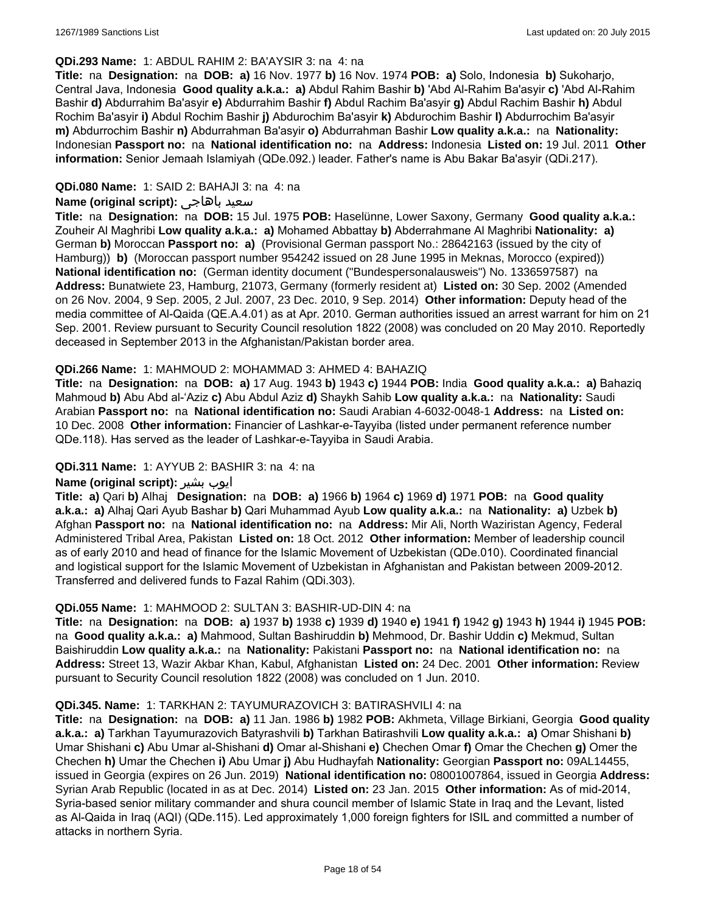#### **QDi.293 Name:** 1: ABDUL RAHIM 2: BA'AYSIR 3: na 4: na

**Title:** na **Designation:** na **DOB: a)** 16 Nov. 1977 **b)** 16 Nov. 1974 **POB: a)** Solo, Indonesia **b)** Sukoharjo, Central Java, Indonesia **Good quality a.k.a.: a)** Abdul Rahim Bashir **b)** 'Abd Al-Rahim Ba'asyir **c)** 'Abd Al-Rahim Bashir **d)** Abdurrahim Ba'asyir **e)** Abdurrahim Bashir **f)** Abdul Rachim Ba'asyir **g)** Abdul Rachim Bashir **h)** Abdul Rochim Ba'asyir **i)** Abdul Rochim Bashir **j)** Abdurochim Ba'asyir **k)** Abdurochim Bashir **l)** Abdurrochim Ba'asyir **m)** Abdurrochim Bashir **n)** Abdurrahman Ba'asyir **o)** Abdurrahman Bashir **Low quality a.k.a.:** na **Nationality:** Indonesian **Passport no:** na **National identification no:** na **Address:** Indonesia **Listed on:** 19 Jul. 2011 **Other information:** Senior Jemaah Islamiyah (QDe.092.) leader. Father's name is Abu Bakar Ba'asyir (QDi.217).

### **QDi.080 Name:** 1: SAID 2: BAHAJI 3: na 4: na

### **Name (original script):** باهاجى سعيد

**Title:** na **Designation:** na **DOB:** 15 Jul. 1975 **POB:** Haselünne, Lower Saxony, Germany **Good quality a.k.a.:** Zouheir Al Maghribi **Low quality a.k.a.: a)** Mohamed Abbattay **b)** Abderrahmane Al Maghribi **Nationality: a)** German **b)** Moroccan **Passport no: a)** (Provisional German passport No.: 28642163 (issued by the city of Hamburg)) **b)** (Moroccan passport number 954242 issued on 28 June 1995 in Meknas, Morocco (expired)) **National identification no:** (German identity document ("Bundespersonalausweis") No. 1336597587) na **Address:** Bunatwiete 23, Hamburg, 21073, Germany (formerly resident at) **Listed on:** 30 Sep. 2002 (Amended on 26 Nov. 2004, 9 Sep. 2005, 2 Jul. 2007, 23 Dec. 2010, 9 Sep. 2014) **Other information:** Deputy head of the media committee of Al-Qaida (QE.A.4.01) as at Apr. 2010. German authorities issued an arrest warrant for him on 21 Sep. 2001. Review pursuant to Security Council resolution 1822 (2008) was concluded on 20 May 2010. Reportedly deceased in September 2013 in the Afghanistan/Pakistan border area.

#### **QDi.266 Name:** 1: MAHMOUD 2: MOHAMMAD 3: AHMED 4: BAHAZIQ

**Title:** na **Designation:** na **DOB: a)** 17 Aug. 1943 **b)** 1943 **c)** 1944 **POB:** India **Good quality a.k.a.: a)** Bahaziq Mahmoud **b)** Abu Abd al-'Aziz **c)** Abu Abdul Aziz **d)** Shaykh Sahib **Low quality a.k.a.:** na **Nationality:** Saudi Arabian **Passport no:** na **National identification no:** Saudi Arabian 4-6032-0048-1 **Address:** na **Listed on:** 10 Dec. 2008 **Other information:** Financier of Lashkar-e-Tayyiba (listed under permanent reference number QDe.118). Has served as the leader of Lashkar-e-Tayyiba in Saudi Arabia.

#### **QDi.311 Name:** 1: AYYUB 2: BASHIR 3: na 4: na

#### **Name (original script):** بشیر ایوب

**Title: a)** Qari **b)** Alhaj **Designation:** na **DOB: a)** 1966 **b)** 1964 **c)** 1969 **d)** 1971 **POB:** na **Good quality a.k.a.: a)** Alhaj Qari Ayub Bashar **b)** Qari Muhammad Ayub **Low quality a.k.a.:** na **Nationality: a)** Uzbek **b)** Afghan **Passport no:** na **National identification no:** na **Address:** Mir Ali, North Waziristan Agency, Federal Administered Tribal Area, Pakistan **Listed on:** 18 Oct. 2012 **Other information:** Member of leadership council as of early 2010 and head of finance for the Islamic Movement of Uzbekistan (QDe.010). Coordinated financial and logistical support for the Islamic Movement of Uzbekistan in Afghanistan and Pakistan between 2009-2012. Transferred and delivered funds to Fazal Rahim (QDi.303).

#### **QDi.055 Name:** 1: MAHMOOD 2: SULTAN 3: BASHIR-UD-DIN 4: na

**Title:** na **Designation:** na **DOB: a)** 1937 **b)** 1938 **c)** 1939 **d)** 1940 **e)** 1941 **f)** 1942 **g)** 1943 **h)** 1944 **i)** 1945 **POB:**  na **Good quality a.k.a.: a)** Mahmood, Sultan Bashiruddin **b)** Mehmood, Dr. Bashir Uddin **c)** Mekmud, Sultan Baishiruddin **Low quality a.k.a.:** na **Nationality:** Pakistani **Passport no:** na **National identification no:** na **Address:** Street 13, Wazir Akbar Khan, Kabul, Afghanistan **Listed on:** 24 Dec. 2001 **Other information:** Review pursuant to Security Council resolution 1822 (2008) was concluded on 1 Jun. 2010.

#### **QDi.345. Name:** 1: TARKHAN 2: TAYUMURAZOVICH 3: BATIRASHVILI 4: na

**Title:** na **Designation:** na **DOB: a)** 11 Jan. 1986 **b)** 1982 **POB:** Akhmeta, Village Birkiani, Georgia **Good quality a.k.a.: a)** Tarkhan Tayumurazovich Batyrashvili **b)** Tarkhan Batirashvili **Low quality a.k.a.: a)** Omar Shishani **b)** Umar Shishani **c)** Abu Umar al-Shishani **d)** Omar al-Shishani **e)** Chechen Omar **f)** Omar the Chechen **g)** Omer the Chechen **h)** Umar the Chechen **i)** Abu Umar **j)** Abu Hudhayfah **Nationality:** Georgian **Passport no:** 09AL14455, issued in Georgia (expires on 26 Jun. 2019) **National identification no:** 08001007864, issued in Georgia **Address:** Syrian Arab Republic (located in as at Dec. 2014) **Listed on:** 23 Jan. 2015 **Other information:** As of mid-2014, Syria-based senior military commander and shura council member of Islamic State in Iraq and the Levant, listed as Al-Qaida in Iraq (AQI) (QDe.115). Led approximately 1,000 foreign fighters for ISIL and committed a number of attacks in northern Syria.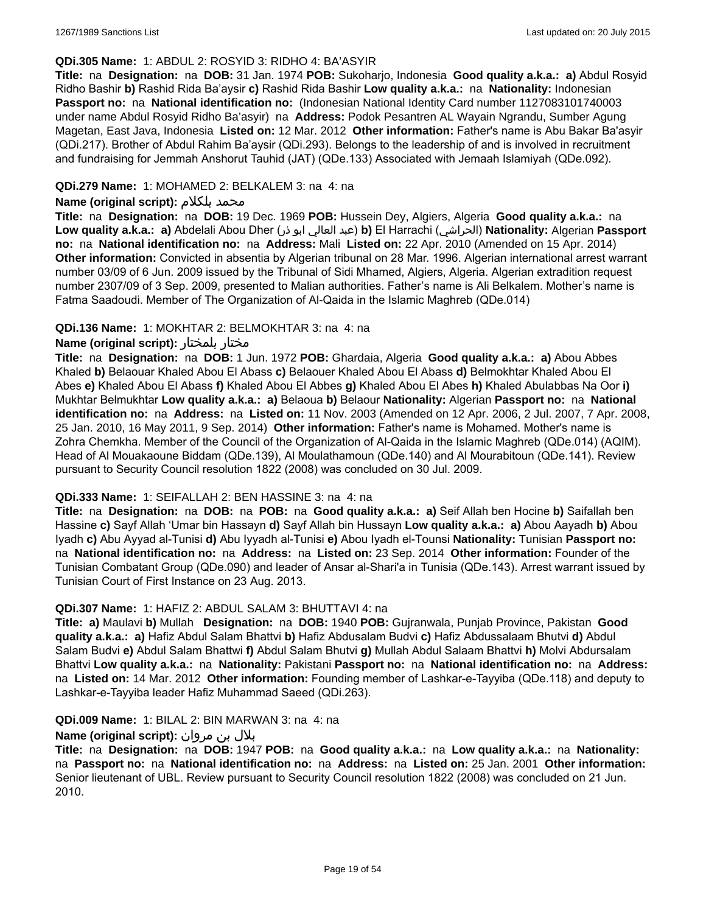### **QDi.305 Name:** 1: ABDUL 2: ROSYID 3: RIDHO 4: BA'ASYIR

**Title:** na **Designation:** na **DOB:** 31 Jan. 1974 **POB:** Sukoharjo, Indonesia **Good quality a.k.a.: a)** Abdul Rosyid Ridho Bashir **b)** Rashid Rida Ba'aysir **c)** Rashid Rida Bashir **Low quality a.k.a.:** na **Nationality:** Indonesian **Passport no:** na **National identification no:** (Indonesian National Identity Card number 1127083101740003 under name Abdul Rosyid Ridho Ba'asyir) na **Address:** Podok Pesantren AL Wayain Ngrandu, Sumber Agung Magetan, East Java, Indonesia **Listed on:** 12 Mar. 2012 **Other information:** Father's name is Abu Bakar Ba'asyir (QDi.217). Brother of Abdul Rahim Ba'aysir (QDi.293). Belongs to the leadership of and is involved in recruitment and fundraising for Jemmah Anshorut Tauhid (JAT) (QDe.133) Associated with Jemaah Islamiyah (QDe.092).

### **QDi.279 Name:** 1: MOHAMED 2: BELKALEM 3: na 4: na

#### **Name (original script):** بلكلام محمد

**Title:** na **Designation:** na **DOB:** 19 Dec. 1969 **POB:** Hussein Dey, Algiers, Algeria **Good quality a.k.a.:** na **Low quality a.k.a.: a)** Abdelali Abou Dher (ذر ابو العالي عبد(**b)** El Harrachi (الحراشي(**Nationality:** Algerian **Passport no:** na **National identification no:** na **Address:** Mali **Listed on:** 22 Apr. 2010 (Amended on 15 Apr. 2014) **Other information:** Convicted in absentia by Algerian tribunal on 28 Mar. 1996. Algerian international arrest warrant number 03/09 of 6 Jun. 2009 issued by the Tribunal of Sidi Mhamed, Algiers, Algeria. Algerian extradition request number 2307/09 of 3 Sep. 2009, presented to Malian authorities. Father's name is Ali Belkalem. Mother's name is Fatma Saadoudi. Member of The Organization of Al-Qaida in the Islamic Maghreb (QDe.014)

### **QDi.136 Name:** 1: MOKHTAR 2: BELMOKHTAR 3: na 4: na

### **Name (original script):** بلمختار مختار

**Title:** na **Designation:** na **DOB:** 1 Jun. 1972 **POB:** Ghardaia, Algeria **Good quality a.k.a.: a)** Abou Abbes Khaled **b)** Belaouar Khaled Abou El Abass **c)** Belaouer Khaled Abou El Abass **d)** Belmokhtar Khaled Abou El Abes **e)** Khaled Abou El Abass **f)** Khaled Abou El Abbes **g)** Khaled Abou El Abes **h)** Khaled Abulabbas Na Oor **i)** Mukhtar Belmukhtar **Low quality a.k.a.: a)** Belaoua **b)** Belaour **Nationality:** Algerian **Passport no:** na **National identification no:** na **Address:** na **Listed on:** 11 Nov. 2003 (Amended on 12 Apr. 2006, 2 Jul. 2007, 7 Apr. 2008, 25 Jan. 2010, 16 May 2011, 9 Sep. 2014) **Other information:** Father's name is Mohamed. Mother's name is Zohra Chemkha. Member of the Council of the Organization of Al-Qaida in the Islamic Maghreb (QDe.014) (AQIM). Head of Al Mouakaoune Biddam (QDe.139), Al Moulathamoun (QDe.140) and Al Mourabitoun (QDe.141). Review pursuant to Security Council resolution 1822 (2008) was concluded on 30 Jul. 2009.

### **QDi.333 Name:** 1: SEIFALLAH 2: BEN HASSINE 3: na 4: na

**Title:** na **Designation:** na **DOB:** na **POB:** na **Good quality a.k.a.: a)** Seif Allah ben Hocine **b)** Saifallah ben Hassine **c)** Sayf Allah 'Umar bin Hassayn **d)** Sayf Allah bin Hussayn **Low quality a.k.a.: a)** Abou Aayadh **b)** Abou Iyadh **c)** Abu Ayyad al-Tunisi **d)** Abu Iyyadh al-Tunisi **e)** Abou Iyadh el-Tounsi **Nationality:** Tunisian **Passport no:**  na **National identification no:** na **Address:** na **Listed on:** 23 Sep. 2014 **Other information:** Founder of the Tunisian Combatant Group (QDe.090) and leader of Ansar al-Shari'a in Tunisia (QDe.143). Arrest warrant issued by Tunisian Court of First Instance on 23 Aug. 2013.

### **QDi.307 Name:** 1: HAFIZ 2: ABDUL SALAM 3: BHUTTAVI 4: na

**Title: a)** Maulavi **b)** Mullah **Designation:** na **DOB:** 1940 **POB:** Gujranwala, Punjab Province, Pakistan **Good quality a.k.a.: a)** Hafiz Abdul Salam Bhattvi **b)** Hafiz Abdusalam Budvi **c)** Hafiz Abdussalaam Bhutvi **d)** Abdul Salam Budvi **e)** Abdul Salam Bhattwi **f)** Abdul Salam Bhutvi **g)** Mullah Abdul Salaam Bhattvi **h)** Molvi Abdursalam Bhattvi **Low quality a.k.a.:** na **Nationality:** Pakistani **Passport no:** na **National identification no:** na **Address:** na **Listed on:** 14 Mar. 2012 **Other information:** Founding member of Lashkar-e-Tayyiba (QDe.118) and deputy to Lashkar-e-Tayyiba leader Hafiz Muhammad Saeed (QDi.263).

#### **QDi.009 Name:** 1: BILAL 2: BIN MARWAN 3: na 4: na

# بلال بن مروان **:(script original (Name**

**Title:** na **Designation:** na **DOB:** 1947 **POB:** na **Good quality a.k.a.:** na **Low quality a.k.a.:** na **Nationality:**  na **Passport no:** na **National identification no:** na **Address:** na **Listed on:** 25 Jan. 2001 **Other information:** Senior lieutenant of UBL. Review pursuant to Security Council resolution 1822 (2008) was concluded on 21 Jun. 2010.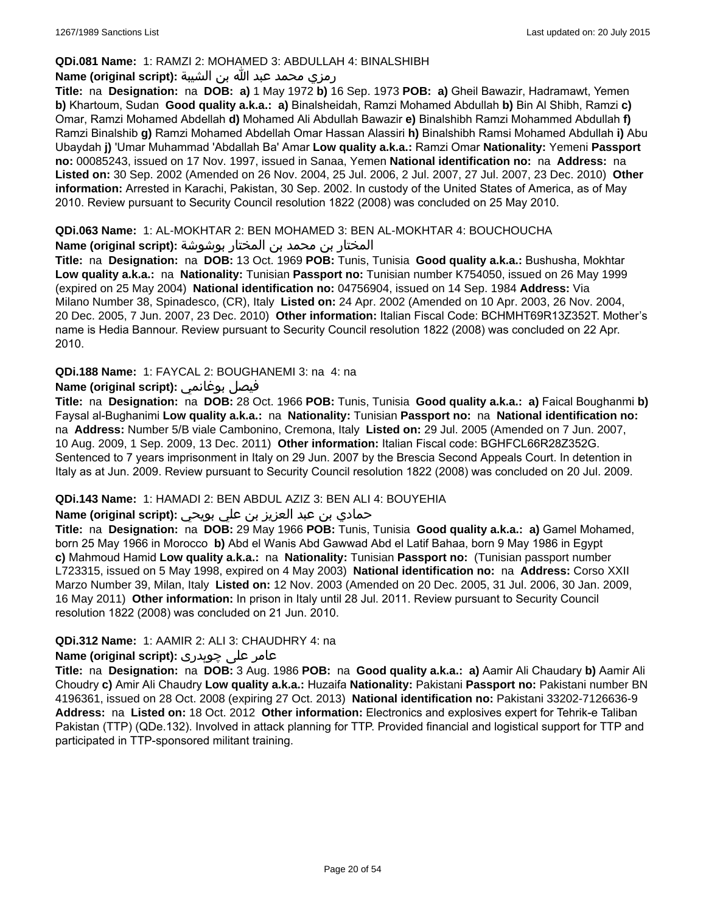### **QDi.081 Name:** 1: RAMZI 2: MOHAMED 3: ABDULLAH 4: BINALSHIBH

### رمزي محمد عبد الله بن الشيبة **:(script original (Name**

**Title:** na **Designation:** na **DOB: a)** 1 May 1972 **b)** 16 Sep. 1973 **POB: a)** Gheil Bawazir, Hadramawt, Yemen **b)** Khartoum, Sudan **Good quality a.k.a.: a)** Binalsheidah, Ramzi Mohamed Abdullah **b)** Bin Al Shibh, Ramzi **c)** Omar, Ramzi Mohamed Abdellah **d)** Mohamed Ali Abdullah Bawazir **e)** Binalshibh Ramzi Mohammed Abdullah **f)** Ramzi Binalshib **g)** Ramzi Mohamed Abdellah Omar Hassan Alassiri **h)** Binalshibh Ramsi Mohamed Abdullah **i)** Abu Ubaydah **j)** 'Umar Muhammad 'Abdallah Ba' Amar **Low quality a.k.a.:** Ramzi Omar **Nationality:** Yemeni **Passport no:** 00085243, issued on 17 Nov. 1997, issued in Sanaa, Yemen **National identification no:** na **Address:** na **Listed on:** 30 Sep. 2002 (Amended on 26 Nov. 2004, 25 Jul. 2006, 2 Jul. 2007, 27 Jul. 2007, 23 Dec. 2010) **Other information:** Arrested in Karachi, Pakistan, 30 Sep. 2002. In custody of the United States of America, as of May 2010. Review pursuant to Security Council resolution 1822 (2008) was concluded on 25 May 2010.

### **QDi.063 Name:** 1: AL-MOKHTAR 2: BEN MOHAMED 3: BEN AL-MOKHTAR 4: BOUCHOUCHA

المختار بن محمد بن المختار بوشوشة **:(script original (Name**

**Title:** na **Designation:** na **DOB:** 13 Oct. 1969 **POB:** Tunis, Tunisia **Good quality a.k.a.:** Bushusha, Mokhtar **Low quality a.k.a.:** na **Nationality:** Tunisian **Passport no:** Tunisian number K754050, issued on 26 May 1999 (expired on 25 May 2004) **National identification no:** 04756904, issued on 14 Sep. 1984 **Address:** Via Milano Number 38, Spinadesco, (CR), Italy **Listed on:** 24 Apr. 2002 (Amended on 10 Apr. 2003, 26 Nov. 2004, 20 Dec. 2005, 7 Jun. 2007, 23 Dec. 2010) **Other information:** Italian Fiscal Code: BCHMHT69R13Z352T. Mother's name is Hedia Bannour. Review pursuant to Security Council resolution 1822 (2008) was concluded on 22 Apr. 2010.

**QDi.188 Name:** 1: FAYCAL 2: BOUGHANEMI 3: na 4: na

### **Name (original script):** بوغانمي فيصل

**Title:** na **Designation:** na **DOB:** 28 Oct. 1966 **POB:** Tunis, Tunisia **Good quality a.k.a.: a)** Faical Boughanmi **b)** Faysal al-Bughanimi **Low quality a.k.a.:** na **Nationality:** Tunisian **Passport no:** na **National identification no:**  na **Address:** Number 5/B viale Cambonino, Cremona, Italy **Listed on:** 29 Jul. 2005 (Amended on 7 Jun. 2007, 10 Aug. 2009, 1 Sep. 2009, 13 Dec. 2011) **Other information:** Italian Fiscal code: BGHFCL66R28Z352G. Sentenced to 7 years imprisonment in Italy on 29 Jun. 2007 by the Brescia Second Appeals Court. In detention in Italy as at Jun. 2009. Review pursuant to Security Council resolution 1822 (2008) was concluded on 20 Jul. 2009.

#### **QDi.143 Name:** 1: HAMADI 2: BEN ABDUL AZIZ 3: BEN ALI 4: BOUYEHIA

## حمادي بن عبد العزيز بن علي بويحي **:(script original (Name**

**Title:** na **Designation:** na **DOB:** 29 May 1966 **POB:** Tunis, Tunisia **Good quality a.k.a.: a)** Gamel Mohamed, born 25 May 1966 in Morocco **b)** Abd el Wanis Abd Gawwad Abd el Latif Bahaa, born 9 May 1986 in Egypt **c)** Mahmoud Hamid **Low quality a.k.a.:** na **Nationality:** Tunisian **Passport no:** (Tunisian passport number L723315, issued on 5 May 1998, expired on 4 May 2003) **National identification no:** na **Address:** Corso XXII Marzo Number 39, Milan, Italy **Listed on:** 12 Nov. 2003 (Amended on 20 Dec. 2005, 31 Jul. 2006, 30 Jan. 2009, 16 May 2011) **Other information:** In prison in Italy until 28 Jul. 2011. Review pursuant to Security Council resolution 1822 (2008) was concluded on 21 Jun. 2010.

#### **QDi.312 Name:** 1: AAMIR 2: ALI 3: CHAUDHRY 4: na

#### عامر علی چوہدری **:(script original (Name**

**Title:** na **Designation:** na **DOB:** 3 Aug. 1986 **POB:** na **Good quality a.k.a.: a)** Aamir Ali Chaudary **b)** Aamir Ali Choudry **c)** Amir Ali Chaudry **Low quality a.k.a.:** Huzaifa **Nationality:** Pakistani **Passport no:** Pakistani number BN 4196361, issued on 28 Oct. 2008 (expiring 27 Oct. 2013) **National identification no:** Pakistani 33202-7126636-9 **Address:** na **Listed on:** 18 Oct. 2012 **Other information:** Electronics and explosives expert for Tehrik-e Taliban Pakistan (TTP) (QDe.132). Involved in attack planning for TTP. Provided financial and logistical support for TTP and participated in TTP-sponsored militant training.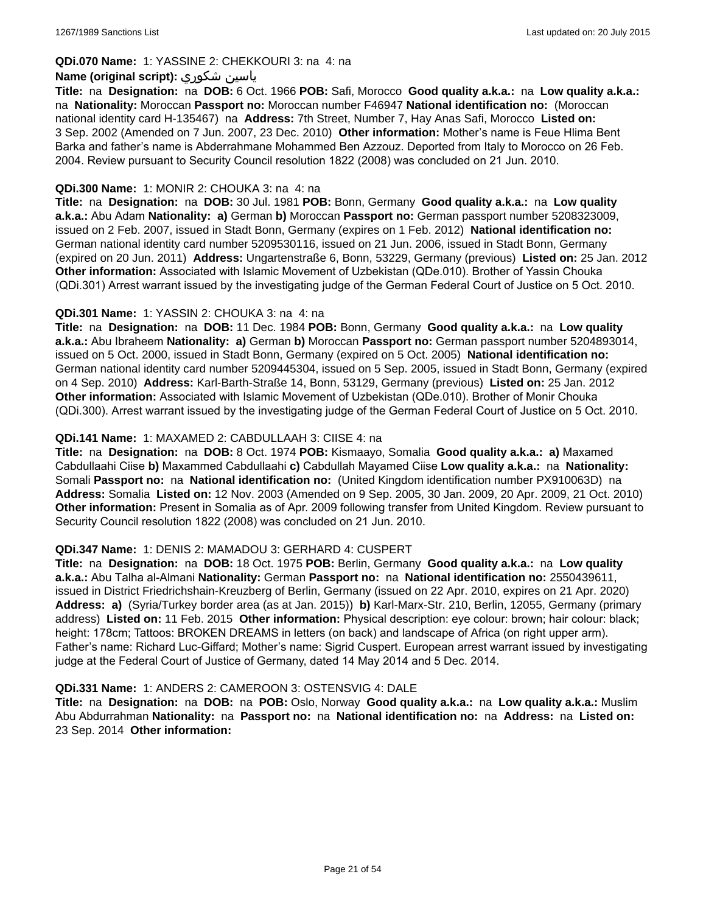## **QDi.070 Name:** 1: YASSINE 2: CHEKKOURI 3: na 4: na

### **Name (original script):** شكوري ياسين

**Title:** na **Designation:** na **DOB:** 6 Oct. 1966 **POB:** Safi, Morocco **Good quality a.k.a.:** na **Low quality a.k.a.:**  na **Nationality:** Moroccan **Passport no:** Moroccan number F46947 **National identification no:** (Moroccan national identity card H-135467) na **Address:** 7th Street, Number 7, Hay Anas Safi, Morocco **Listed on:** 3 Sep. 2002 (Amended on 7 Jun. 2007, 23 Dec. 2010) **Other information:** Mother's name is Feue Hlima Bent Barka and father's name is Abderrahmane Mohammed Ben Azzouz. Deported from Italy to Morocco on 26 Feb. 2004. Review pursuant to Security Council resolution 1822 (2008) was concluded on 21 Jun. 2010.

### **QDi.300 Name:** 1: MONIR 2: CHOUKA 3: na 4: na

**Title:** na **Designation:** na **DOB:** 30 Jul. 1981 **POB:** Bonn, Germany **Good quality a.k.a.:** na **Low quality a.k.a.:** Abu Adam **Nationality: a)** German **b)** Moroccan **Passport no:** German passport number 5208323009, issued on 2 Feb. 2007, issued in Stadt Bonn, Germany (expires on 1 Feb. 2012) **National identification no:** German national identity card number 5209530116, issued on 21 Jun. 2006, issued in Stadt Bonn, Germany (expired on 20 Jun. 2011) **Address:** Ungartenstraße 6, Bonn, 53229, Germany (previous) **Listed on:** 25 Jan. 2012 **Other information:** Associated with Islamic Movement of Uzbekistan (QDe.010). Brother of Yassin Chouka (QDi.301) Arrest warrant issued by the investigating judge of the German Federal Court of Justice on 5 Oct. 2010.

### **QDi.301 Name:** 1: YASSIN 2: CHOUKA 3: na 4: na

**Title:** na **Designation:** na **DOB:** 11 Dec. 1984 **POB:** Bonn, Germany **Good quality a.k.a.:** na **Low quality a.k.a.:** Abu Ibraheem **Nationality: a)** German **b)** Moroccan **Passport no:** German passport number 5204893014, issued on 5 Oct. 2000, issued in Stadt Bonn, Germany (expired on 5 Oct. 2005) **National identification no:** German national identity card number 5209445304, issued on 5 Sep. 2005, issued in Stadt Bonn, Germany (expired on 4 Sep. 2010) **Address:** Karl-Barth-Straße 14, Bonn, 53129, Germany (previous) **Listed on:** 25 Jan. 2012 **Other information:** Associated with Islamic Movement of Uzbekistan (QDe.010). Brother of Monir Chouka (QDi.300). Arrest warrant issued by the investigating judge of the German Federal Court of Justice on 5 Oct. 2010.

### **QDi.141 Name:** 1: MAXAMED 2: CABDULLAAH 3: CIISE 4: na

**Title:** na **Designation:** na **DOB:** 8 Oct. 1974 **POB:** Kismaayo, Somalia **Good quality a.k.a.: a)** Maxamed Cabdullaahi Ciise **b)** Maxammed Cabdullaahi **c)** Cabdullah Mayamed Ciise **Low quality a.k.a.:** na **Nationality:** Somali **Passport no:** na **National identification no:** (United Kingdom identification number PX910063D) na **Address:** Somalia **Listed on:** 12 Nov. 2003 (Amended on 9 Sep. 2005, 30 Jan. 2009, 20 Apr. 2009, 21 Oct. 2010) **Other information:** Present in Somalia as of Apr. 2009 following transfer from United Kingdom. Review pursuant to Security Council resolution 1822 (2008) was concluded on 21 Jun. 2010.

#### **QDi.347 Name:** 1: DENIS 2: MAMADOU 3: GERHARD 4: CUSPERT

**Title:** na **Designation:** na **DOB:** 18 Oct. 1975 **POB:** Berlin, Germany **Good quality a.k.a.:** na **Low quality a.k.a.:** Abu Talha al-Almani **Nationality:** German **Passport no:** na **National identification no:** 2550439611, issued in District Friedrichshain-Kreuzberg of Berlin, Germany (issued on 22 Apr. 2010, expires on 21 Apr. 2020) **Address: a)** (Syria/Turkey border area (as at Jan. 2015)) **b)** Karl-Marx-Str. 210, Berlin, 12055, Germany (primary address) **Listed on:** 11 Feb. 2015 **Other information:** Physical description: eye colour: brown; hair colour: black; height: 178cm; Tattoos: BROKEN DREAMS in letters (on back) and landscape of Africa (on right upper arm). Father's name: Richard Luc-Giffard; Mother's name: Sigrid Cuspert. European arrest warrant issued by investigating judge at the Federal Court of Justice of Germany, dated 14 May 2014 and 5 Dec. 2014.

#### **QDi.331 Name:** 1: ANDERS 2: CAMEROON 3: OSTENSVIG 4: DALE

**Title:** na **Designation:** na **DOB:** na **POB:** Oslo, Norway **Good quality a.k.a.:** na **Low quality a.k.a.:** Muslim Abu Abdurrahman **Nationality:** na **Passport no:** na **National identification no:** na **Address:** na **Listed on:** 23 Sep. 2014 **Other information:**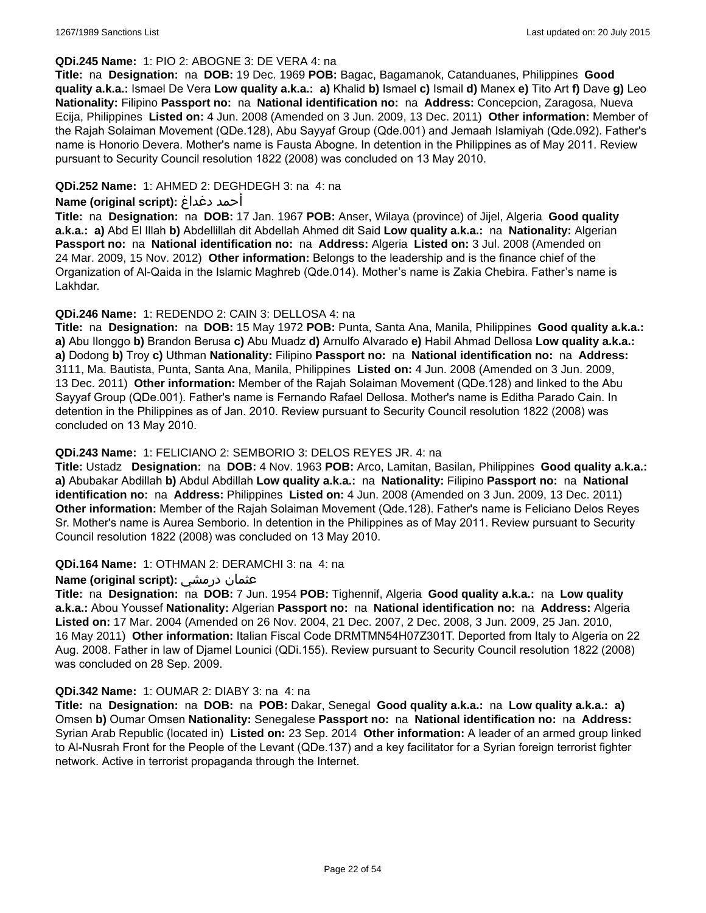#### **QDi.245 Name:** 1: PIO 2: ABOGNE 3: DE VERA 4: na

**Title:** na **Designation:** na **DOB:** 19 Dec. 1969 **POB:** Bagac, Bagamanok, Catanduanes, Philippines **Good quality a.k.a.:** Ismael De Vera **Low quality a.k.a.: a)** Khalid **b)** Ismael **c)** Ismail **d)** Manex **e)** Tito Art **f)** Dave **g)** Leo **Nationality:** Filipino **Passport no:** na **National identification no:** na **Address:** Concepcion, Zaragosa, Nueva Ecija, Philippines **Listed on:** 4 Jun. 2008 (Amended on 3 Jun. 2009, 13 Dec. 2011) **Other information:** Member of the Rajah Solaiman Movement (QDe.128), Abu Sayyaf Group (Qde.001) and Jemaah Islamiyah (Qde.092). Father's name is Honorio Devera. Mother's name is Fausta Abogne. In detention in the Philippines as of May 2011. Review pursuant to Security Council resolution 1822 (2008) was concluded on 13 May 2010.

### **QDi.252 Name:** 1: AHMED 2: DEGHDEGH 3: na 4: na

#### **Name (original script):** دغداغ أحمد

**Title:** na **Designation:** na **DOB:** 17 Jan. 1967 **POB:** Anser, Wilaya (province) of Jijel, Algeria **Good quality a.k.a.: a)** Abd El Illah **b)** Abdellillah dit Abdellah Ahmed dit Said **Low quality a.k.a.:** na **Nationality:** Algerian **Passport no:** na **National identification no:** na **Address:** Algeria **Listed on:** 3 Jul. 2008 (Amended on 24 Mar. 2009, 15 Nov. 2012) **Other information:** Belongs to the leadership and is the finance chief of the Organization of Al-Qaida in the Islamic Maghreb (Qde.014). Mother's name is Zakia Chebira. Father's name is Lakhdar.

### **QDi.246 Name:** 1: REDENDO 2: CAIN 3: DELLOSA 4: na

**Title:** na **Designation:** na **DOB:** 15 May 1972 **POB:** Punta, Santa Ana, Manila, Philippines **Good quality a.k.a.: a)** Abu Ilonggo **b)** Brandon Berusa **c)** Abu Muadz **d)** Arnulfo Alvarado **e)** Habil Ahmad Dellosa **Low quality a.k.a.: a)** Dodong **b)** Troy **c)** Uthman **Nationality:** Filipino **Passport no:** na **National identification no:** na **Address:** 3111, Ma. Bautista, Punta, Santa Ana, Manila, Philippines **Listed on:** 4 Jun. 2008 (Amended on 3 Jun. 2009, 13 Dec. 2011) **Other information:** Member of the Rajah Solaiman Movement (QDe.128) and linked to the Abu Sayyaf Group (QDe.001). Father's name is Fernando Rafael Dellosa. Mother's name is Editha Parado Cain. In detention in the Philippines as of Jan. 2010. Review pursuant to Security Council resolution 1822 (2008) was concluded on 13 May 2010.

### **QDi.243 Name:** 1: FELICIANO 2: SEMBORIO 3: DELOS REYES JR. 4: na

**Title:** Ustadz **Designation:** na **DOB:** 4 Nov. 1963 **POB:** Arco, Lamitan, Basilan, Philippines **Good quality a.k.a.: a)** Abubakar Abdillah **b)** Abdul Abdillah **Low quality a.k.a.:** na **Nationality:** Filipino **Passport no:** na **National identification no:** na **Address:** Philippines **Listed on:** 4 Jun. 2008 (Amended on 3 Jun. 2009, 13 Dec. 2011) **Other information:** Member of the Rajah Solaiman Movement (Qde.128). Father's name is Feliciano Delos Reyes Sr. Mother's name is Aurea Semborio. In detention in the Philippines as of May 2011. Review pursuant to Security Council resolution 1822 (2008) was concluded on 13 May 2010.

#### **QDi.164 Name:** 1: OTHMAN 2: DERAMCHI 3: na 4: na

#### **Name (original script):** درمشي عثمان

**Title:** na **Designation:** na **DOB:** 7 Jun. 1954 **POB:** Tighennif, Algeria **Good quality a.k.a.:** na **Low quality a.k.a.:** Abou Youssef **Nationality:** Algerian **Passport no:** na **National identification no:** na **Address:** Algeria **Listed on:** 17 Mar. 2004 (Amended on 26 Nov. 2004, 21 Dec. 2007, 2 Dec. 2008, 3 Jun. 2009, 25 Jan. 2010, 16 May 2011) **Other information:** Italian Fiscal Code DRMTMN54H07Z301T. Deported from Italy to Algeria on 22 Aug. 2008. Father in law of Djamel Lounici (QDi.155). Review pursuant to Security Council resolution 1822 (2008) was concluded on 28 Sep. 2009.

#### **QDi.342 Name:** 1: OUMAR 2: DIABY 3: na 4: na

**Title:** na **Designation:** na **DOB:** na **POB:** Dakar, Senegal **Good quality a.k.a.:** na **Low quality a.k.a.: a)** Omsen **b)** Oumar Omsen **Nationality:** Senegalese **Passport no:** na **National identification no:** na **Address:** Syrian Arab Republic (located in) **Listed on:** 23 Sep. 2014 **Other information:** A leader of an armed group linked to Al-Nusrah Front for the People of the Levant (QDe.137) and a key facilitator for a Syrian foreign terrorist fighter network. Active in terrorist propaganda through the Internet.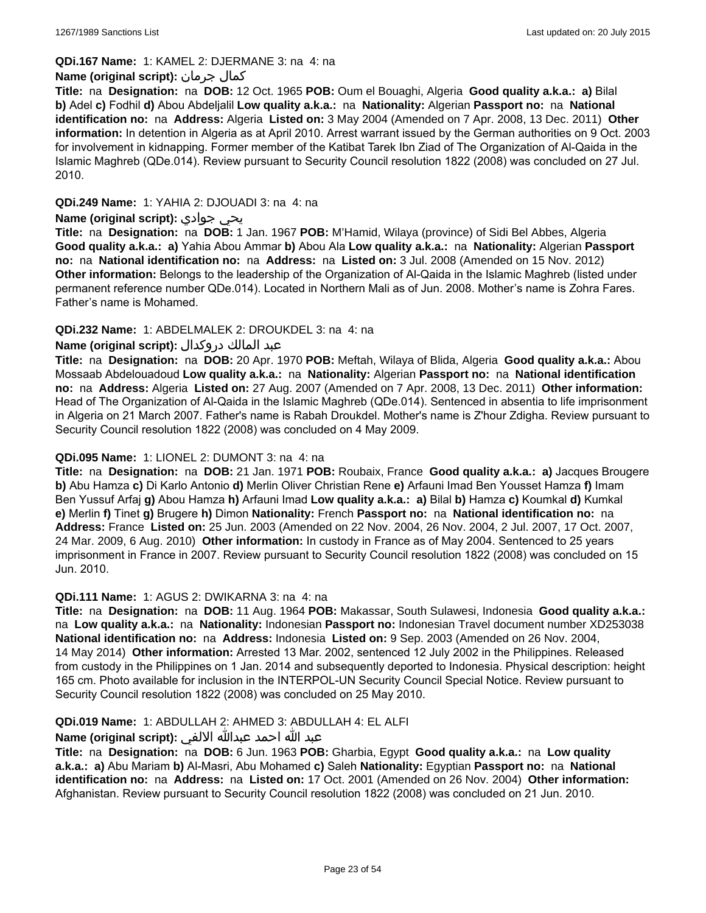**QDi.167 Name:** 1: KAMEL 2: DJERMANE 3: na 4: na

### **Name (original script):** جرمان كمال

**Title:** na **Designation:** na **DOB:** 12 Oct. 1965 **POB:** Oum el Bouaghi, Algeria **Good quality a.k.a.: a)** Bilal **b)** Adel **c)** Fodhil **d)** Abou Abdeljalil **Low quality a.k.a.:** na **Nationality:** Algerian **Passport no:** na **National identification no:** na **Address:** Algeria **Listed on:** 3 May 2004 (Amended on 7 Apr. 2008, 13 Dec. 2011) **Other information:** In detention in Algeria as at April 2010. Arrest warrant issued by the German authorities on 9 Oct. 2003 for involvement in kidnapping. Former member of the Katibat Tarek Ibn Ziad of The Organization of Al-Qaida in the Islamic Maghreb (QDe.014). Review pursuant to Security Council resolution 1822 (2008) was concluded on 27 Jul. 2010.

### **QDi.249 Name:** 1: YAHIA 2: DJOUADI 3: na 4: na

### **Name (original script):** جوادي يحي

**Title:** na **Designation:** na **DOB:** 1 Jan. 1967 **POB:** M'Hamid, Wilaya (province) of Sidi Bel Abbes, Algeria **Good quality a.k.a.: a)** Yahia Abou Ammar **b)** Abou Ala **Low quality a.k.a.:** na **Nationality:** Algerian **Passport no:** na **National identification no:** na **Address:** na **Listed on:** 3 Jul. 2008 (Amended on 15 Nov. 2012) **Other information:** Belongs to the leadership of the Organization of Al-Qaida in the Islamic Maghreb (listed under permanent reference number QDe.014). Located in Northern Mali as of Jun. 2008. Mother's name is Zohra Fares. Father's name is Mohamed.

### **QDi.232 Name:** 1: ABDELMALEK 2: DROUKDEL 3: na 4: na

### عبد المالك دروكدال **:(script original (Name**

**Title:** na **Designation:** na **DOB:** 20 Apr. 1970 **POB:** Meftah, Wilaya of Blida, Algeria **Good quality a.k.a.:** Abou Mossaab Abdelouadoud **Low quality a.k.a.:** na **Nationality:** Algerian **Passport no:** na **National identification no:** na **Address:** Algeria **Listed on:** 27 Aug. 2007 (Amended on 7 Apr. 2008, 13 Dec. 2011) **Other information:** Head of The Organization of Al-Qaida in the Islamic Maghreb (QDe.014). Sentenced in absentia to life imprisonment in Algeria on 21 March 2007. Father's name is Rabah Droukdel. Mother's name is Z'hour Zdigha. Review pursuant to Security Council resolution 1822 (2008) was concluded on 4 May 2009.

#### **QDi.095 Name:** 1: LIONEL 2: DUMONT 3: na 4: na

**Title:** na **Designation:** na **DOB:** 21 Jan. 1971 **POB:** Roubaix, France **Good quality a.k.a.: a)** Jacques Brougere **b)** Abu Hamza **c)** Di Karlo Antonio **d)** Merlin Oliver Christian Rene **e)** Arfauni Imad Ben Yousset Hamza **f)** Imam Ben Yussuf Arfaj **g)** Abou Hamza **h)** Arfauni Imad **Low quality a.k.a.: a)** Bilal **b)** Hamza **c)** Koumkal **d)** Kumkal **e)** Merlin **f)** Tinet **g)** Brugere **h)** Dimon **Nationality:** French **Passport no:** na **National identification no:** na **Address:** France **Listed on:** 25 Jun. 2003 (Amended on 22 Nov. 2004, 26 Nov. 2004, 2 Jul. 2007, 17 Oct. 2007, 24 Mar. 2009, 6 Aug. 2010) **Other information:** In custody in France as of May 2004. Sentenced to 25 years imprisonment in France in 2007. Review pursuant to Security Council resolution 1822 (2008) was concluded on 15 Jun. 2010.

#### **QDi.111 Name:** 1: AGUS 2: DWIKARNA 3: na 4: na

**Title:** na **Designation:** na **DOB:** 11 Aug. 1964 **POB:** Makassar, South Sulawesi, Indonesia **Good quality a.k.a.:**  na **Low quality a.k.a.:** na **Nationality:** Indonesian **Passport no:** Indonesian Travel document number XD253038 **National identification no:** na **Address:** Indonesia **Listed on:** 9 Sep. 2003 (Amended on 26 Nov. 2004, 14 May 2014) **Other information:** Arrested 13 Mar. 2002, sentenced 12 July 2002 in the Philippines. Released from custody in the Philippines on 1 Jan. 2014 and subsequently deported to Indonesia. Physical description: height 165 cm. Photo available for inclusion in the INTERPOL-UN Security Council Special Notice. Review pursuant to Security Council resolution 1822 (2008) was concluded on 25 May 2010.

#### **QDi.019 Name:** 1: ABDULLAH 2: AHMED 3: ABDULLAH 4: EL ALFI

### عبد الله احمد عبدالله الالفي **:(script original (Name**

**Title:** na **Designation:** na **DOB:** 6 Jun. 1963 **POB:** Gharbia, Egypt **Good quality a.k.a.:** na **Low quality a.k.a.: a)** Abu Mariam **b)** Al-Masri, Abu Mohamed **c)** Saleh **Nationality:** Egyptian **Passport no:** na **National identification no:** na **Address:** na **Listed on:** 17 Oct. 2001 (Amended on 26 Nov. 2004) **Other information:** Afghanistan. Review pursuant to Security Council resolution 1822 (2008) was concluded on 21 Jun. 2010.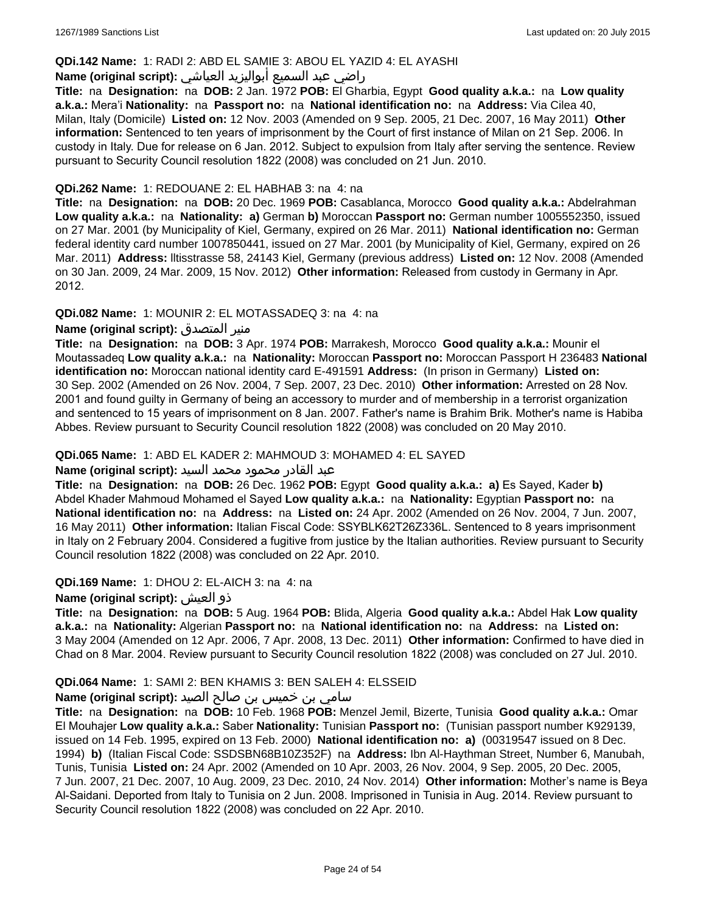#### **QDi.142 Name:** 1: RADI 2: ABD EL SAMIE 3: ABOU EL YAZID 4: EL AYASHI

# راضي عبد السميع أبواليزيد العياشي **:(script original (Name**

**Title:** na **Designation:** na **DOB:** 2 Jan. 1972 **POB:** El Gharbia, Egypt **Good quality a.k.a.:** na **Low quality a.k.a.:** Mera'i **Nationality:** na **Passport no:** na **National identification no:** na **Address:** Via Cilea 40, Milan, Italy (Domicile) **Listed on:** 12 Nov. 2003 (Amended on 9 Sep. 2005, 21 Dec. 2007, 16 May 2011) **Other information:** Sentenced to ten years of imprisonment by the Court of first instance of Milan on 21 Sep. 2006. In custody in Italy. Due for release on 6 Jan. 2012. Subject to expulsion from Italy after serving the sentence. Review pursuant to Security Council resolution 1822 (2008) was concluded on 21 Jun. 2010.

#### **QDi.262 Name:** 1: REDOUANE 2: EL HABHAB 3: na 4: na

**Title:** na **Designation:** na **DOB:** 20 Dec. 1969 **POB:** Casablanca, Morocco **Good quality a.k.a.:** Abdelrahman **Low quality a.k.a.:** na **Nationality: a)** German **b)** Moroccan **Passport no:** German number 1005552350, issued on 27 Mar. 2001 (by Municipality of Kiel, Germany, expired on 26 Mar. 2011) **National identification no:** German federal identity card number 1007850441, issued on 27 Mar. 2001 (by Municipality of Kiel, Germany, expired on 26 Mar. 2011) **Address:** lltisstrasse 58, 24143 Kiel, Germany (previous address) **Listed on:** 12 Nov. 2008 (Amended on 30 Jan. 2009, 24 Mar. 2009, 15 Nov. 2012) **Other information:** Released from custody in Germany in Apr. 2012.

### **QDi.082 Name:** 1: MOUNIR 2: EL MOTASSADEQ 3: na 4: na

### **Name (original script):** المتصدق منير

**Title:** na **Designation:** na **DOB:** 3 Apr. 1974 **POB:** Marrakesh, Morocco **Good quality a.k.a.:** Mounir el Moutassadeq **Low quality a.k.a.:** na **Nationality:** Moroccan **Passport no:** Moroccan Passport H 236483 **National identification no:** Moroccan national identity card E-491591 **Address:** (In prison in Germany) **Listed on:** 30 Sep. 2002 (Amended on 26 Nov. 2004, 7 Sep. 2007, 23 Dec. 2010) **Other information:** Arrested on 28 Nov. 2001 and found guilty in Germany of being an accessory to murder and of membership in a terrorist organization and sentenced to 15 years of imprisonment on 8 Jan. 2007. Father's name is Brahim Brik. Mother's name is Habiba Abbes. Review pursuant to Security Council resolution 1822 (2008) was concluded on 20 May 2010.

#### **QDi.065 Name:** 1: ABD EL KADER 2: MAHMOUD 3: MOHAMED 4: EL SAYED

#### عبد القادر محمود محمد السيد **:(script original (Name**

**Title:** na **Designation:** na **DOB:** 26 Dec. 1962 **POB:** Egypt **Good quality a.k.a.: a)** Es Sayed, Kader **b)** Abdel Khader Mahmoud Mohamed el Sayed **Low quality a.k.a.:** na **Nationality:** Egyptian **Passport no:** na **National identification no:** na **Address:** na **Listed on:** 24 Apr. 2002 (Amended on 26 Nov. 2004, 7 Jun. 2007, 16 May 2011) **Other information:** Italian Fiscal Code: SSYBLK62T26Z336L. Sentenced to 8 years imprisonment in Italy on 2 February 2004. Considered a fugitive from justice by the Italian authorities. Review pursuant to Security Council resolution 1822 (2008) was concluded on 22 Apr. 2010.

#### **QDi.169 Name:** 1: DHOU 2: EL-AICH 3: na 4: na

#### **Name (original script):** العيش ذو

**Title:** na **Designation:** na **DOB:** 5 Aug. 1964 **POB:** Blida, Algeria **Good quality a.k.a.:** Abdel Hak **Low quality a.k.a.:** na **Nationality:** Algerian **Passport no:** na **National identification no:** na **Address:** na **Listed on:** 3 May 2004 (Amended on 12 Apr. 2006, 7 Apr. 2008, 13 Dec. 2011) **Other information:** Confirmed to have died in Chad on 8 Mar. 2004. Review pursuant to Security Council resolution 1822 (2008) was concluded on 27 Jul. 2010.

#### **QDi.064 Name:** 1: SAMI 2: BEN KHAMIS 3: BEN SALEH 4: ELSSEID

### سامي بن خميس بن صالح الصيد **:(script original (Name**

**Title:** na **Designation:** na **DOB:** 10 Feb. 1968 **POB:** Menzel Jemil, Bizerte, Tunisia **Good quality a.k.a.:** Omar El Mouhajer **Low quality a.k.a.:** Saber **Nationality:** Tunisian **Passport no:** (Tunisian passport number K929139, issued on 14 Feb. 1995, expired on 13 Feb. 2000) **National identification no: a)** (00319547 issued on 8 Dec. 1994) **b)** (Italian Fiscal Code: SSDSBN68B10Z352F) na **Address:** Ibn Al-Haythman Street, Number 6, Manubah, Tunis, Tunisia **Listed on:** 24 Apr. 2002 (Amended on 10 Apr. 2003, 26 Nov. 2004, 9 Sep. 2005, 20 Dec. 2005, 7 Jun. 2007, 21 Dec. 2007, 10 Aug. 2009, 23 Dec. 2010, 24 Nov. 2014) **Other information:** Mother's name is Beya Al-Saidani. Deported from Italy to Tunisia on 2 Jun. 2008. Imprisoned in Tunisia in Aug. 2014. Review pursuant to Security Council resolution 1822 (2008) was concluded on 22 Apr. 2010.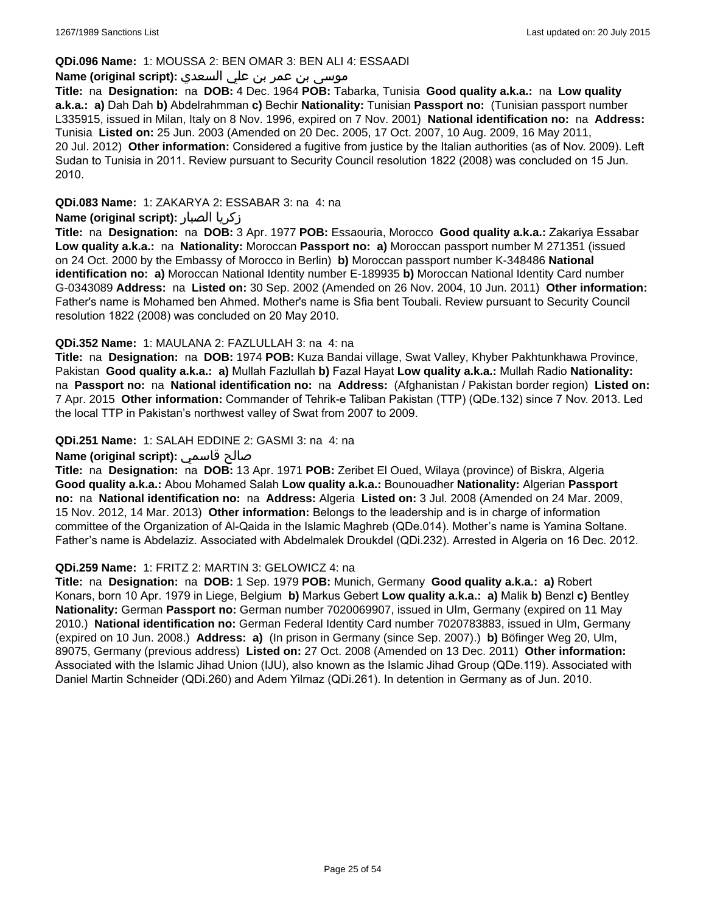### **QDi.096 Name:** 1: MOUSSA 2: BEN OMAR 3: BEN ALI 4: ESSAADI

## موسى بن عمر بن علي السعدي **:**Name (original script)

**Title:** na **Designation:** na **DOB:** 4 Dec. 1964 **POB:** Tabarka, Tunisia **Good quality a.k.a.:** na **Low quality a.k.a.: a)** Dah Dah **b)** Abdelrahmman **c)** Bechir **Nationality:** Tunisian **Passport no:** (Tunisian passport number L335915, issued in Milan, Italy on 8 Nov. 1996, expired on 7 Nov. 2001) **National identification no:** na **Address:** Tunisia **Listed on:** 25 Jun. 2003 (Amended on 20 Dec. 2005, 17 Oct. 2007, 10 Aug. 2009, 16 May 2011, 20 Jul. 2012) **Other information:** Considered a fugitive from justice by the Italian authorities (as of Nov. 2009). Left Sudan to Tunisia in 2011. Review pursuant to Security Council resolution 1822 (2008) was concluded on 15 Jun. 2010.

**QDi.083 Name:** 1: ZAKARYA 2: ESSABAR 3: na 4: na

### **Name (original script):** الصبار زكريا

**Title:** na **Designation:** na **DOB:** 3 Apr. 1977 **POB:** Essaouria, Morocco **Good quality a.k.a.:** Zakariya Essabar **Low quality a.k.a.:** na **Nationality:** Moroccan **Passport no: a)** Moroccan passport number M 271351 (issued on 24 Oct. 2000 by the Embassy of Morocco in Berlin) **b)** Moroccan passport number K-348486 **National identification no: a)** Moroccan National Identity number E-189935 **b)** Moroccan National Identity Card number G-0343089 **Address:** na **Listed on:** 30 Sep. 2002 (Amended on 26 Nov. 2004, 10 Jun. 2011) **Other information:** Father's name is Mohamed ben Ahmed. Mother's name is Sfia bent Toubali. Review pursuant to Security Council resolution 1822 (2008) was concluded on 20 May 2010.

### **QDi.352 Name:** 1: MAULANA 2: FAZLULLAH 3: na 4: na

**Title:** na **Designation:** na **DOB:** 1974 **POB:** Kuza Bandai village, Swat Valley, Khyber Pakhtunkhawa Province, Pakistan **Good quality a.k.a.: a)** Mullah Fazlullah **b)** Fazal Hayat **Low quality a.k.a.:** Mullah Radio **Nationality:**  na **Passport no:** na **National identification no:** na **Address:** (Afghanistan / Pakistan border region) **Listed on:** 7 Apr. 2015 **Other information:** Commander of Tehrik-e Taliban Pakistan (TTP) (QDe.132) since 7 Nov. 2013. Led the local TTP in Pakistan's northwest valley of Swat from 2007 to 2009.

### **QDi.251 Name:** 1: SALAH EDDINE 2: GASMI 3: na 4: na

### **Name (original script):** قاسمي صالح

**Title:** na **Designation:** na **DOB:** 13 Apr. 1971 **POB:** Zeribet El Oued, Wilaya (province) of Biskra, Algeria **Good quality a.k.a.:** Abou Mohamed Salah **Low quality a.k.a.:** Bounouadher **Nationality:** Algerian **Passport no:** na **National identification no:** na **Address:** Algeria **Listed on:** 3 Jul. 2008 (Amended on 24 Mar. 2009, 15 Nov. 2012, 14 Mar. 2013) **Other information:** Belongs to the leadership and is in charge of information committee of the Organization of Al-Qaida in the Islamic Maghreb (QDe.014). Mother's name is Yamina Soltane. Father's name is Abdelaziz. Associated with Abdelmalek Droukdel (QDi.232). Arrested in Algeria on 16 Dec. 2012.

#### **QDi.259 Name:** 1: FRITZ 2: MARTIN 3: GELOWICZ 4: na

**Title:** na **Designation:** na **DOB:** 1 Sep. 1979 **POB:** Munich, Germany **Good quality a.k.a.: a)** Robert Konars, born 10 Apr. 1979 in Liege, Belgium **b)** Markus Gebert **Low quality a.k.a.: a)** Malik **b)** Benzl **c)** Bentley **Nationality:** German **Passport no:** German number 7020069907, issued in Ulm, Germany (expired on 11 May 2010.) **National identification no:** German Federal Identity Card number 7020783883, issued in Ulm, Germany (expired on 10 Jun. 2008.) **Address: a)** (In prison in Germany (since Sep. 2007).) **b)** Böfinger Weg 20, Ulm, 89075, Germany (previous address) **Listed on:** 27 Oct. 2008 (Amended on 13 Dec. 2011) **Other information:** Associated with the Islamic Jihad Union (IJU), also known as the Islamic Jihad Group (QDe.119). Associated with Daniel Martin Schneider (QDi.260) and Adem Yilmaz (QDi.261). In detention in Germany as of Jun. 2010.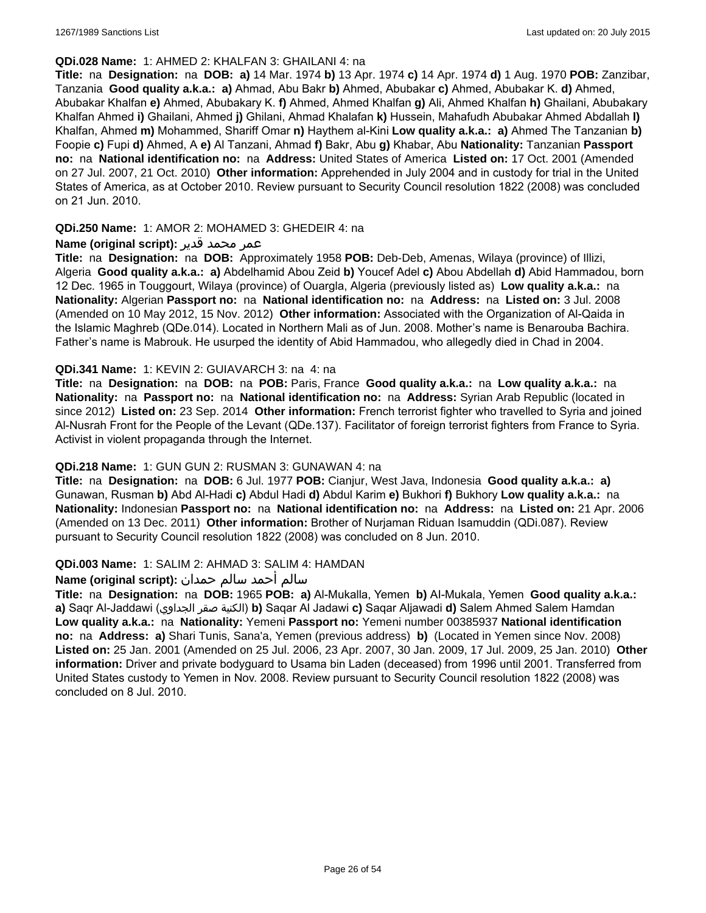#### **QDi.028 Name:** 1: AHMED 2: KHALFAN 3: GHAILANI 4: na

**Title:** na **Designation:** na **DOB: a)** 14 Mar. 1974 **b)** 13 Apr. 1974 **c)** 14 Apr. 1974 **d)** 1 Aug. 1970 **POB:** Zanzibar, Tanzania **Good quality a.k.a.: a)** Ahmad, Abu Bakr **b)** Ahmed, Abubakar **c)** Ahmed, Abubakar K. **d)** Ahmed, Abubakar Khalfan **e)** Ahmed, Abubakary K. **f)** Ahmed, Ahmed Khalfan **g)** Ali, Ahmed Khalfan **h)** Ghailani, Abubakary Khalfan Ahmed **i)** Ghailani, Ahmed **j)** Ghilani, Ahmad Khalafan **k)** Hussein, Mahafudh Abubakar Ahmed Abdallah **l)** Khalfan, Ahmed **m)** Mohammed, Shariff Omar **n)** Haythem al-Kini **Low quality a.k.a.: a)** Ahmed The Tanzanian **b)** Foopie **c)** Fupi **d)** Ahmed, A **e)** Al Tanzani, Ahmad **f)** Bakr, Abu **g)** Khabar, Abu **Nationality:** Tanzanian **Passport no:** na **National identification no:** na **Address:** United States of America **Listed on:** 17 Oct. 2001 (Amended on 27 Jul. 2007, 21 Oct. 2010) **Other information:** Apprehended in July 2004 and in custody for trial in the United States of America, as at October 2010. Review pursuant to Security Council resolution 1822 (2008) was concluded on 21 Jun. 2010.

### **QDi.250 Name:** 1: AMOR 2: MOHAMED 3: GHEDEIR 4: na

### عمر محمد قدير **:(script original (Name**

**Title:** na **Designation:** na **DOB:** Approximately 1958 **POB:** Deb-Deb, Amenas, Wilaya (province) of Illizi, Algeria **Good quality a.k.a.: a)** Abdelhamid Abou Zeid **b)** Youcef Adel **c)** Abou Abdellah **d)** Abid Hammadou, born 12 Dec. 1965 in Touggourt, Wilaya (province) of Ouargla, Algeria (previously listed as) **Low quality a.k.a.:** na **Nationality:** Algerian **Passport no:** na **National identification no:** na **Address:** na **Listed on:** 3 Jul. 2008 (Amended on 10 May 2012, 15 Nov. 2012) **Other information:** Associated with the Organization of Al-Qaida in the Islamic Maghreb (QDe.014). Located in Northern Mali as of Jun. 2008. Mother's name is Benarouba Bachira. Father's name is Mabrouk. He usurped the identity of Abid Hammadou, who allegedly died in Chad in 2004.

### **QDi.341 Name:** 1: KEVIN 2: GUIAVARCH 3: na 4: na

**Title:** na **Designation:** na **DOB:** na **POB:** Paris, France **Good quality a.k.a.:** na **Low quality a.k.a.:** na **Nationality:** na **Passport no:** na **National identification no:** na **Address:** Syrian Arab Republic (located in since 2012) **Listed on:** 23 Sep. 2014 **Other information:** French terrorist fighter who travelled to Syria and joined Al-Nusrah Front for the People of the Levant (QDe.137). Facilitator of foreign terrorist fighters from France to Syria. Activist in violent propaganda through the Internet.

#### **QDi.218 Name:** 1: GUN GUN 2: RUSMAN 3: GUNAWAN 4: na

**Title:** na **Designation:** na **DOB:** 6 Jul. 1977 **POB:** Cianjur, West Java, Indonesia **Good quality a.k.a.: a)** Gunawan, Rusman **b)** Abd Al-Hadi **c)** Abdul Hadi **d)** Abdul Karim **e)** Bukhori **f)** Bukhory **Low quality a.k.a.:** na **Nationality:** Indonesian **Passport no:** na **National identification no:** na **Address:** na **Listed on:** 21 Apr. 2006 (Amended on 13 Dec. 2011) **Other information:** Brother of Nurjaman Riduan Isamuddin (QDi.087). Review pursuant to Security Council resolution 1822 (2008) was concluded on 8 Jun. 2010.

#### **QDi.003 Name:** 1: SALIM 2: AHMAD 3: SALIM 4: HAMDAN

## سالم أحمد سالم حمدان **:(script original (Name**

**Title:** na **Designation:** na **DOB:** 1965 **POB: a)** Al-Mukalla, Yemen **b)** AI-Mukala, Yemen **Good quality a.k.a.: a)** Saqr Al-Jaddawi (الجداوي صقر الكنية(**b)** Saqar Al Jadawi **c)** Saqar Aljawadi **d)** Salem Ahmed Salem Hamdan **Low quality a.k.a.:** na **Nationality:** Yemeni **Passport no:** Yemeni number 00385937 **National identification no:** na **Address: a)** Shari Tunis, Sana'a, Yemen (previous address) **b)** (Located in Yemen since Nov. 2008) **Listed on:** 25 Jan. 2001 (Amended on 25 Jul. 2006, 23 Apr. 2007, 30 Jan. 2009, 17 Jul. 2009, 25 Jan. 2010) **Other information:** Driver and private bodyguard to Usama bin Laden (deceased) from 1996 until 2001. Transferred from United States custody to Yemen in Nov. 2008. Review pursuant to Security Council resolution 1822 (2008) was concluded on 8 Jul. 2010.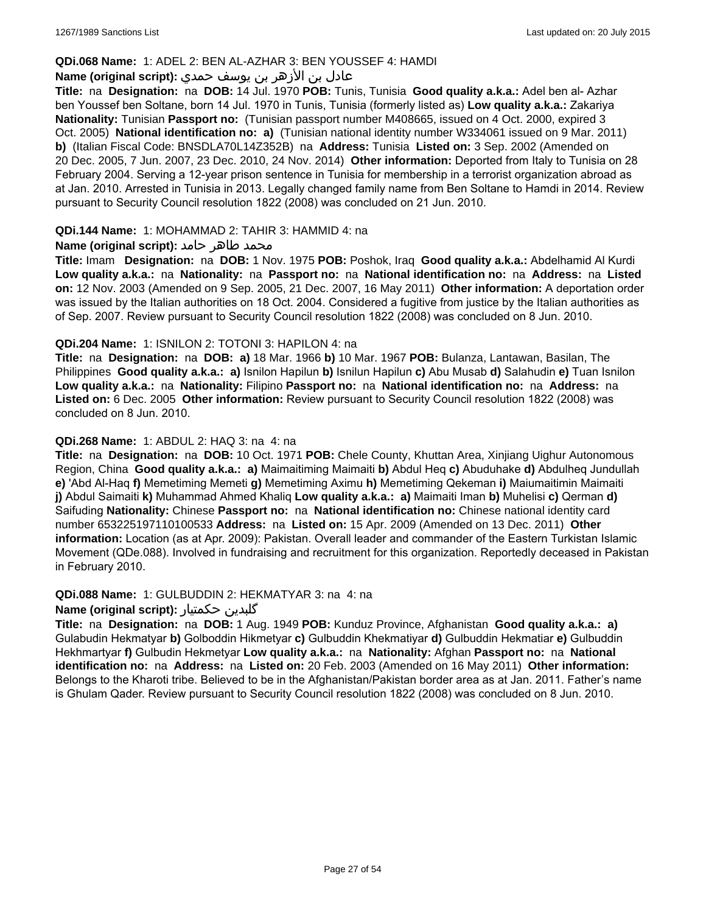### **QDi.068 Name:** 1: ADEL 2: BEN AL-AZHAR 3: BEN YOUSSEF 4: HAMDI

## عادل بن الأزهر بن يوسف حمدي **:(script original (Name**

**Title:** na **Designation:** na **DOB:** 14 Jul. 1970 **POB:** Tunis, Tunisia **Good quality a.k.a.:** Adel ben al- Azhar ben Youssef ben Soltane, born 14 Jul. 1970 in Tunis, Tunisia (formerly listed as) **Low quality a.k.a.:** Zakariya **Nationality:** Tunisian **Passport no:** (Tunisian passport number M408665, issued on 4 Oct. 2000, expired 3 Oct. 2005) **National identification no: a)** (Tunisian national identity number W334061 issued on 9 Mar. 2011) **b)** (Italian Fiscal Code: BNSDLA70L14Z352B) na **Address:** Tunisia **Listed on:** 3 Sep. 2002 (Amended on 20 Dec. 2005, 7 Jun. 2007, 23 Dec. 2010, 24 Nov. 2014) **Other information:** Deported from Italy to Tunisia on 28 February 2004. Serving a 12-year prison sentence in Tunisia for membership in a terrorist organization abroad as at Jan. 2010. Arrested in Tunisia in 2013. Legally changed family name from Ben Soltane to Hamdi in 2014. Review pursuant to Security Council resolution 1822 (2008) was concluded on 21 Jun. 2010.

### **QDi.144 Name:** 1: MOHAMMAD 2: TAHIR 3: HAMMID 4: na

### **محمد طاهر حامد :(Name (original script**

**Title:** Imam **Designation:** na **DOB:** 1 Nov. 1975 **POB:** Poshok, Iraq **Good quality a.k.a.:** Abdelhamid Al Kurdi **Low quality a.k.a.:** na **Nationality:** na **Passport no:** na **National identification no:** na **Address:** na **Listed on:** 12 Nov. 2003 (Amended on 9 Sep. 2005, 21 Dec. 2007, 16 May 2011) **Other information:** A deportation order was issued by the Italian authorities on 18 Oct. 2004. Considered a fugitive from justice by the Italian authorities as of Sep. 2007. Review pursuant to Security Council resolution 1822 (2008) was concluded on 8 Jun. 2010.

### **QDi.204 Name:** 1: ISNILON 2: TOTONI 3: HAPILON 4: na

**Title:** na **Designation:** na **DOB: a)** 18 Mar. 1966 **b)** 10 Mar. 1967 **POB:** Bulanza, Lantawan, Basilan, The Philippines **Good quality a.k.a.: a)** Isnilon Hapilun **b)** Isnilun Hapilun **c)** Abu Musab **d)** Salahudin **e)** Tuan Isnilon **Low quality a.k.a.:** na **Nationality:** Filipino **Passport no:** na **National identification no:** na **Address:** na **Listed on:** 6 Dec. 2005 **Other information:** Review pursuant to Security Council resolution 1822 (2008) was concluded on 8 Jun. 2010.

### **QDi.268 Name:** 1: ABDUL 2: HAQ 3: na 4: na

**Title:** na **Designation:** na **DOB:** 10 Oct. 1971 **POB:** Chele County, Khuttan Area, Xinjiang Uighur Autonomous Region, China **Good quality a.k.a.: a)** Maimaitiming Maimaiti **b)** Abdul Heq **c)** Abuduhake **d)** Abdulheq Jundullah **e)** 'Abd Al-Haq **f)** Memetiming Memeti **g)** Memetiming Aximu **h)** Memetiming Qekeman **i)** Maiumaitimin Maimaiti **j)** Abdul Saimaiti **k)** Muhammad Ahmed Khaliq **Low quality a.k.a.: a)** Maimaiti Iman **b)** Muhelisi **c)** Qerman **d)** Saifuding **Nationality:** Chinese **Passport no:** na **National identification no:** Chinese national identity card number 653225197110100533 **Address:** na **Listed on:** 15 Apr. 2009 (Amended on 13 Dec. 2011) **Other information:** Location (as at Apr. 2009): Pakistan. Overall leader and commander of the Eastern Turkistan Islamic Movement (QDe.088). Involved in fundraising and recruitment for this organization. Reportedly deceased in Pakistan in February 2010.

#### **QDi.088 Name:** 1: GULBUDDIN 2: HEKMATYAR 3: na 4: na

#### **Name (original script):** حکمتیار گلبدین

**Title:** na **Designation:** na **DOB:** 1 Aug. 1949 **POB:** Kunduz Province, Afghanistan **Good quality a.k.a.: a)** Gulabudin Hekmatyar **b)** Golboddin Hikmetyar **c)** Gulbuddin Khekmatiyar **d)** Gulbuddin Hekmatiar **e)** Gulbuddin Hekhmartyar **f)** Gulbudin Hekmetyar **Low quality a.k.a.:** na **Nationality:** Afghan **Passport no:** na **National identification no:** na **Address:** na **Listed on:** 20 Feb. 2003 (Amended on 16 May 2011) **Other information:** Belongs to the Kharoti tribe. Believed to be in the Afghanistan/Pakistan border area as at Jan. 2011. Father's name is Ghulam Qader. Review pursuant to Security Council resolution 1822 (2008) was concluded on 8 Jun. 2010.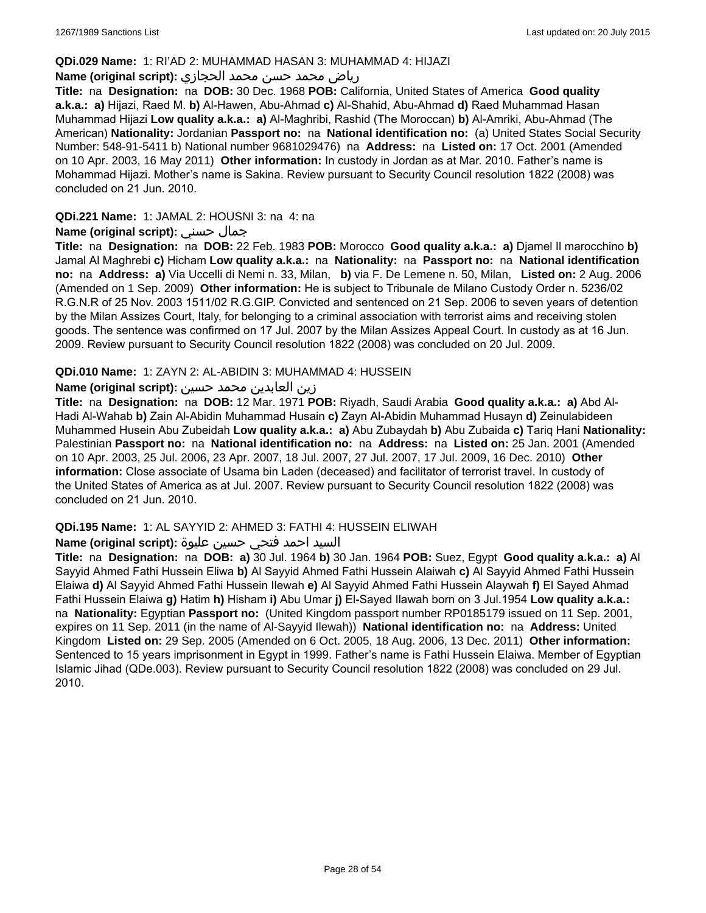#### **QDi.029 Name:** 1: RI'AD 2: MUHAMMAD HASAN 3: MUHAMMAD 4: HIJAZI

### رياض محمد حسن محمد الحجازي **:(script original (Name**

**Title:** na **Designation:** na **DOB:** 30 Dec. 1968 **POB:** California, United States of America **Good quality a.k.a.: a)** Hijazi, Raed M. **b)** Al-Hawen, Abu-Ahmad **c)** Al-Shahid, Abu-Ahmad **d)** Raed Muhammad Hasan Muhammad Hijazi **Low quality a.k.a.: a)** Al-Maghribi, Rashid (The Moroccan) **b)** Al-Amriki, Abu-Ahmad (The American) **Nationality:** Jordanian **Passport no:** na **National identification no:** (a) United States Social Security Number: 548-91-5411 b) National number 9681029476) na **Address:** na **Listed on:** 17 Oct. 2001 (Amended on 10 Apr. 2003, 16 May 2011) **Other information:** In custody in Jordan as at Mar. 2010. Father's name is Mohammad Hijazi. Mother's name is Sakina. Review pursuant to Security Council resolution 1822 (2008) was concluded on 21 Jun. 2010.

### **QDi.221 Name:** 1: JAMAL 2: HOUSNI 3: na 4: na

### **Name (original script):** حسني جمال

**Title:** na **Designation:** na **DOB:** 22 Feb. 1983 **POB:** Morocco **Good quality a.k.a.: a)** Djamel Il marocchino **b)** Jamal Al Maghrebi **c)** Hicham **Low quality a.k.a.:** na **Nationality:** na **Passport no:** na **National identification no:** na **Address: a)** Via Uccelli di Nemi n. 33, Milan, **b)** via F. De Lemene n. 50, Milan, **Listed on:** 2 Aug. 2006 (Amended on 1 Sep. 2009) **Other information:** He is subject to Tribunale de Milano Custody Order n. 5236/02 R.G.N.R of 25 Nov. 2003 1511/02 R.G.GIP. Convicted and sentenced on 21 Sep. 2006 to seven years of detention by the Milan Assizes Court, Italy, for belonging to a criminal association with terrorist aims and receiving stolen goods. The sentence was confirmed on 17 Jul. 2007 by the Milan Assizes Appeal Court. In custody as at 16 Jun. 2009. Review pursuant to Security Council resolution 1822 (2008) was concluded on 20 Jul. 2009.

### **QDi.010 Name:** 1: ZAYN 2: AL-ABIDIN 3: MUHAMMAD 4: HUSSEIN

### زين العابدين محمد حسين **:(script original (Name**

**Title:** na **Designation:** na **DOB:** 12 Mar. 1971 **POB:** Riyadh, Saudi Arabia **Good quality a.k.a.: a)** Abd Al-Hadi Al-Wahab **b)** Zain Al-Abidin Muhammad Husain **c)** Zayn Al-Abidin Muhammad Husayn **d)** Zeinulabideen Muhammed Husein Abu Zubeidah **Low quality a.k.a.: a)** Abu Zubaydah **b)** Abu Zubaida **c)** Tariq Hani **Nationality:** Palestinian **Passport no:** na **National identification no:** na **Address:** na **Listed on:** 25 Jan. 2001 (Amended on 10 Apr. 2003, 25 Jul. 2006, 23 Apr. 2007, 18 Jul. 2007, 27 Jul. 2007, 17 Jul. 2009, 16 Dec. 2010) **Other information:** Close associate of Usama bin Laden (deceased) and facilitator of terrorist travel. In custody of the United States of America as at Jul. 2007. Review pursuant to Security Council resolution 1822 (2008) was concluded on 21 Jun. 2010.

#### **QDi.195 Name:** 1: AL SAYYID 2: AHMED 3: FATHI 4: HUSSEIN ELIWAH

### السيد احمد فتحي حسين عليوة **:(script original (Name**

**Title:** na **Designation:** na **DOB: a)** 30 Jul. 1964 **b)** 30 Jan. 1964 **POB:** Suez, Egypt **Good quality a.k.a.: a)** Al Sayyid Ahmed Fathi Hussein Eliwa **b)** Al Sayyid Ahmed Fathi Hussein Alaiwah **c)** Al Sayyid Ahmed Fathi Hussein Elaiwa **d)** Al Sayyid Ahmed Fathi Hussein Ilewah **e)** Al Sayyid Ahmed Fathi Hussein Alaywah **f)** El Sayed Ahmad Fathi Hussein Elaiwa **g)** Hatim **h)** Hisham **i)** Abu Umar **j)** El-Sayed Ilawah born on 3 Jul.1954 **Low quality a.k.a.:**  na **Nationality:** Egyptian **Passport no:** (United Kingdom passport number RP0185179 issued on 11 Sep. 2001, expires on 11 Sep. 2011 (in the name of Al-Sayyid Ilewah)) **National identification no:** na **Address:** United Kingdom **Listed on:** 29 Sep. 2005 (Amended on 6 Oct. 2005, 18 Aug. 2006, 13 Dec. 2011) **Other information:** Sentenced to 15 years imprisonment in Egypt in 1999. Father's name is Fathi Hussein Elaiwa. Member of Egyptian Islamic Jihad (QDe.003). Review pursuant to Security Council resolution 1822 (2008) was concluded on 29 Jul. 2010.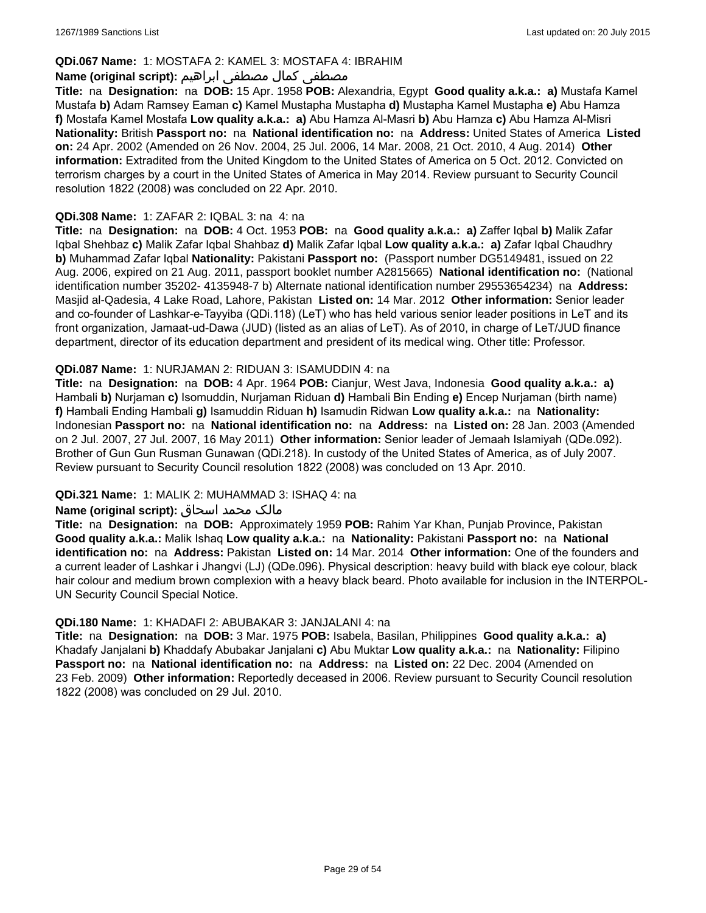### **QDi.067 Name:** 1: MOSTAFA 2: KAMEL 3: MOSTAFA 4: IBRAHIM

### مصطفى كمال مصطفى ابراهيم **:Name (original script**)

**Title:** na **Designation:** na **DOB:** 15 Apr. 1958 **POB:** Alexandria, Egypt **Good quality a.k.a.: a)** Mustafa Kamel Mustafa **b)** Adam Ramsey Eaman **c)** Kamel Mustapha Mustapha **d)** Mustapha Kamel Mustapha **e)** Abu Hamza **f)** Mostafa Kamel Mostafa **Low quality a.k.a.: a)** Abu Hamza Al-Masri **b)** Abu Hamza **c)** Abu Hamza Al-Misri **Nationality:** British **Passport no:** na **National identification no:** na **Address:** United States of America **Listed on:** 24 Apr. 2002 (Amended on 26 Nov. 2004, 25 Jul. 2006, 14 Mar. 2008, 21 Oct. 2010, 4 Aug. 2014) **Other information:** Extradited from the United Kingdom to the United States of America on 5 Oct. 2012. Convicted on terrorism charges by a court in the United States of America in May 2014. Review pursuant to Security Council resolution 1822 (2008) was concluded on 22 Apr. 2010.

#### **QDi.308 Name:** 1: ZAFAR 2: IQBAL 3: na 4: na

**Title:** na **Designation:** na **DOB:** 4 Oct. 1953 **POB:** na **Good quality a.k.a.: a)** Zaffer Iqbal **b)** Malik Zafar Iqbal Shehbaz **c)** Malik Zafar Iqbal Shahbaz **d)** Malik Zafar Iqbal **Low quality a.k.a.: a)** Zafar Iqbal Chaudhry **b)** Muhammad Zafar Iqbal **Nationality:** Pakistani **Passport no:** (Passport number DG5149481, issued on 22 Aug. 2006, expired on 21 Aug. 2011, passport booklet number A2815665) **National identification no:** (National identification number 35202- 4135948-7 b) Alternate national identification number 29553654234) na **Address:** Masjid al-Qadesia, 4 Lake Road, Lahore, Pakistan **Listed on:** 14 Mar. 2012 **Other information:** Senior leader and co-founder of Lashkar-e-Tayyiba (QDi.118) (LeT) who has held various senior leader positions in LeT and its front organization, Jamaat-ud-Dawa (JUD) (listed as an alias of LeT). As of 2010, in charge of LeT/JUD finance department, director of its education department and president of its medical wing. Other title: Professor.

### **QDi.087 Name:** 1: NURJAMAN 2: RIDUAN 3: ISAMUDDIN 4: na

**Title:** na **Designation:** na **DOB:** 4 Apr. 1964 **POB:** Cianjur, West Java, Indonesia **Good quality a.k.a.: a)** Hambali **b)** Nurjaman **c)** Isomuddin, Nurjaman Riduan **d)** Hambali Bin Ending **e)** Encep Nurjaman (birth name) **f)** Hambali Ending Hambali **g)** Isamuddin Riduan **h)** Isamudin Ridwan **Low quality a.k.a.:** na **Nationality:** Indonesian **Passport no:** na **National identification no:** na **Address:** na **Listed on:** 28 Jan. 2003 (Amended on 2 Jul. 2007, 27 Jul. 2007, 16 May 2011) **Other information:** Senior leader of Jemaah Islamiyah (QDe.092). Brother of Gun Gun Rusman Gunawan (QDi.218). In custody of the United States of America, as of July 2007. Review pursuant to Security Council resolution 1822 (2008) was concluded on 13 Apr. 2010.

### **QDi.321 Name:** 1: MALIK 2: MUHAMMAD 3: ISHAQ 4: na

### مالک محمد اسحاق : Name (original script)

**Title:** na **Designation:** na **DOB:** Approximately 1959 **POB:** Rahim Yar Khan, Punjab Province, Pakistan **Good quality a.k.a.:** Malik Ishaq **Low quality a.k.a.:** na **Nationality:** Pakistani **Passport no:** na **National identification no:** na **Address:** Pakistan **Listed on:** 14 Mar. 2014 **Other information:** One of the founders and a current leader of Lashkar i Jhangvi (LJ) (QDe.096). Physical description: heavy build with black eye colour, black hair colour and medium brown complexion with a heavy black beard. Photo available for inclusion in the INTERPOL-UN Security Council Special Notice.

#### **QDi.180 Name:** 1: KHADAFI 2: ABUBAKAR 3: JANJALANI 4: na

**Title:** na **Designation:** na **DOB:** 3 Mar. 1975 **POB:** Isabela, Basilan, Philippines **Good quality a.k.a.: a)** Khadafy Janjalani **b)** Khaddafy Abubakar Janjalani **c)** Abu Muktar **Low quality a.k.a.:** na **Nationality:** Filipino **Passport no:** na **National identification no:** na **Address:** na **Listed on:** 22 Dec. 2004 (Amended on 23 Feb. 2009) **Other information:** Reportedly deceased in 2006. Review pursuant to Security Council resolution 1822 (2008) was concluded on 29 Jul. 2010.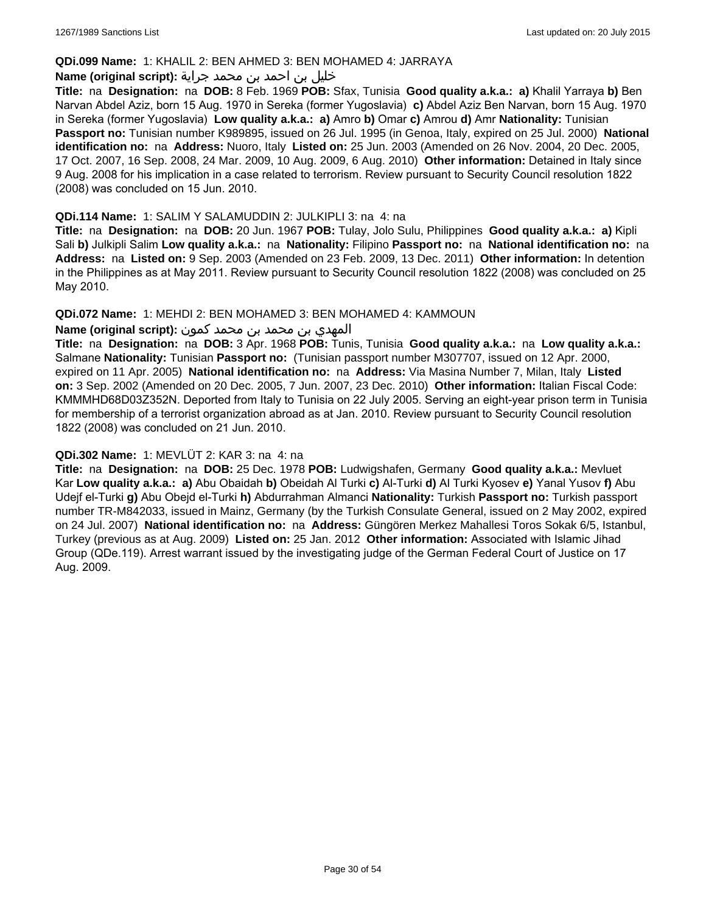#### **QDi.099 Name:** 1: KHALIL 2: BEN AHMED 3: BEN MOHAMED 4: JARRAYA

#### خليل بن احمد بن محمد جراية **:(script original (Name**

**Title:** na **Designation:** na **DOB:** 8 Feb. 1969 **POB:** Sfax, Tunisia **Good quality a.k.a.: a)** Khalil Yarraya **b)** Ben Narvan Abdel Aziz, born 15 Aug. 1970 in Sereka (former Yugoslavia) **c)** Abdel Aziz Ben Narvan, born 15 Aug. 1970 in Sereka (former Yugoslavia) **Low quality a.k.a.: a)** Amro **b)** Omar **c)** Amrou **d)** Amr **Nationality:** Tunisian **Passport no:** Tunisian number K989895, issued on 26 Jul. 1995 (in Genoa, Italy, expired on 25 Jul. 2000) **National identification no:** na **Address:** Nuoro, Italy **Listed on:** 25 Jun. 2003 (Amended on 26 Nov. 2004, 20 Dec. 2005, 17 Oct. 2007, 16 Sep. 2008, 24 Mar. 2009, 10 Aug. 2009, 6 Aug. 2010) **Other information:** Detained in Italy since 9 Aug. 2008 for his implication in a case related to terrorism. Review pursuant to Security Council resolution 1822 (2008) was concluded on 15 Jun. 2010.

#### **QDi.114 Name:** 1: SALIM Y SALAMUDDIN 2: JULKIPLI 3: na 4: na

**Title:** na **Designation:** na **DOB:** 20 Jun. 1967 **POB:** Tulay, Jolo Sulu, Philippines **Good quality a.k.a.: a)** Kipli Sali **b)** Julkipli Salim **Low quality a.k.a.:** na **Nationality:** Filipino **Passport no:** na **National identification no:** na **Address:** na **Listed on:** 9 Sep. 2003 (Amended on 23 Feb. 2009, 13 Dec. 2011) **Other information:** In detention in the Philippines as at May 2011. Review pursuant to Security Council resolution 1822 (2008) was concluded on 25 May 2010.

### **QDi.072 Name:** 1: MEHDI 2: BEN MOHAMED 3: BEN MOHAMED 4: KAMMOUN

### المهدي بن محمد بن محمد كمون **:(script original (Name**

**Title:** na **Designation:** na **DOB:** 3 Apr. 1968 **POB:** Tunis, Tunisia **Good quality a.k.a.:** na **Low quality a.k.a.:** Salmane **Nationality:** Tunisian **Passport no:** (Tunisian passport number M307707, issued on 12 Apr. 2000, expired on 11 Apr. 2005) **National identification no:** na **Address:** Via Masina Number 7, Milan, Italy **Listed on:** 3 Sep. 2002 (Amended on 20 Dec. 2005, 7 Jun. 2007, 23 Dec. 2010) **Other information:** Italian Fiscal Code: KMMMHD68D03Z352N. Deported from Italy to Tunisia on 22 July 2005. Serving an eight-year prison term in Tunisia for membership of a terrorist organization abroad as at Jan. 2010. Review pursuant to Security Council resolution 1822 (2008) was concluded on 21 Jun. 2010.

#### **QDi.302 Name:** 1: MEVLÜT 2: KAR 3: na 4: na

**Title:** na **Designation:** na **DOB:** 25 Dec. 1978 **POB:** Ludwigshafen, Germany **Good quality a.k.a.:** Mevluet Kar **Low quality a.k.a.: a)** Abu Obaidah **b)** Obeidah Al Turki **c)** Al-Turki **d)** Al Turki Kyosev **e)** Yanal Yusov **f)** Abu Udejf el-Turki **g)** Abu Obejd el-Turki **h)** Abdurrahman Almanci **Nationality:** Turkish **Passport no:** Turkish passport number TR-M842033, issued in Mainz, Germany (by the Turkish Consulate General, issued on 2 May 2002, expired on 24 Jul. 2007) **National identification no:** na **Address:** Güngören Merkez Mahallesi Toros Sokak 6/5, Istanbul, Turkey (previous as at Aug. 2009) **Listed on:** 25 Jan. 2012 **Other information:** Associated with Islamic Jihad Group (QDe.119). Arrest warrant issued by the investigating judge of the German Federal Court of Justice on 17 Aug. 2009.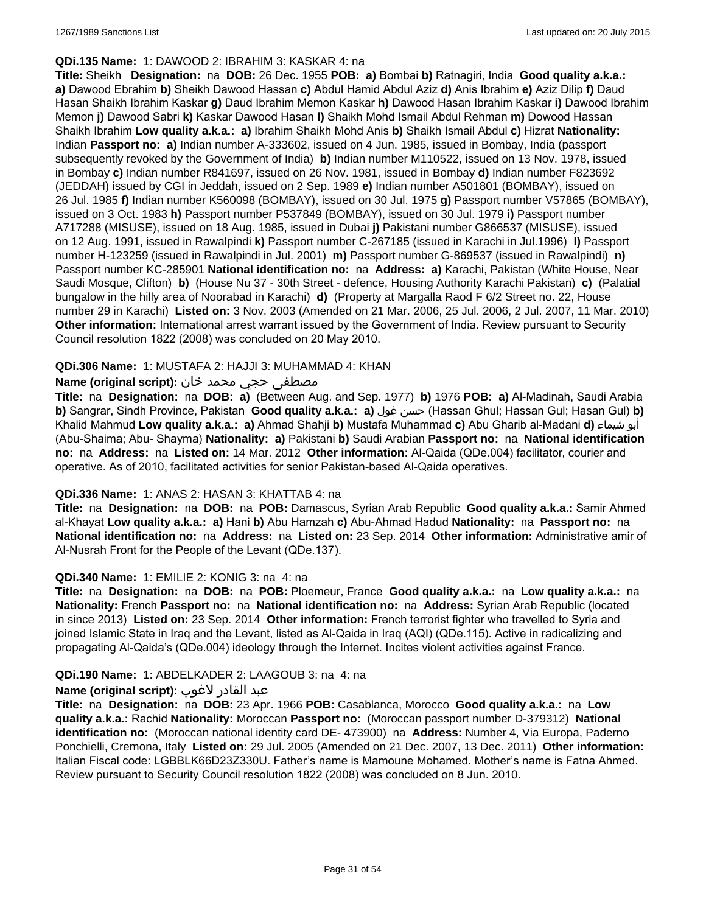#### **QDi.135 Name:** 1: DAWOOD 2: IBRAHIM 3: KASKAR 4: na

**Title:** Sheikh **Designation:** na **DOB:** 26 Dec. 1955 **POB: a)** Bombai **b)** Ratnagiri, India **Good quality a.k.a.: a)** Dawood Ebrahim **b)** Sheikh Dawood Hassan **c)** Abdul Hamid Abdul Aziz **d)** Anis Ibrahim **e)** Aziz Dilip **f)** Daud Hasan Shaikh Ibrahim Kaskar **g)** Daud Ibrahim Memon Kaskar **h)** Dawood Hasan Ibrahim Kaskar **i)** Dawood Ibrahim Memon **j)** Dawood Sabri **k)** Kaskar Dawood Hasan **l)** Shaikh Mohd Ismail Abdul Rehman **m)** Dowood Hassan Shaikh Ibrahim **Low quality a.k.a.: a)** Ibrahim Shaikh Mohd Anis **b)** Shaikh Ismail Abdul **c)** Hizrat **Nationality:** Indian **Passport no: a)** Indian number A-333602, issued on 4 Jun. 1985, issued in Bombay, India (passport subsequently revoked by the Government of India) **b)** Indian number M110522, issued on 13 Nov. 1978, issued in Bombay **c)** Indian number R841697, issued on 26 Nov. 1981, issued in Bombay **d)** Indian number F823692 (JEDDAH) issued by CGI in Jeddah, issued on 2 Sep. 1989 **e)** Indian number A501801 (BOMBAY), issued on 26 Jul. 1985 **f)** Indian number K560098 (BOMBAY), issued on 30 Jul. 1975 **g)** Passport number V57865 (BOMBAY), issued on 3 Oct. 1983 **h)** Passport number P537849 (BOMBAY), issued on 30 Jul. 1979 **i)** Passport number A717288 (MISUSE), issued on 18 Aug. 1985, issued in Dubai **j)** Pakistani number G866537 (MISUSE), issued on 12 Aug. 1991, issued in Rawalpindi **k)** Passport number C-267185 (issued in Karachi in Jul.1996) **l)** Passport number H-123259 (issued in Rawalpindi in Jul. 2001) **m)** Passport number G-869537 (issued in Rawalpindi) **n)** Passport number KC-285901 **National identification no:** na **Address: a)** Karachi, Pakistan (White House, Near Saudi Mosque, Clifton) **b)** (House Nu 37 - 30th Street - defence, Housing Authority Karachi Pakistan) **c)** (Palatial bungalow in the hilly area of Noorabad in Karachi) **d)** (Property at Margalla Raod F 6/2 Street no. 22, House number 29 in Karachi) **Listed on:** 3 Nov. 2003 (Amended on 21 Mar. 2006, 25 Jul. 2006, 2 Jul. 2007, 11 Mar. 2010) **Other information:** International arrest warrant issued by the Government of India. Review pursuant to Security Council resolution 1822 (2008) was concluded on 20 May 2010.

### **QDi.306 Name:** 1: MUSTAFA 2: HAJJI 3: MUHAMMAD 4: KHAN

### مصطفى حجي محمد خان **:Name (original script)**

**Title:** na **Designation:** na **DOB: a)** (Between Aug. and Sep. 1977) **b)** 1976 **POB: a)** Al-Madinah, Saudi Arabia **b)** Sangrar, Sindh Province, Pakistan **Good quality a.k.a.: a)** غول حسن) Hassan Ghul; Hassan Gul; Hasan Gul) **b)** Khalid Mahmud **Low quality a.k.a.: a)** Ahmad Shahji **b)** Mustafa Muhammad **c)** Abu Gharib al-Madani **d)** شيماء أبو (Abu-Shaima; Abu- Shayma) **Nationality: a)** Pakistani **b)** Saudi Arabian **Passport no:** na **National identification no:** na **Address:** na **Listed on:** 14 Mar. 2012 **Other information:** Al-Qaida (QDe.004) facilitator, courier and operative. As of 2010, facilitated activities for senior Pakistan-based Al-Qaida operatives.

#### **QDi.336 Name:** 1: ANAS 2: HASAN 3: KHATTAB 4: na

**Title:** na **Designation:** na **DOB:** na **POB:** Damascus, Syrian Arab Republic **Good quality a.k.a.:** Samir Ahmed al-Khayat **Low quality a.k.a.: a)** Hani **b)** Abu Hamzah **c)** Abu-Ahmad Hadud **Nationality:** na **Passport no:** na **National identification no:** na **Address:** na **Listed on:** 23 Sep. 2014 **Other information:** Administrative amir of Al-Nusrah Front for the People of the Levant (QDe.137).

#### **QDi.340 Name:** 1: EMILIE 2: KONIG 3: na 4: na

**Title:** na **Designation:** na **DOB:** na **POB:** Ploemeur, France **Good quality a.k.a.:** na **Low quality a.k.a.:** na **Nationality:** French **Passport no:** na **National identification no:** na **Address:** Syrian Arab Republic (located in since 2013) **Listed on:** 23 Sep. 2014 **Other information:** French terrorist fighter who travelled to Syria and joined Islamic State in Iraq and the Levant, listed as Al-Qaida in Iraq (AQI) (QDe.115). Active in radicalizing and propagating Al-Qaida's (QDe.004) ideology through the Internet. Incites violent activities against France.

#### **QDi.190 Name:** 1: ABDELKADER 2: LAAGOUB 3: na 4: na

### عبد القادر لاغوب **:(script original (Name**

**Title:** na **Designation:** na **DOB:** 23 Apr. 1966 **POB:** Casablanca, Morocco **Good quality a.k.a.:** na **Low quality a.k.a.:** Rachid **Nationality:** Moroccan **Passport no:** (Moroccan passport number D-379312) **National identification no:** (Moroccan national identity card DE- 473900) na **Address:** Number 4, Via Europa, Paderno Ponchielli, Cremona, Italy **Listed on:** 29 Jul. 2005 (Amended on 21 Dec. 2007, 13 Dec. 2011) **Other information:** Italian Fiscal code: LGBBLK66D23Z330U. Father's name is Mamoune Mohamed. Mother's name is Fatna Ahmed. Review pursuant to Security Council resolution 1822 (2008) was concluded on 8 Jun. 2010.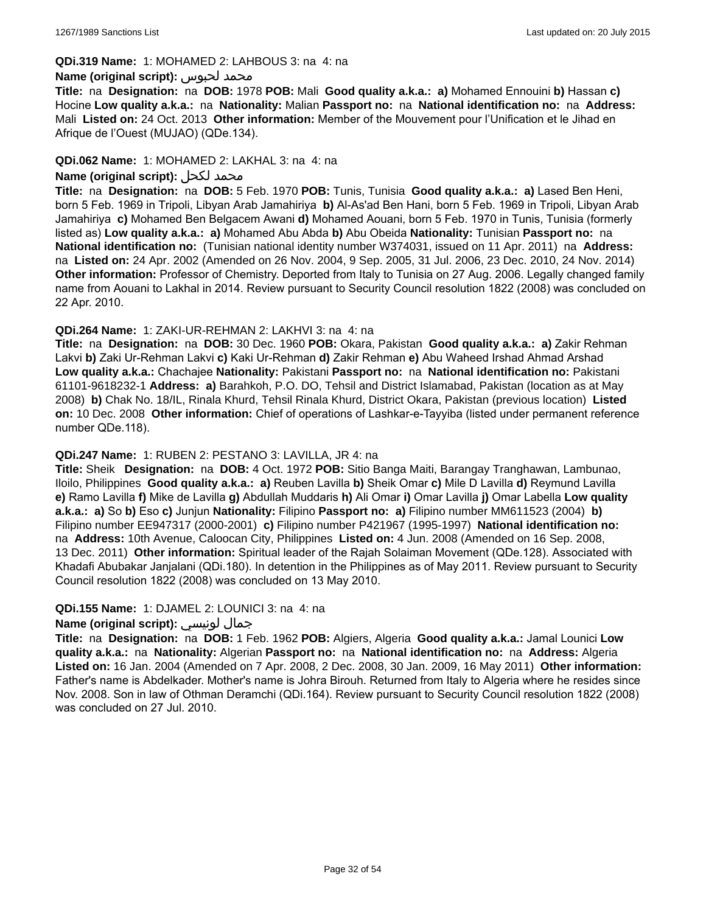#### **QDi.319 Name:** 1: MOHAMED 2: LAHBOUS 3: na 4: na

#### **Name (original script):** لحبوس محمد

**Title:** na **Designation:** na **DOB:** 1978 **POB:** Mali **Good quality a.k.a.: a)** Mohamed Ennouini **b)** Hassan **c)** Hocine **Low quality a.k.a.:** na **Nationality:** Malian **Passport no:** na **National identification no:** na **Address:** Mali **Listed on:** 24 Oct. 2013 **Other information:** Member of the Mouvement pour l'Unification et le Jihad en Afrique de l'Ouest (MUJAO) (QDe.134).

#### **QDi.062 Name:** 1: MOHAMED 2: LAKHAL 3: na 4: na

#### **Name (original script):** لكحل محمد

**Title:** na **Designation:** na **DOB:** 5 Feb. 1970 **POB:** Tunis, Tunisia **Good quality a.k.a.: a)** Lased Ben Heni, born 5 Feb. 1969 in Tripoli, Libyan Arab Jamahiriya **b)** Al-As'ad Ben Hani, born 5 Feb. 1969 in Tripoli, Libyan Arab Jamahiriya **c)** Mohamed Ben Belgacem Awani **d)** Mohamed Aouani, born 5 Feb. 1970 in Tunis, Tunisia (formerly listed as) **Low quality a.k.a.: a)** Mohamed Abu Abda **b)** Abu Obeida **Nationality:** Tunisian **Passport no:** na **National identification no:** (Tunisian national identity number W374031, issued on 11 Apr. 2011) na **Address:**  na **Listed on:** 24 Apr. 2002 (Amended on 26 Nov. 2004, 9 Sep. 2005, 31 Jul. 2006, 23 Dec. 2010, 24 Nov. 2014) **Other information:** Professor of Chemistry. Deported from Italy to Tunisia on 27 Aug. 2006. Legally changed family name from Aouani to Lakhal in 2014. Review pursuant to Security Council resolution 1822 (2008) was concluded on 22 Apr. 2010.

#### **QDi.264 Name:** 1: ZAKI-UR-REHMAN 2: LAKHVI 3: na 4: na

**Title:** na **Designation:** na **DOB:** 30 Dec. 1960 **POB:** Okara, Pakistan **Good quality a.k.a.: a)** Zakir Rehman Lakvi **b)** Zaki Ur-Rehman Lakvi **c)** Kaki Ur-Rehman **d)** Zakir Rehman **e)** Abu Waheed Irshad Ahmad Arshad **Low quality a.k.a.:** Chachajee **Nationality:** Pakistani **Passport no:** na **National identification no:** Pakistani 61101-9618232-1 **Address: a)** Barahkoh, P.O. DO, Tehsil and District Islamabad, Pakistan (location as at May 2008) **b)** Chak No. 18/IL, Rinala Khurd, Tehsil Rinala Khurd, District Okara, Pakistan (previous location) **Listed on:** 10 Dec. 2008 **Other information:** Chief of operations of Lashkar-e-Tayyiba (listed under permanent reference number QDe.118).

#### **QDi.247 Name:** 1: RUBEN 2: PESTANO 3: LAVILLA, JR 4: na

**Title:** Sheik **Designation:** na **DOB:** 4 Oct. 1972 **POB:** Sitio Banga Maiti, Barangay Tranghawan, Lambunao, Iloilo, Philippines **Good quality a.k.a.: a)** Reuben Lavilla **b)** Sheik Omar **c)** Mile D Lavilla **d)** Reymund Lavilla **e)** Ramo Lavilla **f)** Mike de Lavilla **g)** Abdullah Muddaris **h)** Ali Omar **i)** Omar Lavilla **j)** Omar Labella **Low quality a.k.a.: a)** So **b)** Eso **c)** Junjun **Nationality:** Filipino **Passport no: a)** Filipino number MM611523 (2004) **b)** Filipino number EE947317 (2000-2001) **c)** Filipino number P421967 (1995-1997) **National identification no:**  na **Address:** 10th Avenue, Caloocan City, Philippines **Listed on:** 4 Jun. 2008 (Amended on 16 Sep. 2008, 13 Dec. 2011) **Other information:** Spiritual leader of the Rajah Solaiman Movement (QDe.128). Associated with Khadafi Abubakar Janjalani (QDi.180). In detention in the Philippines as of May 2011. Review pursuant to Security Council resolution 1822 (2008) was concluded on 13 May 2010.

#### **QDi.155 Name:** 1: DJAMEL 2: LOUNICI 3: na 4: na

#### **Name (original script):** لونيسي جمال

**Title:** na **Designation:** na **DOB:** 1 Feb. 1962 **POB:** Algiers, Algeria **Good quality a.k.a.:** Jamal Lounici **Low quality a.k.a.:** na **Nationality:** Algerian **Passport no:** na **National identification no:** na **Address:** Algeria **Listed on:** 16 Jan. 2004 (Amended on 7 Apr. 2008, 2 Dec. 2008, 30 Jan. 2009, 16 May 2011) **Other information:** Father's name is Abdelkader. Mother's name is Johra Birouh. Returned from Italy to Algeria where he resides since Nov. 2008. Son in law of Othman Deramchi (QDi.164). Review pursuant to Security Council resolution 1822 (2008) was concluded on 27 Jul. 2010.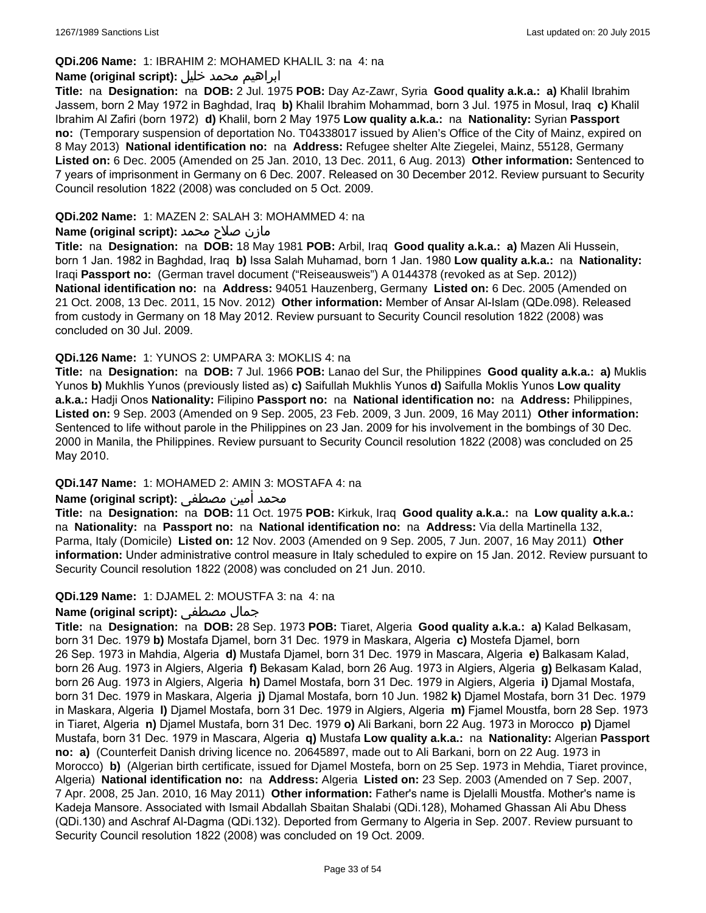### **QDi.206 Name:** 1: IBRAHIM 2: MOHAMED KHALIL 3: na 4: na

### ابراهيم محمد خليل **:(script original (Name**

**Title:** na **Designation:** na **DOB:** 2 Jul. 1975 **POB:** Day Az-Zawr, Syria **Good quality a.k.a.: a)** Khalil Ibrahim Jassem, born 2 May 1972 in Baghdad, Iraq **b)** Khalil Ibrahim Mohammad, born 3 Jul. 1975 in Mosul, Iraq **c)** Khalil Ibrahim Al Zafiri (born 1972) **d)** Khalil, born 2 May 1975 **Low quality a.k.a.:** na **Nationality:** Syrian **Passport no:** (Temporary suspension of deportation No. T04338017 issued by Alien's Office of the City of Mainz, expired on 8 May 2013) **National identification no:** na **Address:** Refugee shelter Alte Ziegelei, Mainz, 55128, Germany **Listed on:** 6 Dec. 2005 (Amended on 25 Jan. 2010, 13 Dec. 2011, 6 Aug. 2013) **Other information:** Sentenced to 7 years of imprisonment in Germany on 6 Dec. 2007. Released on 30 December 2012. Review pursuant to Security Council resolution 1822 (2008) was concluded on 5 Oct. 2009.

#### **QDi.202 Name:** 1: MAZEN 2: SALAH 3: MOHAMMED 4: na

### مازن صلاح محمد **:Name (original script)**

**Title:** na **Designation:** na **DOB:** 18 May 1981 **POB:** Arbil, Iraq **Good quality a.k.a.: a)** Mazen Ali Hussein, born 1 Jan. 1982 in Baghdad, Iraq **b)** Issa Salah Muhamad, born 1 Jan. 1980 **Low quality a.k.a.:** na **Nationality:** Iraqi **Passport no:** (German travel document ("Reiseausweis") A 0144378 (revoked as at Sep. 2012)) **National identification no:** na **Address:** 94051 Hauzenberg, Germany **Listed on:** 6 Dec. 2005 (Amended on 21 Oct. 2008, 13 Dec. 2011, 15 Nov. 2012) **Other information:** Member of Ansar Al-Islam (QDe.098). Released from custody in Germany on 18 May 2012. Review pursuant to Security Council resolution 1822 (2008) was concluded on 30 Jul. 2009.

### **QDi.126 Name:** 1: YUNOS 2: UMPARA 3: MOKLIS 4: na

**Title:** na **Designation:** na **DOB:** 7 Jul. 1966 **POB:** Lanao del Sur, the Philippines **Good quality a.k.a.: a)** Muklis Yunos **b)** Mukhlis Yunos (previously listed as) **c)** Saifullah Mukhlis Yunos **d)** Saifulla Moklis Yunos **Low quality a.k.a.:** Hadji Onos **Nationality:** Filipino **Passport no:** na **National identification no:** na **Address:** Philippines, **Listed on:** 9 Sep. 2003 (Amended on 9 Sep. 2005, 23 Feb. 2009, 3 Jun. 2009, 16 May 2011) **Other information:** Sentenced to life without parole in the Philippines on 23 Jan. 2009 for his involvement in the bombings of 30 Dec. 2000 in Manila, the Philippines. Review pursuant to Security Council resolution 1822 (2008) was concluded on 25 May 2010.

#### **QDi.147 Name:** 1: MOHAMED 2: AMIN 3: MOSTAFA 4: na

### محمد أمين مصطفى :**(Name (original script**

**Title:** na **Designation:** na **DOB:** 11 Oct. 1975 **POB:** Kirkuk, Iraq **Good quality a.k.a.:** na **Low quality a.k.a.:**  na **Nationality:** na **Passport no:** na **National identification no:** na **Address:** Via della Martinella 132, Parma, Italy (Domicile) **Listed on:** 12 Nov. 2003 (Amended on 9 Sep. 2005, 7 Jun. 2007, 16 May 2011) **Other information:** Under administrative control measure in Italy scheduled to expire on 15 Jan. 2012. Review pursuant to Security Council resolution 1822 (2008) was concluded on 21 Jun. 2010.

### **QDi.129 Name:** 1: DJAMEL 2: MOUSTFA 3: na 4: na

### **Name (original script):** مصطفى جمال

**Title:** na **Designation:** na **DOB:** 28 Sep. 1973 **POB:** Tiaret, Algeria **Good quality a.k.a.: a)** Kalad Belkasam, born 31 Dec. 1979 **b)** Mostafa Djamel, born 31 Dec. 1979 in Maskara, Algeria **c)** Mostefa Djamel, born 26 Sep. 1973 in Mahdia, Algeria **d)** Mustafa Djamel, born 31 Dec. 1979 in Mascara, Algeria **e)** Balkasam Kalad, born 26 Aug. 1973 in Algiers, Algeria **f)** Bekasam Kalad, born 26 Aug. 1973 in Algiers, Algeria **g)** Belkasam Kalad, born 26 Aug. 1973 in Algiers, Algeria **h)** Damel Mostafa, born 31 Dec. 1979 in Algiers, Algeria **i)** Djamal Mostafa, born 31 Dec. 1979 in Maskara, Algeria **j)** Djamal Mostafa, born 10 Jun. 1982 **k)** Djamel Mostafa, born 31 Dec. 1979 in Maskara, Algeria **l)** Djamel Mostafa, born 31 Dec. 1979 in Algiers, Algeria **m)** Fjamel Moustfa, born 28 Sep. 1973 in Tiaret, Algeria **n)** Djamel Mustafa, born 31 Dec. 1979 **o)** Ali Barkani, born 22 Aug. 1973 in Morocco **p)** Djamel Mustafa, born 31 Dec. 1979 in Mascara, Algeria **q)** Mustafa **Low quality a.k.a.:** na **Nationality:** Algerian **Passport no: a)** (Counterfeit Danish driving licence no. 20645897, made out to Ali Barkani, born on 22 Aug. 1973 in Morocco) **b)** (Algerian birth certificate, issued for Djamel Mostefa, born on 25 Sep. 1973 in Mehdia, Tiaret province, Algeria) **National identification no:** na **Address:** Algeria **Listed on:** 23 Sep. 2003 (Amended on 7 Sep. 2007, 7 Apr. 2008, 25 Jan. 2010, 16 May 2011) **Other information:** Father's name is Djelalli Moustfa. Mother's name is Kadeja Mansore. Associated with Ismail Abdallah Sbaitan Shalabi (QDi.128), Mohamed Ghassan Ali Abu Dhess (QDi.130) and Aschraf Al-Dagma (QDi.132). Deported from Germany to Algeria in Sep. 2007. Review pursuant to Security Council resolution 1822 (2008) was concluded on 19 Oct. 2009.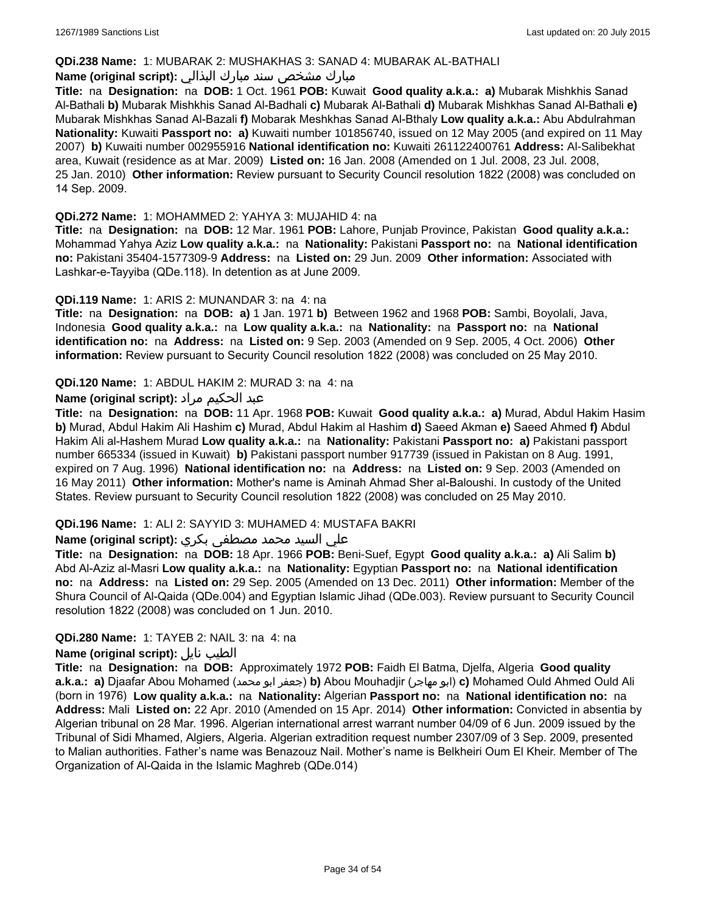### **QDi.238 Name:** 1: MUBARAK 2: MUSHAKHAS 3: SANAD 4: MUBARAK AL-BATHALI

## مبارك مشخص سند مبارك البذالي **:Name (original script)**

**Title:** na **Designation:** na **DOB:** 1 Oct. 1961 **POB:** Kuwait **Good quality a.k.a.: a)** Mubarak Mishkhis Sanad Al-Bathali **b)** Mubarak Mishkhis Sanad Al-Badhali **c)** Mubarak Al-Bathali **d)** Mubarak Mishkhas Sanad Al-Bathali **e)** Mubarak Mishkhas Sanad Al-Bazali **f)** Mobarak Meshkhas Sanad Al-Bthaly **Low quality a.k.a.:** Abu Abdulrahman **Nationality:** Kuwaiti **Passport no: a)** Kuwaiti number 101856740, issued on 12 May 2005 (and expired on 11 May 2007) **b)** Kuwaiti number 002955916 **National identification no:** Kuwaiti 261122400761 **Address:** Al-Salibekhat area, Kuwait (residence as at Mar. 2009) **Listed on:** 16 Jan. 2008 (Amended on 1 Jul. 2008, 23 Jul. 2008, 25 Jan. 2010) **Other information:** Review pursuant to Security Council resolution 1822 (2008) was concluded on 14 Sep. 2009.

### **QDi.272 Name:** 1: MOHAMMED 2: YAHYA 3: MUJAHID 4: na

**Title:** na **Designation:** na **DOB:** 12 Mar. 1961 **POB:** Lahore, Punjab Province, Pakistan **Good quality a.k.a.:** Mohammad Yahya Aziz **Low quality a.k.a.:** na **Nationality:** Pakistani **Passport no:** na **National identification no:** Pakistani 35404-1577309-9 **Address:** na **Listed on:** 29 Jun. 2009 **Other information:** Associated with Lashkar-e-Tayyiba (QDe.118). In detention as at June 2009.

### **QDi.119 Name:** 1: ARIS 2: MUNANDAR 3: na 4: na

**Title:** na **Designation:** na **DOB: a)** 1 Jan. 1971 **b)** Between 1962 and 1968 **POB:** Sambi, Boyolali, Java, Indonesia **Good quality a.k.a.:** na **Low quality a.k.a.:** na **Nationality:** na **Passport no:** na **National identification no:** na **Address:** na **Listed on:** 9 Sep. 2003 (Amended on 9 Sep. 2005, 4 Oct. 2006) **Other information:** Review pursuant to Security Council resolution 1822 (2008) was concluded on 25 May 2010.

### **QDi.120 Name:** 1: ABDUL HAKIM 2: MURAD 3: na 4: na

### عبد الحكيم مراد **:(script original (Name**

**Title:** na **Designation:** na **DOB:** 11 Apr. 1968 **POB:** Kuwait **Good quality a.k.a.: a)** Murad, Abdul Hakim Hasim **b)** Murad, Abdul Hakim Ali Hashim **c)** Murad, Abdul Hakim al Hashim **d)** Saeed Akman **e)** Saeed Ahmed **f)** Abdul Hakim Ali al-Hashem Murad **Low quality a.k.a.:** na **Nationality:** Pakistani **Passport no: a)** Pakistani passport number 665334 (issued in Kuwait) **b)** Pakistani passport number 917739 (issued in Pakistan on 8 Aug. 1991, expired on 7 Aug. 1996) **National identification no:** na **Address:** na **Listed on:** 9 Sep. 2003 (Amended on 16 May 2011) **Other information:** Mother's name is Aminah Ahmad Sher al-Baloushi. In custody of the United States. Review pursuant to Security Council resolution 1822 (2008) was concluded on 25 May 2010.

### **QDi.196 Name:** 1: ALI 2: SAYYID 3: MUHAMED 4: MUSTAFA BAKRI

### علي السيد محمد مصطفى بكري **:Name (original script)**

**Title:** na **Designation:** na **DOB:** 18 Apr. 1966 **POB:** Beni-Suef, Egypt **Good quality a.k.a.: a)** Ali Salim **b)** Abd Al-Aziz al-Masri **Low quality a.k.a.:** na **Nationality:** Egyptian **Passport no:** na **National identification no:** na **Address:** na **Listed on:** 29 Sep. 2005 (Amended on 13 Dec. 2011) **Other information:** Member of the Shura Council of Al-Qaida (QDe.004) and Egyptian Islamic Jihad (QDe.003). Review pursuant to Security Council resolution 1822 (2008) was concluded on 1 Jun. 2010.

#### **QDi.280 Name:** 1: TAYEB 2: NAIL 3: na 4: na

#### **Name (original script):** نايل الطيب

**Title:** na **Designation:** na **DOB:** Approximately 1972 **POB:** Faidh El Batma, Djelfa, Algeria **Good quality a.k.a.: a)** Djaafar Abou Mohamed (محمد ابو جعفر(**b)** Abou Mouhadjir (مهاجر ابو(**c)** Mohamed Ould Ahmed Ould Ali (born in 1976) **Low quality a.k.a.:** na **Nationality:** Algerian **Passport no:** na **National identification no:** na **Address:** Mali **Listed on:** 22 Apr. 2010 (Amended on 15 Apr. 2014) **Other information:** Convicted in absentia by Algerian tribunal on 28 Mar. 1996. Algerian international arrest warrant number 04/09 of 6 Jun. 2009 issued by the Tribunal of Sidi Mhamed, Algiers, Algeria. Algerian extradition request number 2307/09 of 3 Sep. 2009, presented to Malian authorities. Father's name was Benazouz Nail. Mother's name is Belkheiri Oum El Kheir. Member of The Organization of Al-Qaida in the Islamic Maghreb (QDe.014)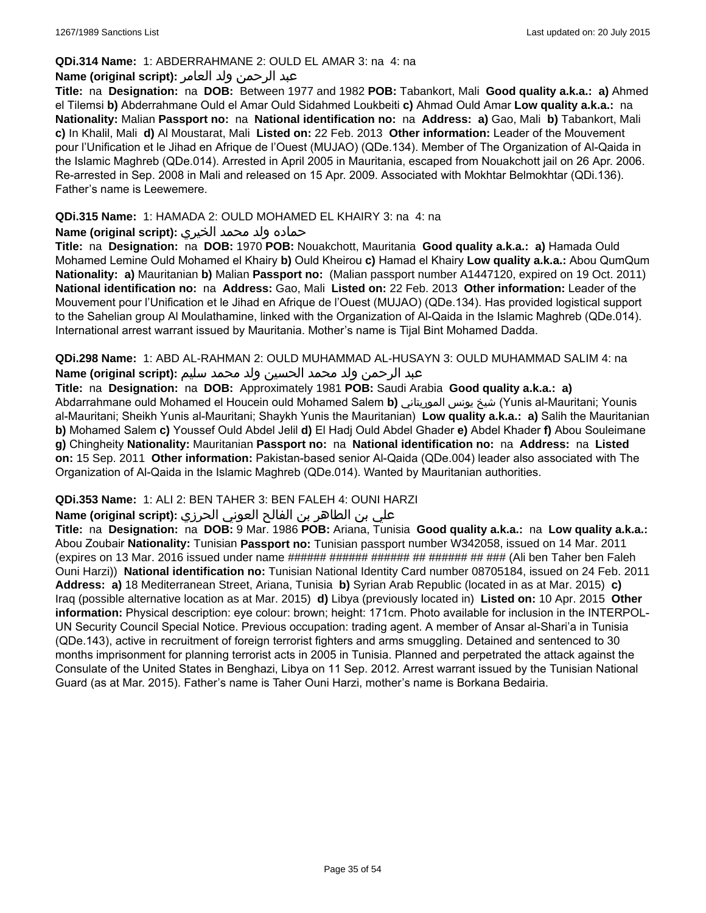### **QDi.314 Name:** 1: ABDERRAHMANE 2: OULD EL AMAR 3: na 4: na

### عبد الرحمن ولد العامر **:(script original (Name**

**Title:** na **Designation:** na **DOB:** Between 1977 and 1982 **POB:** Tabankort, Mali **Good quality a.k.a.: a)** Ahmed el Tilemsi **b)** Abderrahmane Ould el Amar Ould Sidahmed Loukbeiti **c)** Ahmad Ould Amar **Low quality a.k.a.:** na **Nationality:** Malian **Passport no:** na **National identification no:** na **Address: a)** Gao, Mali **b)** Tabankort, Mali **c)** In Khalil, Mali **d)** Al Moustarat, Mali **Listed on:** 22 Feb. 2013 **Other information:** Leader of the Mouvement pour l'Unification et le Jihad en Afrique de l'Ouest (MUJAO) (QDe.134). Member of The Organization of Al-Qaida in the Islamic Maghreb (QDe.014). Arrested in April 2005 in Mauritania, escaped from Nouakchott jail on 26 Apr. 2006. Re-arrested in Sep. 2008 in Mali and released on 15 Apr. 2009. Associated with Mokhtar Belmokhtar (QDi.136). Father's name is Leewemere.

### **QDi.315 Name:** 1: HAMADA 2: OULD MOHAMED EL KHAIRY 3: na 4: na

### حماده ولد محمد الخيري **:(script original (Name**

**Title:** na **Designation:** na **DOB:** 1970 **POB:** Nouakchott, Mauritania **Good quality a.k.a.: a)** Hamada Ould Mohamed Lemine Ould Mohamed el Khairy **b)** Ould Kheirou **c)** Hamad el Khairy **Low quality a.k.a.:** Abou QumQum **Nationality: a)** Mauritanian **b)** Malian **Passport no:** (Malian passport number A1447120, expired on 19 Oct. 2011) **National identification no:** na **Address:** Gao, Mali **Listed on:** 22 Feb. 2013 **Other information:** Leader of the Mouvement pour l'Unification et le Jihad en Afrique de l'Ouest (MUJAO) (QDe.134). Has provided logistical support to the Sahelian group Al Moulathamine, linked with the Organization of Al-Qaida in the Islamic Maghreb (QDe.014). International arrest warrant issued by Mauritania. Mother's name is Tijal Bint Mohamed Dadda.

**QDi.298 Name:** 1: ABD AL-RAHMAN 2: OULD MUHAMMAD AL-HUSAYN 3: OULD MUHAMMAD SALIM 4: na

# عبد الرحمن ولد محمد الحسين ولد محمد سليم **:(script original (Name**

**Title:** na **Designation:** na **DOB:** Approximately 1981 **POB:** Saudi Arabia **Good quality a.k.a.: a)** Abdarrahmane ould Mohamed el Houcein ould Mohamed Salem **b)** الموريتاني يونس شيخ) Yunis al-Mauritani; Younis al-Mauritani; Sheikh Yunis al-Mauritani; Shaykh Yunis the Mauritanian) **Low quality a.k.a.: a)** Salih the Mauritanian **b)** Mohamed Salem **c)** Youssef Ould Abdel Jelil **d)** El Hadj Ould Abdel Ghader **e)** Abdel Khader **f)** Abou Souleimane **g)** Chingheity **Nationality:** Mauritanian **Passport no:** na **National identification no:** na **Address:** na **Listed on:** 15 Sep. 2011 **Other information:** Pakistan-based senior Al-Qaida (QDe.004) leader also associated with The Organization of Al-Qaida in the Islamic Maghreb (QDe.014). Wanted by Mauritanian authorities.

### **QDi.353 Name:** 1: ALI 2: BEN TAHER 3: BEN FALEH 4: OUNI HARZI

### علي بن الطاھر بن الفالح العوني الحرزي **:(script original (Name**

**Title:** na **Designation:** na **DOB:** 9 Mar. 1986 **POB:** Ariana, Tunisia **Good quality a.k.a.:** na **Low quality a.k.a.:** Abou Zoubair **Nationality:** Tunisian **Passport no:** Tunisian passport number W342058, issued on 14 Mar. 2011 (expires on 13 Mar. 2016 issued under name ###### ###### ###### ## ###### ## ### (Ali ben Taher ben Faleh Ouni Harzi)) **National identification no:** Tunisian National Identity Card number 08705184, issued on 24 Feb. 2011 **Address: a)** 18 Mediterranean Street, Ariana, Tunisia **b)** Syrian Arab Republic (located in as at Mar. 2015) **c)** Iraq (possible alternative location as at Mar. 2015) **d)** Libya (previously located in) **Listed on:** 10 Apr. 2015 **Other information:** Physical description: eye colour: brown; height: 171cm. Photo available for inclusion in the INTERPOL-UN Security Council Special Notice. Previous occupation: trading agent. A member of Ansar al-Shari'a in Tunisia (QDe.143), active in recruitment of foreign terrorist fighters and arms smuggling. Detained and sentenced to 30 months imprisonment for planning terrorist acts in 2005 in Tunisia. Planned and perpetrated the attack against the Consulate of the United States in Benghazi, Libya on 11 Sep. 2012. Arrest warrant issued by the Tunisian National Guard (as at Mar. 2015). Father's name is Taher Ouni Harzi, mother's name is Borkana Bedairia.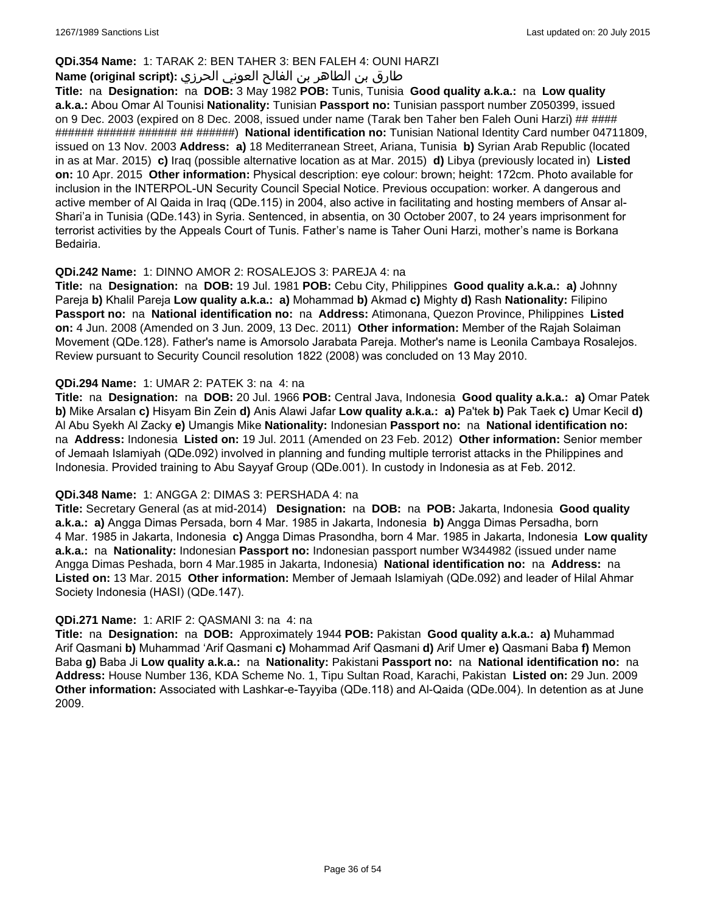### **QDi.354 Name:** 1: TARAK 2: BEN TAHER 3: BEN FALEH 4: OUNI HARZI

# طارق بن الطاھر بن الفالح العوني الحرزي **:(script original (Name**

**Title:** na **Designation:** na **DOB:** 3 May 1982 **POB:** Tunis, Tunisia **Good quality a.k.a.:** na **Low quality a.k.a.:** Abou Omar Al Tounisi **Nationality:** Tunisian **Passport no:** Tunisian passport number Z050399, issued on 9 Dec. 2003 (expired on 8 Dec. 2008, issued under name (Tarak ben Taher ben Faleh Ouni Harzi) ## #### ###### ###### ###### ## ######) **National identification no:** Tunisian National Identity Card number 04711809, issued on 13 Nov. 2003 **Address: a)** 18 Mediterranean Street, Ariana, Tunisia **b)** Syrian Arab Republic (located in as at Mar. 2015) **c)** Iraq (possible alternative location as at Mar. 2015) **d)** Libya (previously located in) **Listed on:** 10 Apr. 2015 **Other information:** Physical description: eye colour: brown; height: 172cm. Photo available for inclusion in the INTERPOL-UN Security Council Special Notice. Previous occupation: worker. A dangerous and active member of Al Qaida in Iraq (QDe.115) in 2004, also active in facilitating and hosting members of Ansar al-Shari'a in Tunisia (QDe.143) in Syria. Sentenced, in absentia, on 30 October 2007, to 24 years imprisonment for terrorist activities by the Appeals Court of Tunis. Father's name is Taher Ouni Harzi, mother's name is Borkana Bedairia.

### **QDi.242 Name:** 1: DINNO AMOR 2: ROSALEJOS 3: PAREJA 4: na

**Title:** na **Designation:** na **DOB:** 19 Jul. 1981 **POB:** Cebu City, Philippines **Good quality a.k.a.: a)** Johnny Pareja **b)** Khalil Pareja **Low quality a.k.a.: a)** Mohammad **b)** Akmad **c)** Mighty **d)** Rash **Nationality:** Filipino **Passport no:** na **National identification no:** na **Address:** Atimonana, Quezon Province, Philippines **Listed on:** 4 Jun. 2008 (Amended on 3 Jun. 2009, 13 Dec. 2011) **Other information:** Member of the Rajah Solaiman Movement (QDe.128). Father's name is Amorsolo Jarabata Pareja. Mother's name is Leonila Cambaya Rosalejos. Review pursuant to Security Council resolution 1822 (2008) was concluded on 13 May 2010.

### **QDi.294 Name:** 1: UMAR 2: PATEK 3: na 4: na

**Title:** na **Designation:** na **DOB:** 20 Jul. 1966 **POB:** Central Java, Indonesia **Good quality a.k.a.: a)** Omar Patek **b)** Mike Arsalan **c)** Hisyam Bin Zein **d)** Anis Alawi Jafar **Low quality a.k.a.: a)** Pa'tek **b)** Pak Taek **c)** Umar Kecil **d)** Al Abu Syekh Al Zacky **e)** Umangis Mike **Nationality:** Indonesian **Passport no:** na **National identification no:**  na **Address:** Indonesia **Listed on:** 19 Jul. 2011 (Amended on 23 Feb. 2012) **Other information:** Senior member of Jemaah Islamiyah (QDe.092) involved in planning and funding multiple terrorist attacks in the Philippines and Indonesia. Provided training to Abu Sayyaf Group (QDe.001). In custody in Indonesia as at Feb. 2012.

#### **QDi.348 Name:** 1: ANGGA 2: DIMAS 3: PERSHADA 4: na

**Title:** Secretary General (as at mid-2014) **Designation:** na **DOB:** na **POB:** Jakarta, Indonesia **Good quality a.k.a.: a)** Angga Dimas Persada, born 4 Mar. 1985 in Jakarta, Indonesia **b)** Angga Dimas Persadha, born 4 Mar. 1985 in Jakarta, Indonesia **c)** Angga Dimas Prasondha, born 4 Mar. 1985 in Jakarta, Indonesia **Low quality a.k.a.:** na **Nationality:** Indonesian **Passport no:** Indonesian passport number W344982 (issued under name Angga Dimas Peshada, born 4 Mar.1985 in Jakarta, Indonesia) **National identification no:** na **Address:** na **Listed on:** 13 Mar. 2015 **Other information:** Member of Jemaah Islamiyah (QDe.092) and leader of Hilal Ahmar Society Indonesia (HASI) (QDe.147).

#### **QDi.271 Name:** 1: ARIF 2: QASMANI 3: na 4: na

**Title:** na **Designation:** na **DOB:** Approximately 1944 **POB:** Pakistan **Good quality a.k.a.: a)** Muhammad Arif Qasmani **b)** Muhammad 'Arif Qasmani **c)** Mohammad Arif Qasmani **d)** Arif Umer **e)** Qasmani Baba **f)** Memon Baba **g)** Baba Ji **Low quality a.k.a.:** na **Nationality:** Pakistani **Passport no:** na **National identification no:** na **Address:** House Number 136, KDA Scheme No. 1, Tipu Sultan Road, Karachi, Pakistan **Listed on:** 29 Jun. 2009 **Other information:** Associated with Lashkar-e-Tayyiba (QDe.118) and Al-Qaida (QDe.004). In detention as at June 2009.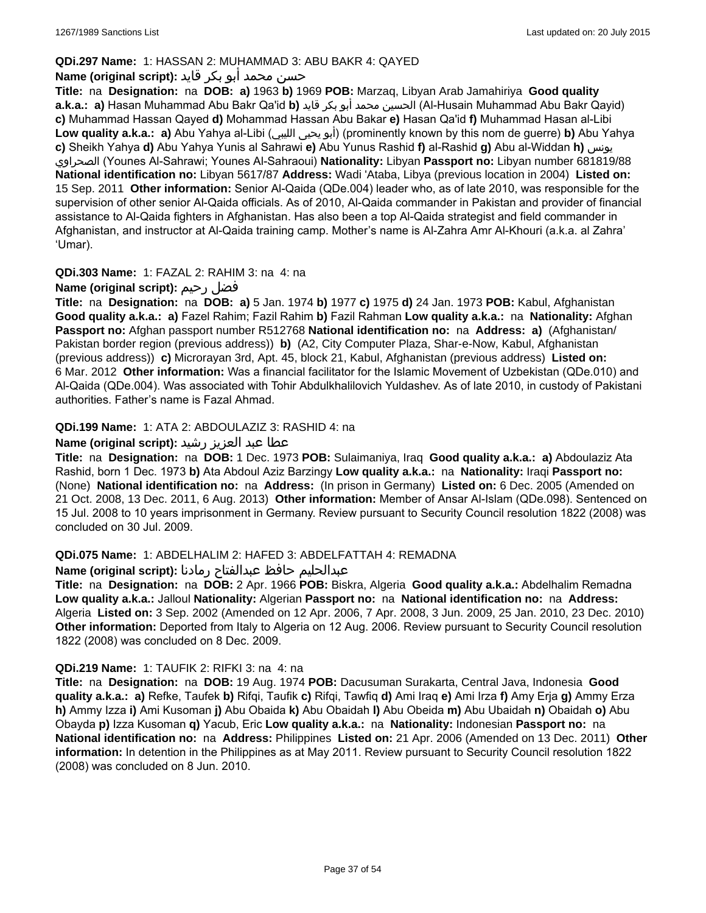## **QDi.297 Name:** 1: HASSAN 2: MUHAMMAD 3: ABU BAKR 4: QAYED

## حسن محمد أبو بكر قايد **:(script original (Name**

**Title:** na **Designation:** na **DOB: a)** 1963 **b)** 1969 **POB:** Marzaq, Libyan Arab Jamahiriya **Good quality a.k.a.: a)** Hasan Muhammad Abu Bakr Qa'id **b)** قايد بكر أبو محمد الحسين) Al-Husain Muhammad Abu Bakr Qayid) **c)** Muhammad Hassan Qayed **d)** Mohammad Hassan Abu Bakar **e)** Hasan Qa'id **f)** Muhammad Hasan al-Libi **Low quality a.k.a.: a)** Abu Yahya al-Libi (الليبي يحيى أبو) (prominently known by this nom de guerre) **b)** Abu Yahya **c)** Sheikh Yahya **d)** Abu Yahya Yunis al Sahrawi **e)** Abu Yunus Rashid **f)** al-Rashid **g)** Abu al-Widdan **h)** يونس الصحراوي) Younes Al-Sahrawi; Younes Al-Sahraoui) **Nationality:** Libyan **Passport no:** Libyan number 681819/88 **National identification no:** Libyan 5617/87 **Address:** Wadi 'Ataba, Libya (previous location in 2004) **Listed on:** 15 Sep. 2011 **Other information:** Senior Al-Qaida (QDe.004) leader who, as of late 2010, was responsible for the supervision of other senior Al-Qaida officials. As of 2010, Al-Qaida commander in Pakistan and provider of financial assistance to Al-Qaida fighters in Afghanistan. Has also been a top Al-Qaida strategist and field commander in Afghanistan, and instructor at Al-Qaida training camp. Mother's name is Al-Zahra Amr Al-Khouri (a.k.a. al Zahra' 'Umar).

### **QDi.303 Name:** 1: FAZAL 2: RAHIM 3: na 4: na

## **Name (original script):** رحيم فضل

**Title:** na **Designation:** na **DOB: a)** 5 Jan. 1974 **b)** 1977 **c)** 1975 **d)** 24 Jan. 1973 **POB:** Kabul, Afghanistan **Good quality a.k.a.: a)** Fazel Rahim; Fazil Rahim **b)** Fazil Rahman **Low quality a.k.a.:** na **Nationality:** Afghan **Passport no:** Afghan passport number R512768 **National identification no:** na **Address: a)** (Afghanistan/ Pakistan border region (previous address)) **b)** (A2, City Computer Plaza, Shar-e-Now, Kabul, Afghanistan (previous address)) **c)** Microrayan 3rd, Apt. 45, block 21, Kabul, Afghanistan (previous address) **Listed on:** 6 Mar. 2012 **Other information:** Was a financial facilitator for the Islamic Movement of Uzbekistan (QDe.010) and Al-Qaida (QDe.004). Was associated with Tohir Abdulkhalilovich Yuldashev. As of late 2010, in custody of Pakistani authorities. Father's name is Fazal Ahmad.

## **QDi.199 Name:** 1: ATA 2: ABDOULAZIZ 3: RASHID 4: na

## عطا عبد العزيز رشيد **:(script original (Name**

**Title:** na **Designation:** na **DOB:** 1 Dec. 1973 **POB:** Sulaimaniya, Iraq **Good quality a.k.a.: a)** Abdoulaziz Ata Rashid, born 1 Dec. 1973 **b)** Ata Abdoul Aziz Barzingy **Low quality a.k.a.:** na **Nationality:** Iraqi **Passport no:**  (None) **National identification no:** na **Address:** (In prison in Germany) **Listed on:** 6 Dec. 2005 (Amended on 21 Oct. 2008, 13 Dec. 2011, 6 Aug. 2013) **Other information:** Member of Ansar Al-Islam (QDe.098). Sentenced on 15 Jul. 2008 to 10 years imprisonment in Germany. Review pursuant to Security Council resolution 1822 (2008) was concluded on 30 Jul. 2009.

### **QDi.075 Name:** 1: ABDELHALIM 2: HAFED 3: ABDELFATTAH 4: REMADNA

### عبدالحليم حافظ عبدالفتاح رمادنا **:(script original (Name**

**Title:** na **Designation:** na **DOB:** 2 Apr. 1966 **POB:** Biskra, Algeria **Good quality a.k.a.:** Abdelhalim Remadna **Low quality a.k.a.:** Jalloul **Nationality:** Algerian **Passport no:** na **National identification no:** na **Address:** Algeria **Listed on:** 3 Sep. 2002 (Amended on 12 Apr. 2006, 7 Apr. 2008, 3 Jun. 2009, 25 Jan. 2010, 23 Dec. 2010) **Other information:** Deported from Italy to Algeria on 12 Aug. 2006. Review pursuant to Security Council resolution 1822 (2008) was concluded on 8 Dec. 2009.

## **QDi.219 Name:** 1: TAUFIK 2: RIFKI 3: na 4: na

**Title:** na **Designation:** na **DOB:** 19 Aug. 1974 **POB:** Dacusuman Surakarta, Central Java, Indonesia **Good quality a.k.a.: a)** Refke, Taufek **b)** Rifqi, Taufik **c)** Rifqi, Tawfiq **d)** Ami Iraq **e)** Ami Irza **f)** Amy Erja **g)** Ammy Erza **h)** Ammy Izza **i)** Ami Kusoman **j)** Abu Obaida **k)** Abu Obaidah **l)** Abu Obeida **m)** Abu Ubaidah **n)** Obaidah **o)** Abu Obayda **p)** Izza Kusoman **q)** Yacub, Eric **Low quality a.k.a.:** na **Nationality:** Indonesian **Passport no:** na **National identification no:** na **Address:** Philippines **Listed on:** 21 Apr. 2006 (Amended on 13 Dec. 2011) **Other information:** In detention in the Philippines as at May 2011. Review pursuant to Security Council resolution 1822 (2008) was concluded on 8 Jun. 2010.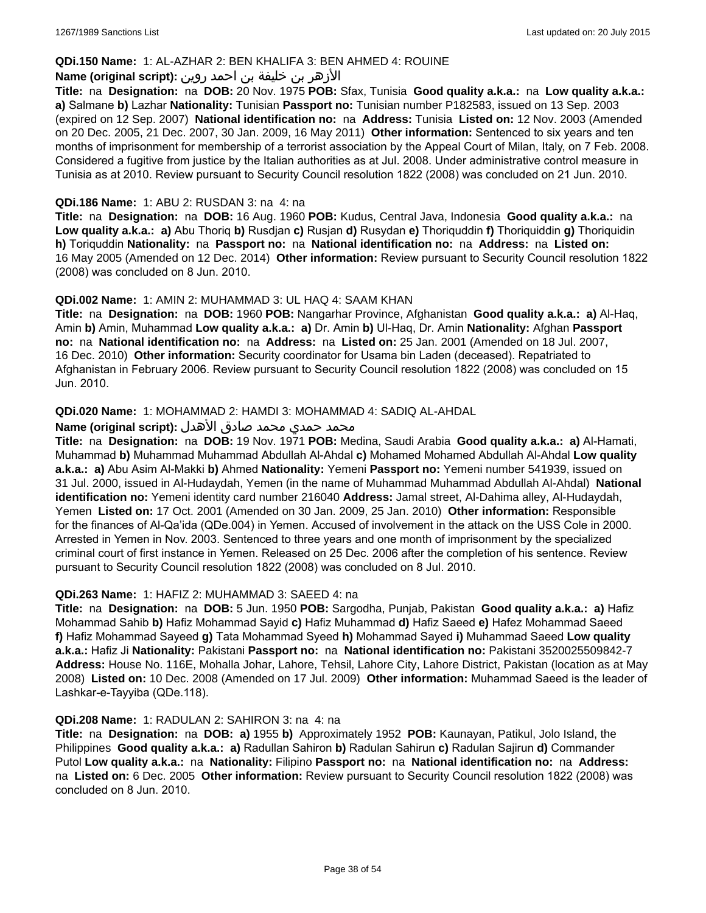### **QDi.150 Name:** 1: AL-AZHAR 2: BEN KHALIFA 3: BEN AHMED 4: ROUINE

### الأزهر بن خليفة بن احمد روين **:(script original (Name**

**Title:** na **Designation:** na **DOB:** 20 Nov. 1975 **POB:** Sfax, Tunisia **Good quality a.k.a.:** na **Low quality a.k.a.: a)** Salmane **b)** Lazhar **Nationality:** Tunisian **Passport no:** Tunisian number P182583, issued on 13 Sep. 2003 (expired on 12 Sep. 2007) **National identification no:** na **Address:** Tunisia **Listed on:** 12 Nov. 2003 (Amended on 20 Dec. 2005, 21 Dec. 2007, 30 Jan. 2009, 16 May 2011) **Other information:** Sentenced to six years and ten months of imprisonment for membership of a terrorist association by the Appeal Court of Milan, Italy, on 7 Feb. 2008. Considered a fugitive from justice by the Italian authorities as at Jul. 2008. Under administrative control measure in Tunisia as at 2010. Review pursuant to Security Council resolution 1822 (2008) was concluded on 21 Jun. 2010.

### **QDi.186 Name:** 1: ABU 2: RUSDAN 3: na 4: na

**Title:** na **Designation:** na **DOB:** 16 Aug. 1960 **POB:** Kudus, Central Java, Indonesia **Good quality a.k.a.:** na **Low quality a.k.a.: a)** Abu Thoriq **b)** Rusdjan **c)** Rusjan **d)** Rusydan **e)** Thoriquddin **f)** Thoriquiddin **g)** Thoriquidin **h)** Toriquddin **Nationality:** na **Passport no:** na **National identification no:** na **Address:** na **Listed on:** 16 May 2005 (Amended on 12 Dec. 2014) **Other information:** Review pursuant to Security Council resolution 1822 (2008) was concluded on 8 Jun. 2010.

#### **QDi.002 Name:** 1: AMIN 2: MUHAMMAD 3: UL HAQ 4: SAAM KHAN

**Title:** na **Designation:** na **DOB:** 1960 **POB:** Nangarhar Province, Afghanistan **Good quality a.k.a.: a)** Al-Haq, Amin **b)** Amin, Muhammad **Low quality a.k.a.: a)** Dr. Amin **b)** Ul-Haq, Dr. Amin **Nationality:** Afghan **Passport no:** na **National identification no:** na **Address:** na **Listed on:** 25 Jan. 2001 (Amended on 18 Jul. 2007, 16 Dec. 2010) **Other information:** Security coordinator for Usama bin Laden (deceased). Repatriated to Afghanistan in February 2006. Review pursuant to Security Council resolution 1822 (2008) was concluded on 15 Jun. 2010.

#### **QDi.020 Name:** 1: MOHAMMAD 2: HAMDI 3: MOHAMMAD 4: SADIQ AL-AHDAL

#### محمد حمدي محمد صادق الأهدل **:Name (original script)**

**Title:** na **Designation:** na **DOB:** 19 Nov. 1971 **POB:** Medina, Saudi Arabia **Good quality a.k.a.: a)** Al-Hamati, Muhammad **b)** Muhammad Muhammad Abdullah Al-Ahdal **c)** Mohamed Mohamed Abdullah Al-Ahdal **Low quality a.k.a.: a)** Abu Asim Al-Makki **b)** Ahmed **Nationality:** Yemeni **Passport no:** Yemeni number 541939, issued on 31 Jul. 2000, issued in Al-Hudaydah, Yemen (in the name of Muhammad Muhammad Abdullah Al-Ahdal) **National identification no:** Yemeni identity card number 216040 **Address:** Jamal street, Al-Dahima alley, Al-Hudaydah, Yemen **Listed on:** 17 Oct. 2001 (Amended on 30 Jan. 2009, 25 Jan. 2010) **Other information:** Responsible for the finances of Al-Qa'ida (QDe.004) in Yemen. Accused of involvement in the attack on the USS Cole in 2000. Arrested in Yemen in Nov. 2003. Sentenced to three years and one month of imprisonment by the specialized criminal court of first instance in Yemen. Released on 25 Dec. 2006 after the completion of his sentence. Review pursuant to Security Council resolution 1822 (2008) was concluded on 8 Jul. 2010.

#### **QDi.263 Name:** 1: HAFIZ 2: MUHAMMAD 3: SAEED 4: na

**Title:** na **Designation:** na **DOB:** 5 Jun. 1950 **POB:** Sargodha, Punjab, Pakistan **Good quality a.k.a.: a)** Hafiz Mohammad Sahib **b)** Hafiz Mohammad Sayid **c)** Hafiz Muhammad **d)** Hafiz Saeed **e)** Hafez Mohammad Saeed **f)** Hafiz Mohammad Sayeed **g)** Tata Mohammad Syeed **h)** Mohammad Sayed **i)** Muhammad Saeed **Low quality a.k.a.:** Hafiz Ji **Nationality:** Pakistani **Passport no:** na **National identification no:** Pakistani 3520025509842-7 **Address:** House No. 116E, Mohalla Johar, Lahore, Tehsil, Lahore City, Lahore District, Pakistan (location as at May 2008) **Listed on:** 10 Dec. 2008 (Amended on 17 Jul. 2009) **Other information:** Muhammad Saeed is the leader of Lashkar-e-Tayyiba (QDe.118).

#### **QDi.208 Name:** 1: RADULAN 2: SAHIRON 3: na 4: na

**Title:** na **Designation:** na **DOB: a)** 1955 **b)** Approximately 1952 **POB:** Kaunayan, Patikul, Jolo Island, the Philippines **Good quality a.k.a.: a)** Radullan Sahiron **b)** Radulan Sahirun **c)** Radulan Sajirun **d)** Commander Putol **Low quality a.k.a.:** na **Nationality:** Filipino **Passport no:** na **National identification no:** na **Address:**  na **Listed on:** 6 Dec. 2005 **Other information:** Review pursuant to Security Council resolution 1822 (2008) was concluded on 8 Jun. 2010.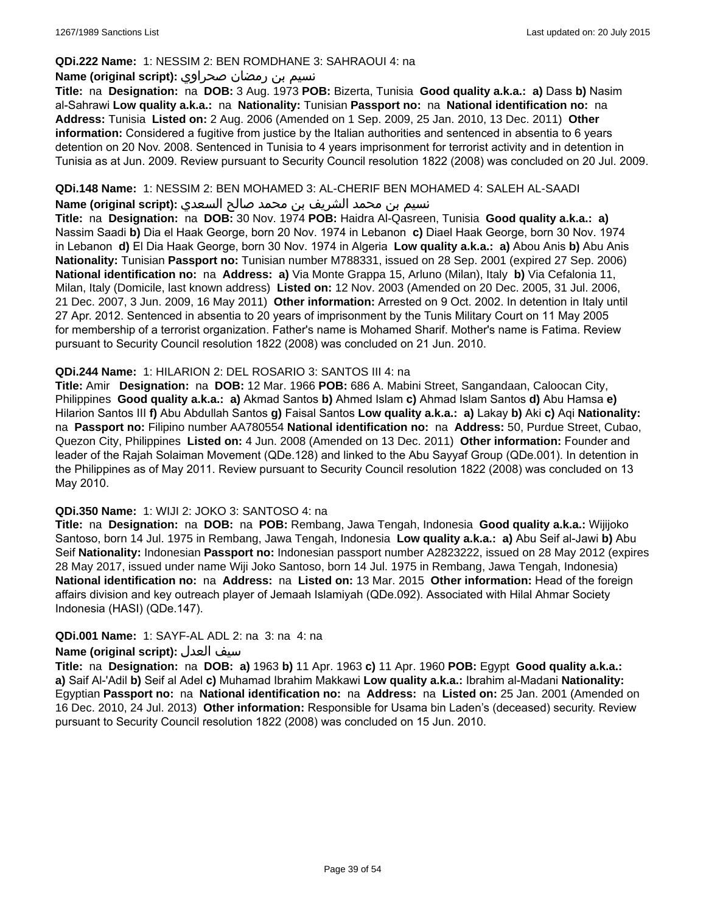### **QDi.222 Name:** 1: NESSIM 2: BEN ROMDHANE 3: SAHRAOUI 4: na

### نسيم بن رمضان صحراوي **:(script original (Name**

**Title:** na **Designation:** na **DOB:** 3 Aug. 1973 **POB:** Bizerta, Tunisia **Good quality a.k.a.: a)** Dass **b)** Nasim al-Sahrawi **Low quality a.k.a.:** na **Nationality:** Tunisian **Passport no:** na **National identification no:** na **Address:** Tunisia **Listed on:** 2 Aug. 2006 (Amended on 1 Sep. 2009, 25 Jan. 2010, 13 Dec. 2011) **Other information:** Considered a fugitive from justice by the Italian authorities and sentenced in absentia to 6 years detention on 20 Nov. 2008. Sentenced in Tunisia to 4 years imprisonment for terrorist activity and in detention in Tunisia as at Jun. 2009. Review pursuant to Security Council resolution 1822 (2008) was concluded on 20 Jul. 2009.

### **QDi.148 Name:** 1: NESSIM 2: BEN MOHAMED 3: AL-CHERIF BEN MOHAMED 4: SALEH AL-SAADI

نسيم بن محمد الشريف بن محمد صالح السعدي **:(script original (Name**

**Title:** na **Designation:** na **DOB:** 30 Nov. 1974 **POB:** Haidra Al-Qasreen, Tunisia **Good quality a.k.a.: a)** Nassim Saadi **b)** Dia el Haak George, born 20 Nov. 1974 in Lebanon **c)** Diael Haak George, born 30 Nov. 1974 in Lebanon **d)** El Dia Haak George, born 30 Nov. 1974 in Algeria **Low quality a.k.a.: a)** Abou Anis **b)** Abu Anis **Nationality:** Tunisian **Passport no:** Tunisian number M788331, issued on 28 Sep. 2001 (expired 27 Sep. 2006) **National identification no:** na **Address: a)** Via Monte Grappa 15, Arluno (Milan), Italy **b)** Via Cefalonia 11, Milan, Italy (Domicile, last known address) **Listed on:** 12 Nov. 2003 (Amended on 20 Dec. 2005, 31 Jul. 2006, 21 Dec. 2007, 3 Jun. 2009, 16 May 2011) **Other information:** Arrested on 9 Oct. 2002. In detention in Italy until 27 Apr. 2012. Sentenced in absentia to 20 years of imprisonment by the Tunis Military Court on 11 May 2005 for membership of a terrorist organization. Father's name is Mohamed Sharif. Mother's name is Fatima. Review pursuant to Security Council resolution 1822 (2008) was concluded on 21 Jun. 2010.

### **QDi.244 Name:** 1: HILARION 2: DEL ROSARIO 3: SANTOS III 4: na

**Title:** Amir **Designation:** na **DOB:** 12 Mar. 1966 **POB:** 686 A. Mabini Street, Sangandaan, Caloocan City, Philippines **Good quality a.k.a.: a)** Akmad Santos **b)** Ahmed Islam **c)** Ahmad Islam Santos **d)** Abu Hamsa **e)** Hilarion Santos III **f)** Abu Abdullah Santos **g)** Faisal Santos **Low quality a.k.a.: a)** Lakay **b)** Aki **c)** Aqi **Nationality:**  na **Passport no:** Filipino number AA780554 **National identification no:** na **Address:** 50, Purdue Street, Cubao, Quezon City, Philippines **Listed on:** 4 Jun. 2008 (Amended on 13 Dec. 2011) **Other information:** Founder and leader of the Rajah Solaiman Movement (QDe.128) and linked to the Abu Sayyaf Group (QDe.001). In detention in the Philippines as of May 2011. Review pursuant to Security Council resolution 1822 (2008) was concluded on 13 May 2010.

#### **QDi.350 Name:** 1: WIJI 2: JOKO 3: SANTOSO 4: na

**Title:** na **Designation:** na **DOB:** na **POB:** Rembang, Jawa Tengah, Indonesia **Good quality a.k.a.:** Wijijoko Santoso, born 14 Jul. 1975 in Rembang, Jawa Tengah, Indonesia **Low quality a.k.a.: a)** Abu Seif al-Jawi **b)** Abu Seif **Nationality:** Indonesian **Passport no:** Indonesian passport number A2823222, issued on 28 May 2012 (expires 28 May 2017, issued under name Wiji Joko Santoso, born 14 Jul. 1975 in Rembang, Jawa Tengah, Indonesia) **National identification no:** na **Address:** na **Listed on:** 13 Mar. 2015 **Other information:** Head of the foreign affairs division and key outreach player of Jemaah Islamiyah (QDe.092). Associated with Hilal Ahmar Society Indonesia (HASI) (QDe.147).

### **QDi.001 Name:** 1: SAYF-AL ADL 2: na 3: na 4: na

### **Name (original script):** العدل سيف

**Title:** na **Designation:** na **DOB: a)** 1963 **b)** 11 Apr. 1963 **c)** 11 Apr. 1960 **POB:** Egypt **Good quality a.k.a.: a)** Saif Al-'Adil **b)** Seif al Adel **c)** Muhamad Ibrahim Makkawi **Low quality a.k.a.:** Ibrahim al-Madani **Nationality:** Egyptian **Passport no:** na **National identification no:** na **Address:** na **Listed on:** 25 Jan. 2001 (Amended on 16 Dec. 2010, 24 Jul. 2013) **Other information:** Responsible for Usama bin Laden's (deceased) security. Review pursuant to Security Council resolution 1822 (2008) was concluded on 15 Jun. 2010.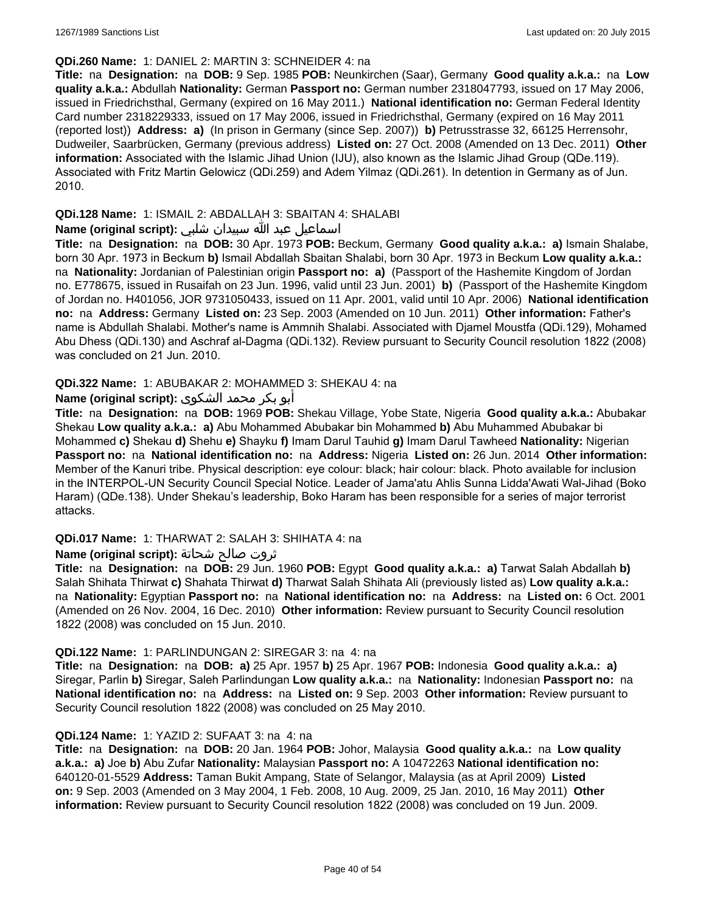### **QDi.260 Name:** 1: DANIEL 2: MARTIN 3: SCHNEIDER 4: na

**Title:** na **Designation:** na **DOB:** 9 Sep. 1985 **POB:** Neunkirchen (Saar), Germany **Good quality a.k.a.:** na **Low quality a.k.a.:** Abdullah **Nationality:** German **Passport no:** German number 2318047793, issued on 17 May 2006, issued in Friedrichsthal, Germany (expired on 16 May 2011.) **National identification no:** German Federal Identity Card number 2318229333, issued on 17 May 2006, issued in Friedrichsthal, Germany (expired on 16 May 2011 (reported lost)) **Address: a)** (In prison in Germany (since Sep. 2007)) **b)** Petrusstrasse 32, 66125 Herrensohr, Dudweiler, Saarbrücken, Germany (previous address) **Listed on:** 27 Oct. 2008 (Amended on 13 Dec. 2011) **Other information:** Associated with the Islamic Jihad Union (IJU), also known as the Islamic Jihad Group (QDe.119). Associated with Fritz Martin Gelowicz (QDi.259) and Adem Yilmaz (QDi.261). In detention in Germany as of Jun. 2010.

## **QDi.128 Name:** 1: ISMAIL 2: ABDALLAH 3: SBAITAN 4: SHALABI

### اسماعيل عبد الله سبيدان شلبي **:(script original (Name**

**Title:** na **Designation:** na **DOB:** 30 Apr. 1973 **POB:** Beckum, Germany **Good quality a.k.a.: a)** Ismain Shalabe, born 30 Apr. 1973 in Beckum **b)** Ismail Abdallah Sbaitan Shalabi, born 30 Apr. 1973 in Beckum **Low quality a.k.a.:**  na **Nationality:** Jordanian of Palestinian origin **Passport no: a)** (Passport of the Hashemite Kingdom of Jordan no. E778675, issued in Rusaifah on 23 Jun. 1996, valid until 23 Jun. 2001) **b)** (Passport of the Hashemite Kingdom of Jordan no. H401056, JOR 9731050433, issued on 11 Apr. 2001, valid until 10 Apr. 2006) **National identification no:** na **Address:** Germany **Listed on:** 23 Sep. 2003 (Amended on 10 Jun. 2011) **Other information:** Father's name is Abdullah Shalabi. Mother's name is Ammnih Shalabi. Associated with Djamel Moustfa (QDi.129), Mohamed Abu Dhess (QDi.130) and Aschraf al-Dagma (QDi.132). Review pursuant to Security Council resolution 1822 (2008) was concluded on 21 Jun. 2010.

### **QDi.322 Name:** 1: ABUBAKAR 2: MOHAMMED 3: SHEKAU 4: na

### أبو بكر محمد الشكوى **:(script original (Name**

**Title:** na **Designation:** na **DOB:** 1969 **POB:** Shekau Village, Yobe State, Nigeria **Good quality a.k.a.:** Abubakar Shekau **Low quality a.k.a.: a)** Abu Mohammed Abubakar bin Mohammed **b)** Abu Muhammed Abubakar bi Mohammed **c)** Shekau **d)** Shehu **e)** Shayku **f)** Imam Darul Tauhid **g)** Imam Darul Tawheed **Nationality:** Nigerian **Passport no:** na **National identification no:** na **Address:** Nigeria **Listed on:** 26 Jun. 2014 **Other information:** Member of the Kanuri tribe. Physical description: eye colour: black; hair colour: black. Photo available for inclusion in the INTERPOL-UN Security Council Special Notice. Leader of Jama'atu Ahlis Sunna Lidda'Awati Wal-Jihad (Boko Haram) (QDe.138). Under Shekau's leadership, Boko Haram has been responsible for a series of major terrorist attacks.

#### **QDi.017 Name:** 1: THARWAT 2: SALAH 3: SHIHATA 4: na

#### ثروت صالح شحاتة **:(script original (Name**

**Title:** na **Designation:** na **DOB:** 29 Jun. 1960 **POB:** Egypt **Good quality a.k.a.: a)** Tarwat Salah Abdallah **b)** Salah Shihata Thirwat **c)** Shahata Thirwat **d)** Tharwat Salah Shihata Ali (previously listed as) **Low quality a.k.a.:**  na **Nationality:** Egyptian **Passport no:** na **National identification no:** na **Address:** na **Listed on:** 6 Oct. 2001 (Amended on 26 Nov. 2004, 16 Dec. 2010) **Other information:** Review pursuant to Security Council resolution 1822 (2008) was concluded on 15 Jun. 2010.

#### **QDi.122 Name:** 1: PARLINDUNGAN 2: SIREGAR 3: na 4: na

**Title:** na **Designation:** na **DOB: a)** 25 Apr. 1957 **b)** 25 Apr. 1967 **POB:** Indonesia **Good quality a.k.a.: a)** Siregar, Parlin **b)** Siregar, Saleh Parlindungan **Low quality a.k.a.:** na **Nationality:** Indonesian **Passport no:** na **National identification no:** na **Address:** na **Listed on:** 9 Sep. 2003 **Other information:** Review pursuant to Security Council resolution 1822 (2008) was concluded on 25 May 2010.

#### **QDi.124 Name:** 1: YAZID 2: SUFAAT 3: na 4: na

**Title:** na **Designation:** na **DOB:** 20 Jan. 1964 **POB:** Johor, Malaysia **Good quality a.k.a.:** na **Low quality a.k.a.: a)** Joe **b)** Abu Zufar **Nationality:** Malaysian **Passport no:** A 10472263 **National identification no:** 640120-01-5529 **Address:** Taman Bukit Ampang, State of Selangor, Malaysia (as at April 2009) **Listed on:** 9 Sep. 2003 (Amended on 3 May 2004, 1 Feb. 2008, 10 Aug. 2009, 25 Jan. 2010, 16 May 2011) **Other information:** Review pursuant to Security Council resolution 1822 (2008) was concluded on 19 Jun. 2009.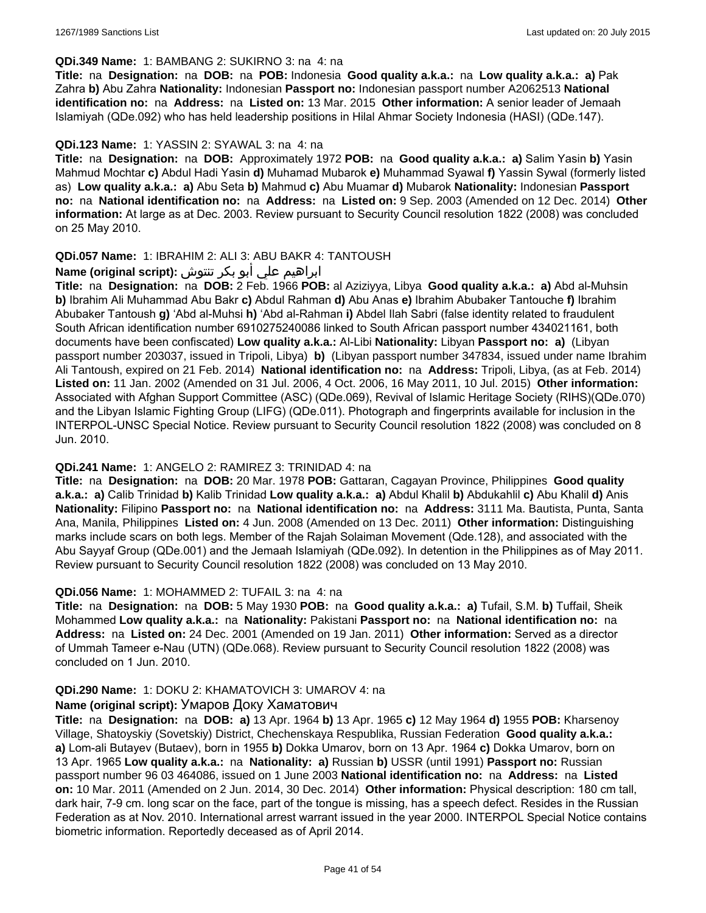#### **QDi.349 Name:** 1: BAMBANG 2: SUKIRNO 3: na 4: na

**Title:** na **Designation:** na **DOB:** na **POB:** Indonesia **Good quality a.k.a.:** na **Low quality a.k.a.: a)** Pak Zahra **b)** Abu Zahra **Nationality:** Indonesian **Passport no:** Indonesian passport number A2062513 **National identification no:** na **Address:** na **Listed on:** 13 Mar. 2015 **Other information:** A senior leader of Jemaah Islamiyah (QDe.092) who has held leadership positions in Hilal Ahmar Society Indonesia (HASI) (QDe.147).

#### **QDi.123 Name:** 1: YASSIN 2: SYAWAL 3: na 4: na

**Title:** na **Designation:** na **DOB:** Approximately 1972 **POB:** na **Good quality a.k.a.: a)** Salim Yasin **b)** Yasin Mahmud Mochtar **c)** Abdul Hadi Yasin **d)** Muhamad Mubarok **e)** Muhammad Syawal **f)** Yassin Sywal (formerly listed as) **Low quality a.k.a.: a)** Abu Seta **b)** Mahmud **c)** Abu Muamar **d)** Mubarok **Nationality:** Indonesian **Passport no:** na **National identification no:** na **Address:** na **Listed on:** 9 Sep. 2003 (Amended on 12 Dec. 2014) **Other information:** At large as at Dec. 2003. Review pursuant to Security Council resolution 1822 (2008) was concluded on 25 May 2010.

#### **QDi.057 Name:** 1: IBRAHIM 2: ALI 3: ABU BAKR 4: TANTOUSH

### ابراهيم علي أبو بكر تنتوش **:(script original (Name**

**Title:** na **Designation:** na **DOB:** 2 Feb. 1966 **POB:** al Aziziyya, Libya **Good quality a.k.a.: a)** Abd al-Muhsin **b)** Ibrahim Ali Muhammad Abu Bakr **c)** Abdul Rahman **d)** Abu Anas **e)** Ibrahim Abubaker Tantouche **f)** Ibrahim Abubaker Tantoush **g)** 'Abd al-Muhsi **h)** 'Abd al-Rahman **i)** Abdel Ilah Sabri (false identity related to fraudulent South African identification number 6910275240086 linked to South African passport number 434021161, both documents have been confiscated) **Low quality a.k.a.:** Al-Libi **Nationality:** Libyan **Passport no: a)** (Libyan passport number 203037, issued in Tripoli, Libya) **b)** (Libyan passport number 347834, issued under name Ibrahim Ali Tantoush, expired on 21 Feb. 2014) **National identification no:** na **Address:** Tripoli, Libya, (as at Feb. 2014) **Listed on:** 11 Jan. 2002 (Amended on 31 Jul. 2006, 4 Oct. 2006, 16 May 2011, 10 Jul. 2015) **Other information:** Associated with Afghan Support Committee (ASC) (QDe.069), Revival of Islamic Heritage Society (RIHS)(QDe.070) and the Libyan Islamic Fighting Group (LIFG) (QDe.011). Photograph and fingerprints available for inclusion in the INTERPOL-UNSC Special Notice. Review pursuant to Security Council resolution 1822 (2008) was concluded on 8 Jun. 2010.

#### **QDi.241 Name:** 1: ANGELO 2: RAMIREZ 3: TRINIDAD 4: na

**Title:** na **Designation:** na **DOB:** 20 Mar. 1978 **POB:** Gattaran, Cagayan Province, Philippines **Good quality a.k.a.: a)** Calib Trinidad **b)** Kalib Trinidad **Low quality a.k.a.: a)** Abdul Khalil **b)** Abdukahlil **c)** Abu Khalil **d)** Anis **Nationality:** Filipino **Passport no:** na **National identification no:** na **Address:** 3111 Ma. Bautista, Punta, Santa Ana, Manila, Philippines **Listed on:** 4 Jun. 2008 (Amended on 13 Dec. 2011) **Other information:** Distinguishing marks include scars on both legs. Member of the Rajah Solaiman Movement (Qde.128), and associated with the Abu Sayyaf Group (QDe.001) and the Jemaah Islamiyah (QDe.092). In detention in the Philippines as of May 2011. Review pursuant to Security Council resolution 1822 (2008) was concluded on 13 May 2010.

#### **QDi.056 Name:** 1: MOHAMMED 2: TUFAIL 3: na 4: na

**Title:** na **Designation:** na **DOB:** 5 May 1930 **POB:** na **Good quality a.k.a.: a)** Tufail, S.M. **b)** Tuffail, Sheik Mohammed **Low quality a.k.a.:** na **Nationality:** Pakistani **Passport no:** na **National identification no:** na **Address:** na **Listed on:** 24 Dec. 2001 (Amended on 19 Jan. 2011) **Other information:** Served as a director of Ummah Tameer e-Nau (UTN) (QDe.068). Review pursuant to Security Council resolution 1822 (2008) was concluded on 1 Jun. 2010.

#### **QDi.290 Name:** 1: DOKU 2: KHAMATOVICH 3: UMAROV 4: na

#### **Name (original script):** Умаров Доку Хаматович

**Title:** na **Designation:** na **DOB: a)** 13 Apr. 1964 **b)** 13 Apr. 1965 **c)** 12 May 1964 **d)** 1955 **POB:** Kharsenoy Village, Shatoyskiy (Sovetskiy) District, Chechenskaya Respublika, Russian Federation **Good quality a.k.a.: a)** Lom-ali Butayev (Butaev), born in 1955 **b)** Dokka Umarov, born on 13 Apr. 1964 **c)** Dokka Umarov, born on 13 Apr. 1965 **Low quality a.k.a.:** na **Nationality: a)** Russian **b)** USSR (until 1991) **Passport no:** Russian passport number 96 03 464086, issued on 1 June 2003 **National identification no:** na **Address:** na **Listed on:** 10 Mar. 2011 (Amended on 2 Jun. 2014, 30 Dec. 2014) **Other information:** Physical description: 180 cm tall, dark hair, 7-9 cm. long scar on the face, part of the tongue is missing, has a speech defect. Resides in the Russian Federation as at Nov. 2010. International arrest warrant issued in the year 2000. INTERPOL Special Notice contains biometric information. Reportedly deceased as of April 2014.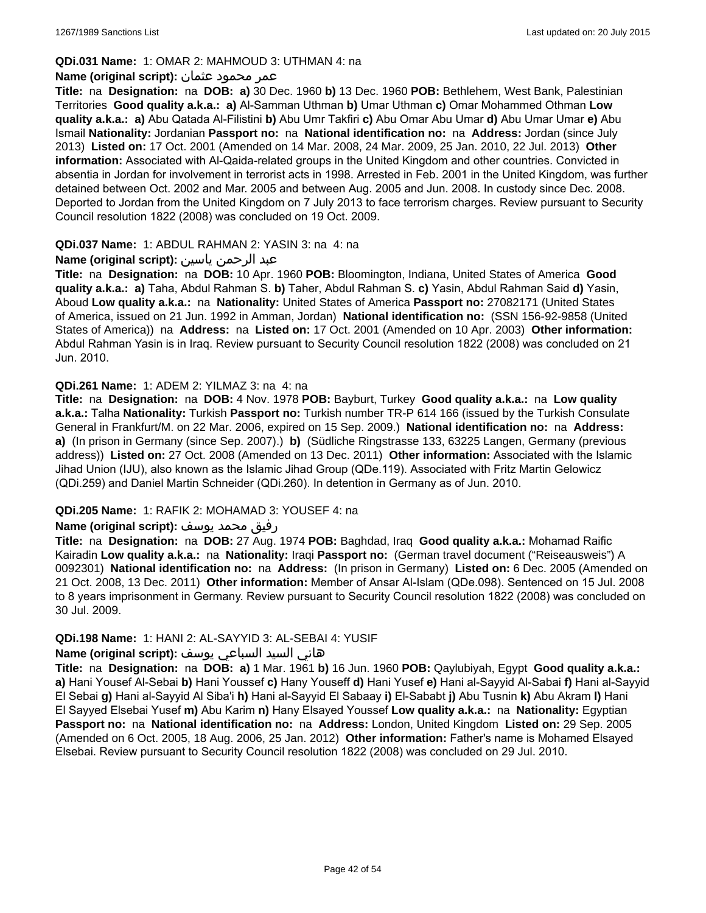### **QDi.031 Name:** 1: OMAR 2: MAHMOUD 3: UTHMAN 4: na

### عمر محمود عثمان **:(script original (Name**

**Title:** na **Designation:** na **DOB: a)** 30 Dec. 1960 **b)** 13 Dec. 1960 **POB:** Bethlehem, West Bank, Palestinian Territories **Good quality a.k.a.: a)** Al-Samman Uthman **b)** Umar Uthman **c)** Omar Mohammed Othman **Low quality a.k.a.: a)** Abu Qatada Al-Filistini **b)** Abu Umr Takfiri **c)** Abu Omar Abu Umar **d)** Abu Umar Umar **e)** Abu Ismail **Nationality:** Jordanian **Passport no:** na **National identification no:** na **Address:** Jordan (since July 2013) **Listed on:** 17 Oct. 2001 (Amended on 14 Mar. 2008, 24 Mar. 2009, 25 Jan. 2010, 22 Jul. 2013) **Other information:** Associated with Al-Qaida-related groups in the United Kingdom and other countries. Convicted in absentia in Jordan for involvement in terrorist acts in 1998. Arrested in Feb. 2001 in the United Kingdom, was further detained between Oct. 2002 and Mar. 2005 and between Aug. 2005 and Jun. 2008. In custody since Dec. 2008. Deported to Jordan from the United Kingdom on 7 July 2013 to face terrorism charges. Review pursuant to Security Council resolution 1822 (2008) was concluded on 19 Oct. 2009.

### **QDi.037 Name:** 1: ABDUL RAHMAN 2: YASIN 3: na 4: na

### عبد الرحمن ياسين **:(script original (Name**

**Title:** na **Designation:** na **DOB:** 10 Apr. 1960 **POB:** Bloomington, Indiana, United States of America **Good quality a.k.a.: a)** Taha, Abdul Rahman S. **b)** Taher, Abdul Rahman S. **c)** Yasin, Abdul Rahman Said **d)** Yasin, Aboud **Low quality a.k.a.:** na **Nationality:** United States of America **Passport no:** 27082171 (United States of America, issued on 21 Jun. 1992 in Amman, Jordan) **National identification no:** (SSN 156-92-9858 (United States of America)) na **Address:** na **Listed on:** 17 Oct. 2001 (Amended on 10 Apr. 2003) **Other information:** Abdul Rahman Yasin is in Iraq. Review pursuant to Security Council resolution 1822 (2008) was concluded on 21 Jun. 2010.

### **QDi.261 Name:** 1: ADEM 2: YILMAZ 3: na 4: na

**Title:** na **Designation:** na **DOB:** 4 Nov. 1978 **POB:** Bayburt, Turkey **Good quality a.k.a.:** na **Low quality a.k.a.:** Talha **Nationality:** Turkish **Passport no:** Turkish number TR-P 614 166 (issued by the Turkish Consulate General in Frankfurt/M. on 22 Mar. 2006, expired on 15 Sep. 2009.) **National identification no:** na **Address: a)** (In prison in Germany (since Sep. 2007).) **b)** (Südliche Ringstrasse 133, 63225 Langen, Germany (previous address)) **Listed on:** 27 Oct. 2008 (Amended on 13 Dec. 2011) **Other information:** Associated with the Islamic Jihad Union (IJU), also known as the Islamic Jihad Group (QDe.119). Associated with Fritz Martin Gelowicz (QDi.259) and Daniel Martin Schneider (QDi.260). In detention in Germany as of Jun. 2010.

#### **QDi.205 Name:** 1: RAFIK 2: MOHAMAD 3: YOUSEF 4: na

#### رفيق محمد يوسف **:(script original (Name**

**Title:** na **Designation:** na **DOB:** 27 Aug. 1974 **POB:** Baghdad, Iraq **Good quality a.k.a.:** Mohamad Raific Kairadin **Low quality a.k.a.:** na **Nationality:** Iraqi **Passport no:** (German travel document ("Reiseausweis") A 0092301) **National identification no:** na **Address:** (In prison in Germany) **Listed on:** 6 Dec. 2005 (Amended on 21 Oct. 2008, 13 Dec. 2011) **Other information:** Member of Ansar Al-Islam (QDe.098). Sentenced on 15 Jul. 2008 to 8 years imprisonment in Germany. Review pursuant to Security Council resolution 1822 (2008) was concluded on 30 Jul. 2009.

#### **QDi.198 Name:** 1: HANI 2: AL-SAYYID 3: AL-SEBAI 4: YUSIF

#### هاني السيد السباعي يوسف **:(script original (Name**

**Title:** na **Designation:** na **DOB: a)** 1 Mar. 1961 **b)** 16 Jun. 1960 **POB:** Qaylubiyah, Egypt **Good quality a.k.a.: a)** Hani Yousef Al-Sebai **b)** Hani Youssef **c)** Hany Youseff **d)** Hani Yusef **e)** Hani al-Sayyid Al-Sabai **f)** Hani al-Sayyid El Sebai **g)** Hani al-Sayyid Al Siba'i **h)** Hani al-Sayyid El Sabaay **i)** El-Sababt **j)** Abu Tusnin **k)** Abu Akram **l)** Hani El Sayyed Elsebai Yusef **m)** Abu Karim **n)** Hany Elsayed Youssef **Low quality a.k.a.:** na **Nationality:** Egyptian **Passport no:** na **National identification no:** na **Address:** London, United Kingdom **Listed on:** 29 Sep. 2005 (Amended on 6 Oct. 2005, 18 Aug. 2006, 25 Jan. 2012) **Other information:** Father's name is Mohamed Elsayed Elsebai. Review pursuant to Security Council resolution 1822 (2008) was concluded on 29 Jul. 2010.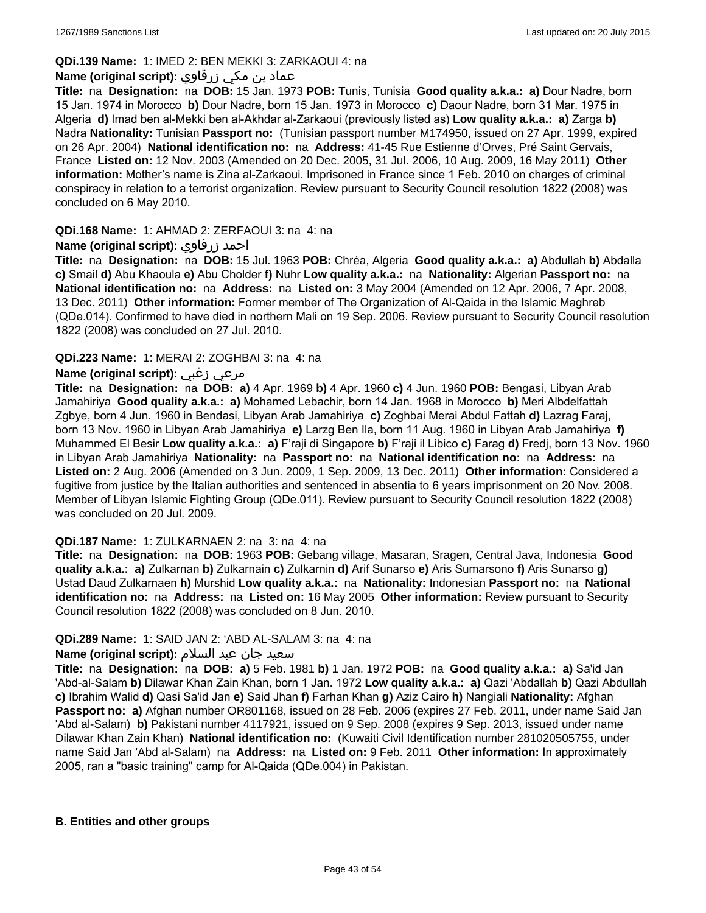### **QDi.139 Name:** 1: IMED 2: BEN MEKKI 3: ZARKAOUI 4: na

### عماد بن مكي زرقاوي **:(script original (Name**

**Title:** na **Designation:** na **DOB:** 15 Jan. 1973 **POB:** Tunis, Tunisia **Good quality a.k.a.: a)** Dour Nadre, born 15 Jan. 1974 in Morocco **b)** Dour Nadre, born 15 Jan. 1973 in Morocco **c)** Daour Nadre, born 31 Mar. 1975 in Algeria **d)** Imad ben al-Mekki ben al-Akhdar al-Zarkaoui (previously listed as) **Low quality a.k.a.: a)** Zarga **b)** Nadra **Nationality:** Tunisian **Passport no:** (Tunisian passport number M174950, issued on 27 Apr. 1999, expired on 26 Apr. 2004) **National identification no:** na **Address:** 41-45 Rue Estienne d'Orves, Pré Saint Gervais, France **Listed on:** 12 Nov. 2003 (Amended on 20 Dec. 2005, 31 Jul. 2006, 10 Aug. 2009, 16 May 2011) **Other information:** Mother's name is Zina al-Zarkaoui. Imprisoned in France since 1 Feb. 2010 on charges of criminal conspiracy in relation to a terrorist organization. Review pursuant to Security Council resolution 1822 (2008) was concluded on 6 May 2010.

### **QDi.168 Name:** 1: AHMAD 2: ZERFAOUI 3: na 4: na

### **Name (original script):** زرفاوي احمد

**Title:** na **Designation:** na **DOB:** 15 Jul. 1963 **POB:** Chréa, Algeria **Good quality a.k.a.: a)** Abdullah **b)** Abdalla **c)** Smail **d)** Abu Khaoula **e)** Abu Cholder **f)** Nuhr **Low quality a.k.a.:** na **Nationality:** Algerian **Passport no:** na **National identification no:** na **Address:** na **Listed on:** 3 May 2004 (Amended on 12 Apr. 2006, 7 Apr. 2008, 13 Dec. 2011) **Other information:** Former member of The Organization of Al-Qaida in the Islamic Maghreb (QDe.014). Confirmed to have died in northern Mali on 19 Sep. 2006. Review pursuant to Security Council resolution 1822 (2008) was concluded on 27 Jul. 2010.

### **QDi.223 Name:** 1: MERAI 2: ZOGHBAI 3: na 4: na

## **Name (original script):** زغبي مرعي

**Title:** na **Designation:** na **DOB: a)** 4 Apr. 1969 **b)** 4 Apr. 1960 **c)** 4 Jun. 1960 **POB:** Bengasi, Libyan Arab Jamahiriya **Good quality a.k.a.: a)** Mohamed Lebachir, born 14 Jan. 1968 in Morocco **b)** Meri Albdelfattah Zgbye, born 4 Jun. 1960 in Bendasi, Libyan Arab Jamahiriya **c)** Zoghbai Merai Abdul Fattah **d)** Lazrag Faraj, born 13 Nov. 1960 in Libyan Arab Jamahiriya **e)** Larzg Ben Ila, born 11 Aug. 1960 in Libyan Arab Jamahiriya **f)** Muhammed El Besir **Low quality a.k.a.: a)** F'raji di Singapore **b)** F'raji il Libico **c)** Farag **d)** Fredj, born 13 Nov. 1960 in Libyan Arab Jamahiriya **Nationality:** na **Passport no:** na **National identification no:** na **Address:** na **Listed on:** 2 Aug. 2006 (Amended on 3 Jun. 2009, 1 Sep. 2009, 13 Dec. 2011) **Other information:** Considered a fugitive from justice by the Italian authorities and sentenced in absentia to 6 years imprisonment on 20 Nov. 2008. Member of Libyan Islamic Fighting Group (QDe.011). Review pursuant to Security Council resolution 1822 (2008) was concluded on 20 Jul. 2009.

#### **QDi.187 Name:** 1: ZULKARNAEN 2: na 3: na 4: na

**Title:** na **Designation:** na **DOB:** 1963 **POB:** Gebang village, Masaran, Sragen, Central Java, Indonesia **Good quality a.k.a.: a)** Zulkarnan **b)** Zulkarnain **c)** Zulkarnin **d)** Arif Sunarso **e)** Aris Sumarsono **f)** Aris Sunarso **g)** Ustad Daud Zulkarnaen **h)** Murshid **Low quality a.k.a.:** na **Nationality:** Indonesian **Passport no:** na **National identification no:** na **Address:** na **Listed on:** 16 May 2005 **Other information:** Review pursuant to Security Council resolution 1822 (2008) was concluded on 8 Jun. 2010.

#### **QDi.289 Name:** 1: SAID JAN 2: 'ABD AL-SALAM 3: na 4: na

#### سعید جان عبد السلام **:(script original (Name**

**Title:** na **Designation:** na **DOB: a)** 5 Feb. 1981 **b)** 1 Jan. 1972 **POB:** na **Good quality a.k.a.: a)** Sa'id Jan 'Abd-al-Salam **b)** Dilawar Khan Zain Khan, born 1 Jan. 1972 **Low quality a.k.a.: a)** Qazi 'Abdallah **b)** Qazi Abdullah **c)** Ibrahim Walid **d)** Qasi Sa'id Jan **e)** Said Jhan **f)** Farhan Khan **g)** Aziz Cairo **h)** Nangiali **Nationality:** Afghan **Passport no: a)** Afghan number OR801168, issued on 28 Feb. 2006 (expires 27 Feb. 2011, under name Said Jan 'Abd al-Salam) **b)** Pakistani number 4117921, issued on 9 Sep. 2008 (expires 9 Sep. 2013, issued under name Dilawar Khan Zain Khan) **National identification no:** (Kuwaiti Civil Identification number 281020505755, under name Said Jan 'Abd al-Salam) na **Address:** na **Listed on:** 9 Feb. 2011 **Other information:** In approximately 2005, ran a "basic training" camp for Al-Qaida (QDe.004) in Pakistan.

#### **B. Entities and other groups**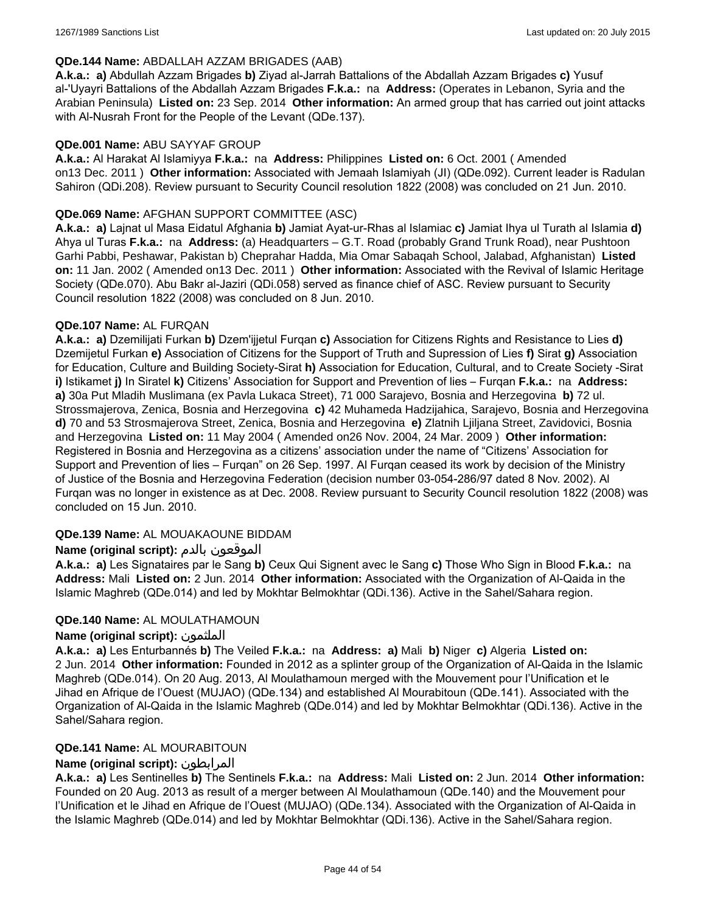#### **QDe.144 Name:** ABDALLAH AZZAM BRIGADES (AAB)

**A.k.a.: a)** Abdullah Azzam Brigades **b)** Ziyad al-Jarrah Battalions of the Abdallah Azzam Brigades **c)** Yusuf al-'Uyayri Battalions of the Abdallah Azzam Brigades **F.k.a.:** na **Address:** (Operates in Lebanon, Syria and the Arabian Peninsula) **Listed on:** 23 Sep. 2014 **Other information:** An armed group that has carried out joint attacks with Al-Nusrah Front for the People of the Levant (QDe.137).

#### **QDe.001 Name:** ABU SAYYAF GROUP

**A.k.a.:** Al Harakat Al Islamiyya **F.k.a.:** na **Address:** Philippines **Listed on:** 6 Oct. 2001 ( Amended on13 Dec. 2011 ) **Other information:** Associated with Jemaah Islamiyah (JI) (QDe.092). Current leader is Radulan Sahiron (QDi.208). Review pursuant to Security Council resolution 1822 (2008) was concluded on 21 Jun. 2010.

#### **QDe.069 Name:** AFGHAN SUPPORT COMMITTEE (ASC)

**A.k.a.: a)** Lajnat ul Masa Eidatul Afghania **b)** Jamiat Ayat-ur-Rhas al Islamiac **c)** Jamiat Ihya ul Turath al Islamia **d)** Ahya ul Turas **F.k.a.:** na **Address:** (a) Headquarters – G.T. Road (probably Grand Trunk Road), near Pushtoon Garhi Pabbi, Peshawar, Pakistan b) Cheprahar Hadda, Mia Omar Sabaqah School, Jalabad, Afghanistan) **Listed on:** 11 Jan. 2002 ( Amended on13 Dec. 2011 ) **Other information:** Associated with the Revival of Islamic Heritage Society (QDe.070). Abu Bakr al-Jaziri (QDi.058) served as finance chief of ASC. Review pursuant to Security Council resolution 1822 (2008) was concluded on 8 Jun. 2010.

### **QDe.107 Name:** AL FURQAN

**A.k.a.: a)** Dzemilijati Furkan **b)** Dzem'ijjetul Furqan **c)** Association for Citizens Rights and Resistance to Lies **d)** Dzemijetul Furkan **e)** Association of Citizens for the Support of Truth and Supression of Lies **f)** Sirat **g)** Association for Education, Culture and Building Society-Sirat **h)** Association for Education, Cultural, and to Create Society -Sirat **i)** Istikamet **j)** In Siratel **k)** Citizens' Association for Support and Prevention of lies – Furqan **F.k.a.:** na **Address: a)** 30a Put Mladih Muslimana (ex Pavla Lukaca Street), 71 000 Sarajevo, Bosnia and Herzegovina **b)** 72 ul. Strossmajerova, Zenica, Bosnia and Herzegovina **c)** 42 Muhameda Hadzijahica, Sarajevo, Bosnia and Herzegovina **d)** 70 and 53 Strosmajerova Street, Zenica, Bosnia and Herzegovina **e)** Zlatnih Ljiljana Street, Zavidovici, Bosnia and Herzegovina **Listed on:** 11 May 2004 ( Amended on26 Nov. 2004, 24 Mar. 2009 ) **Other information:** Registered in Bosnia and Herzegovina as a citizens' association under the name of "Citizens' Association for Support and Prevention of lies – Furqan" on 26 Sep. 1997. Al Furqan ceased its work by decision of the Ministry of Justice of the Bosnia and Herzegovina Federation (decision number 03-054-286/97 dated 8 Nov. 2002). Al Furqan was no longer in existence as at Dec. 2008. Review pursuant to Security Council resolution 1822 (2008) was concluded on 15 Jun. 2010.

### **QDe.139 Name:** AL MOUAKAOUNE BIDDAM

### **Name (original script):** بالدم الموقعون

**A.k.a.: a)** Les Signataires par le Sang **b)** Ceux Qui Signent avec le Sang **c)** Those Who Sign in Blood **F.k.a.:** na **Address:** Mali **Listed on:** 2 Jun. 2014 **Other information:** Associated with the Organization of Al-Qaida in the Islamic Maghreb (QDe.014) and led by Mokhtar Belmokhtar (QDi.136). Active in the Sahel/Sahara region.

#### **QDe.140 Name:** AL MOULATHAMOUN

#### **Name (original script):** الملثمون

**A.k.a.: a)** Les Enturbannés **b)** The Veiled **F.k.a.:** na **Address: a)** Mali **b)** Niger **c)** Algeria **Listed on:** 2 Jun. 2014 **Other information:** Founded in 2012 as a splinter group of the Organization of Al-Qaida in the Islamic Maghreb (QDe.014). On 20 Aug. 2013, Al Moulathamoun merged with the Mouvement pour l'Unification et le Jihad en Afrique de l'Ouest (MUJAO) (QDe.134) and established Al Mourabitoun (QDe.141). Associated with the Organization of Al-Qaida in the Islamic Maghreb (QDe.014) and led by Mokhtar Belmokhtar (QDi.136). Active in the Sahel/Sahara region.

#### **QDe.141 Name:** AL MOURABITOUN

### **Name (original script):** المرابطون

**A.k.a.: a)** Les Sentinelles **b)** The Sentinels **F.k.a.:** na **Address:** Mali **Listed on:** 2 Jun. 2014 **Other information:** Founded on 20 Aug. 2013 as result of a merger between Al Moulathamoun (QDe.140) and the Mouvement pour l'Unification et le Jihad en Afrique de l'Ouest (MUJAO) (QDe.134). Associated with the Organization of Al-Qaida in the Islamic Maghreb (QDe.014) and led by Mokhtar Belmokhtar (QDi.136). Active in the Sahel/Sahara region.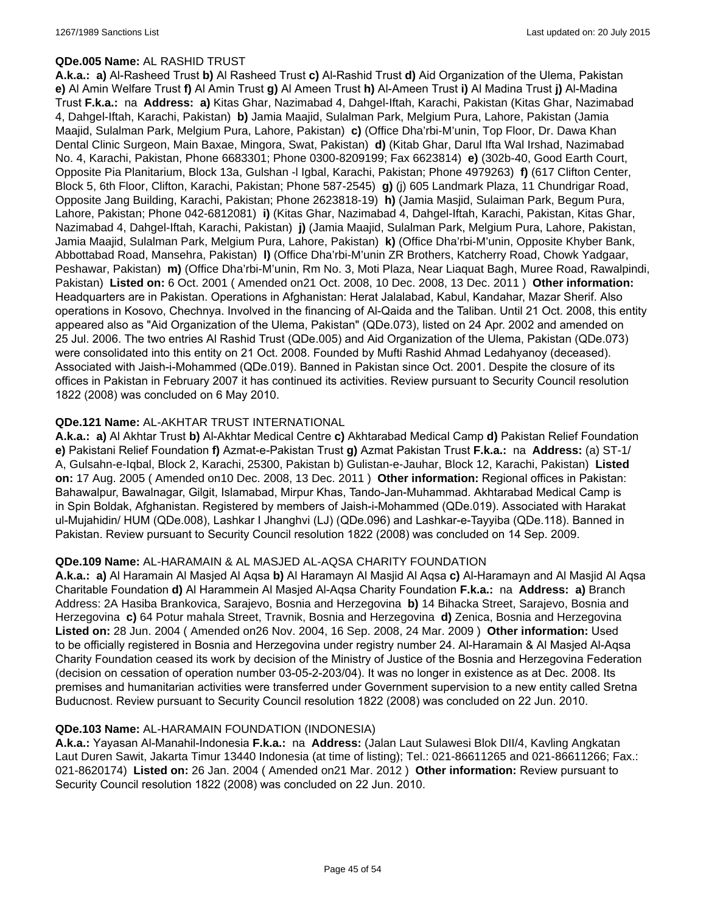### **QDe.005 Name:** AL RASHID TRUST

**A.k.a.: a)** Al-Rasheed Trust **b)** Al Rasheed Trust **c)** Al-Rashid Trust **d)** Aid Organization of the Ulema, Pakistan **e)** Al Amin Welfare Trust **f)** Al Amin Trust **g)** Al Ameen Trust **h)** Al-Ameen Trust **i)** Al Madina Trust **j)** Al-Madina Trust **F.k.a.:** na **Address: a)** Kitas Ghar, Nazimabad 4, Dahgel-Iftah, Karachi, Pakistan (Kitas Ghar, Nazimabad 4, Dahgel-Iftah, Karachi, Pakistan) **b)** Jamia Maajid, Sulalman Park, Melgium Pura, Lahore, Pakistan (Jamia Maajid, Sulalman Park, Melgium Pura, Lahore, Pakistan) **c)** (Office Dha'rbi-M'unin, Top Floor, Dr. Dawa Khan Dental Clinic Surgeon, Main Baxae, Mingora, Swat, Pakistan) **d)** (Kitab Ghar, Darul Ifta Wal Irshad, Nazimabad No. 4, Karachi, Pakistan, Phone 6683301; Phone 0300-8209199; Fax 6623814) **e)** (302b-40, Good Earth Court, Opposite Pia Planitarium, Block 13a, Gulshan -l Igbal, Karachi, Pakistan; Phone 4979263) **f)** (617 Clifton Center, Block 5, 6th Floor, Clifton, Karachi, Pakistan; Phone 587-2545) **g)** (j) 605 Landmark Plaza, 11 Chundrigar Road, Opposite Jang Building, Karachi, Pakistan; Phone 2623818-19) **h)** (Jamia Masjid, Sulaiman Park, Begum Pura, Lahore, Pakistan; Phone 042-6812081) **i)** (Kitas Ghar, Nazimabad 4, Dahgel-Iftah, Karachi, Pakistan, Kitas Ghar, Nazimabad 4, Dahgel-Iftah, Karachi, Pakistan) **j)** (Jamia Maajid, Sulalman Park, Melgium Pura, Lahore, Pakistan, Jamia Maajid, Sulalman Park, Melgium Pura, Lahore, Pakistan) **k)** (Office Dha'rbi-M'unin, Opposite Khyber Bank, Abbottabad Road, Mansehra, Pakistan) **l)** (Office Dha'rbi-M'unin ZR Brothers, Katcherry Road, Chowk Yadgaar, Peshawar, Pakistan) **m)** (Office Dha'rbi-M'unin, Rm No. 3, Moti Plaza, Near Liaquat Bagh, Muree Road, Rawalpindi, Pakistan) **Listed on:** 6 Oct. 2001 ( Amended on21 Oct. 2008, 10 Dec. 2008, 13 Dec. 2011 ) **Other information:** Headquarters are in Pakistan. Operations in Afghanistan: Herat Jalalabad, Kabul, Kandahar, Mazar Sherif. Also operations in Kosovo, Chechnya. Involved in the financing of Al-Qaida and the Taliban. Until 21 Oct. 2008, this entity appeared also as "Aid Organization of the Ulema, Pakistan" (QDe.073), listed on 24 Apr. 2002 and amended on 25 Jul. 2006. The two entries Al Rashid Trust (QDe.005) and Aid Organization of the Ulema, Pakistan (QDe.073) were consolidated into this entity on 21 Oct. 2008. Founded by Mufti Rashid Ahmad Ledahyanoy (deceased). Associated with Jaish-i-Mohammed (QDe.019). Banned in Pakistan since Oct. 2001. Despite the closure of its offices in Pakistan in February 2007 it has continued its activities. Review pursuant to Security Council resolution 1822 (2008) was concluded on 6 May 2010.

### **QDe.121 Name:** AL-AKHTAR TRUST INTERNATIONAL

**A.k.a.: a)** Al Akhtar Trust **b)** Al-Akhtar Medical Centre **c)** Akhtarabad Medical Camp **d)** Pakistan Relief Foundation **e)** Pakistani Relief Foundation **f)** Azmat-e-Pakistan Trust **g)** Azmat Pakistan Trust **F.k.a.:** na **Address:** (a) ST-1/ A, Gulsahn-e-Iqbal, Block 2, Karachi, 25300, Pakistan b) Gulistan-e-Jauhar, Block 12, Karachi, Pakistan) **Listed on:** 17 Aug. 2005 ( Amended on10 Dec. 2008, 13 Dec. 2011 ) **Other information:** Regional offices in Pakistan: Bahawalpur, Bawalnagar, Gilgit, Islamabad, Mirpur Khas, Tando-Jan-Muhammad. Akhtarabad Medical Camp is in Spin Boldak, Afghanistan. Registered by members of Jaish-i-Mohammed (QDe.019). Associated with Harakat ul-Mujahidin/ HUM (QDe.008), Lashkar I Jhanghvi (LJ) (QDe.096) and Lashkar-e-Tayyiba (QDe.118). Banned in Pakistan. Review pursuant to Security Council resolution 1822 (2008) was concluded on 14 Sep. 2009.

#### **QDe.109 Name:** AL-HARAMAIN & AL MASJED AL-AQSA CHARITY FOUNDATION

**A.k.a.: a)** Al Haramain Al Masjed Al Aqsa **b)** Al Haramayn Al Masjid Al Aqsa **c)** Al-Haramayn and Al Masjid Al Aqsa Charitable Foundation **d)** Al Harammein Al Masjed Al-Aqsa Charity Foundation **F.k.a.:** na **Address: a)** Branch Address: 2A Hasiba Brankovica, Sarajevo, Bosnia and Herzegovina **b)** 14 Bihacka Street, Sarajevo, Bosnia and Herzegovina **c)** 64 Potur mahala Street, Travnik, Bosnia and Herzegovina **d)** Zenica, Bosnia and Herzegovina **Listed on:** 28 Jun. 2004 ( Amended on26 Nov. 2004, 16 Sep. 2008, 24 Mar. 2009 ) **Other information:** Used to be officially registered in Bosnia and Herzegovina under registry number 24. Al-Haramain & Al Masjed Al-Aqsa Charity Foundation ceased its work by decision of the Ministry of Justice of the Bosnia and Herzegovina Federation (decision on cessation of operation number 03-05-2-203/04). It was no longer in existence as at Dec. 2008. Its premises and humanitarian activities were transferred under Government supervision to a new entity called Sretna Buducnost. Review pursuant to Security Council resolution 1822 (2008) was concluded on 22 Jun. 2010.

#### **QDe.103 Name:** AL-HARAMAIN FOUNDATION (INDONESIA)

**A.k.a.:** Yayasan Al-Manahil-Indonesia **F.k.a.:** na **Address:** (Jalan Laut Sulawesi Blok DII/4, Kavling Angkatan Laut Duren Sawit, Jakarta Timur 13440 Indonesia (at time of listing); Tel.: 021-86611265 and 021-86611266; Fax.: 021-8620174) **Listed on:** 26 Jan. 2004 ( Amended on21 Mar. 2012 ) **Other information:** Review pursuant to Security Council resolution 1822 (2008) was concluded on 22 Jun. 2010.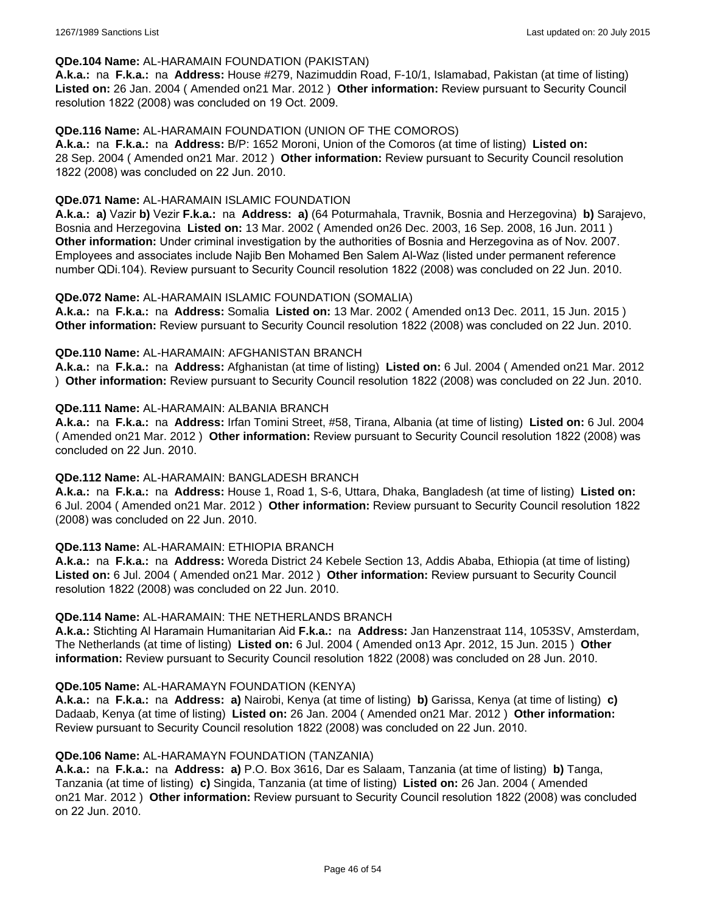#### **QDe.104 Name:** AL-HARAMAIN FOUNDATION (PAKISTAN)

**A.k.a.:** na **F.k.a.:** na **Address:** House #279, Nazimuddin Road, F-10/1, Islamabad, Pakistan (at time of listing) **Listed on:** 26 Jan. 2004 ( Amended on21 Mar. 2012 ) **Other information:** Review pursuant to Security Council resolution 1822 (2008) was concluded on 19 Oct. 2009.

#### **QDe.116 Name:** AL-HARAMAIN FOUNDATION (UNION OF THE COMOROS)

**A.k.a.:** na **F.k.a.:** na **Address:** B/P: 1652 Moroni, Union of the Comoros (at time of listing) **Listed on:** 28 Sep. 2004 ( Amended on21 Mar. 2012 ) **Other information:** Review pursuant to Security Council resolution 1822 (2008) was concluded on 22 Jun. 2010.

#### **QDe.071 Name:** AL-HARAMAIN ISLAMIC FOUNDATION

**A.k.a.: a)** Vazir **b)** Vezir **F.k.a.:** na **Address: a)** (64 Poturmahala, Travnik, Bosnia and Herzegovina) **b)** Sarajevo, Bosnia and Herzegovina **Listed on:** 13 Mar. 2002 ( Amended on26 Dec. 2003, 16 Sep. 2008, 16 Jun. 2011 ) **Other information:** Under criminal investigation by the authorities of Bosnia and Herzegovina as of Nov. 2007. Employees and associates include Najib Ben Mohamed Ben Salem Al-Waz (listed under permanent reference number QDi.104). Review pursuant to Security Council resolution 1822 (2008) was concluded on 22 Jun. 2010.

#### **QDe.072 Name:** AL-HARAMAIN ISLAMIC FOUNDATION (SOMALIA)

**A.k.a.:** na **F.k.a.:** na **Address:** Somalia **Listed on:** 13 Mar. 2002 ( Amended on13 Dec. 2011, 15 Jun. 2015 ) **Other information:** Review pursuant to Security Council resolution 1822 (2008) was concluded on 22 Jun. 2010.

### **QDe.110 Name:** AL-HARAMAIN: AFGHANISTAN BRANCH

**A.k.a.:** na **F.k.a.:** na **Address:** Afghanistan (at time of listing) **Listed on:** 6 Jul. 2004 ( Amended on21 Mar. 2012 ) **Other information:** Review pursuant to Security Council resolution 1822 (2008) was concluded on 22 Jun. 2010.

#### **QDe.111 Name:** AL-HARAMAIN: ALBANIA BRANCH

**A.k.a.:** na **F.k.a.:** na **Address:** Irfan Tomini Street, #58, Tirana, Albania (at time of listing) **Listed on:** 6 Jul. 2004 ( Amended on21 Mar. 2012 ) **Other information:** Review pursuant to Security Council resolution 1822 (2008) was concluded on 22 Jun. 2010.

#### **QDe.112 Name:** AL-HARAMAIN: BANGLADESH BRANCH

**A.k.a.:** na **F.k.a.:** na **Address:** House 1, Road 1, S-6, Uttara, Dhaka, Bangladesh (at time of listing) **Listed on:** 6 Jul. 2004 ( Amended on21 Mar. 2012 ) **Other information:** Review pursuant to Security Council resolution 1822 (2008) was concluded on 22 Jun. 2010.

#### **QDe.113 Name:** AL-HARAMAIN: ETHIOPIA BRANCH

**A.k.a.:** na **F.k.a.:** na **Address:** Woreda District 24 Kebele Section 13, Addis Ababa, Ethiopia (at time of listing) **Listed on:** 6 Jul. 2004 ( Amended on21 Mar. 2012 ) **Other information:** Review pursuant to Security Council resolution 1822 (2008) was concluded on 22 Jun. 2010.

#### **QDe.114 Name:** AL-HARAMAIN: THE NETHERLANDS BRANCH

**A.k.a.:** Stichting Al Haramain Humanitarian Aid **F.k.a.:** na **Address:** Jan Hanzenstraat 114, 1053SV, Amsterdam, The Netherlands (at time of listing) **Listed on:** 6 Jul. 2004 ( Amended on13 Apr. 2012, 15 Jun. 2015 ) **Other information:** Review pursuant to Security Council resolution 1822 (2008) was concluded on 28 Jun. 2010.

#### **QDe.105 Name:** AL-HARAMAYN FOUNDATION (KENYA)

**A.k.a.:** na **F.k.a.:** na **Address: a)** Nairobi, Kenya (at time of listing) **b)** Garissa, Kenya (at time of listing) **c)** Dadaab, Kenya (at time of listing) **Listed on:** 26 Jan. 2004 ( Amended on21 Mar. 2012 ) **Other information:** Review pursuant to Security Council resolution 1822 (2008) was concluded on 22 Jun. 2010.

#### **QDe.106 Name:** AL-HARAMAYN FOUNDATION (TANZANIA)

**A.k.a.:** na **F.k.a.:** na **Address: a)** P.O. Box 3616, Dar es Salaam, Tanzania (at time of listing) **b)** Tanga, Tanzania (at time of listing) **c)** Singida, Tanzania (at time of listing) **Listed on:** 26 Jan. 2004 ( Amended on21 Mar. 2012 ) **Other information:** Review pursuant to Security Council resolution 1822 (2008) was concluded on 22 Jun. 2010.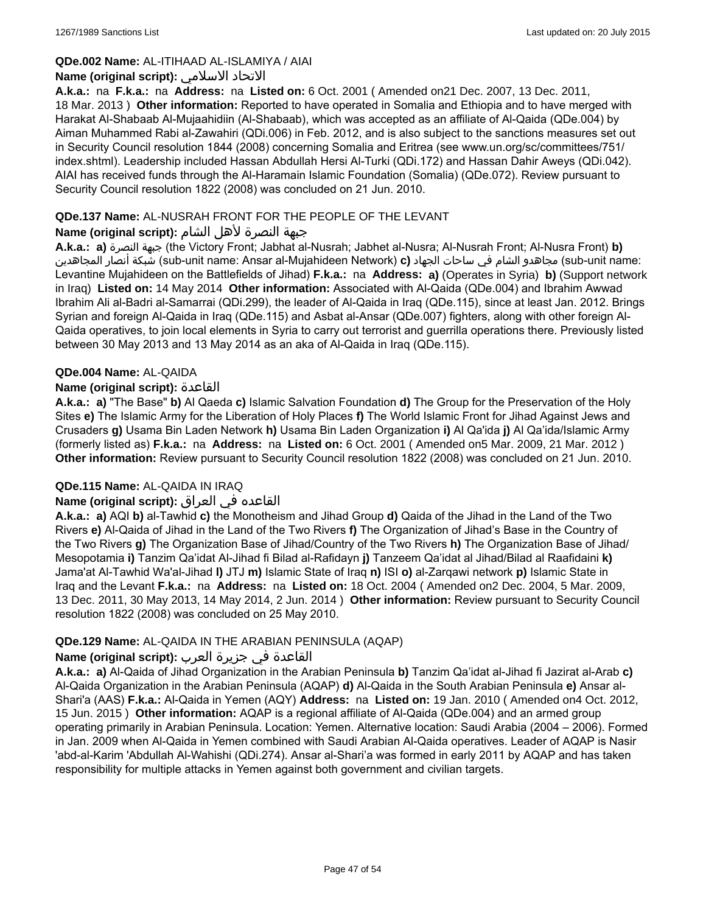### **QDe.002 Name:** AL-ITIHAAD AL-ISLAMIYA / AIAI

### **Name (original script):** الاسلامي الاتحاد

**A.k.a.:** na **F.k.a.:** na **Address:** na **Listed on:** 6 Oct. 2001 ( Amended on21 Dec. 2007, 13 Dec. 2011, 18 Mar. 2013 ) **Other information:** Reported to have operated in Somalia and Ethiopia and to have merged with Harakat Al-Shabaab Al-Mujaahidiin (Al-Shabaab), which was accepted as an affiliate of Al-Qaida (QDe.004) by Aiman Muhammed Rabi al-Zawahiri (QDi.006) in Feb. 2012, and is also subject to the sanctions measures set out in Security Council resolution 1844 (2008) concerning Somalia and Eritrea (see www.un.org/sc/committees/751/ index.shtml). Leadership included Hassan Abdullah Hersi Al-Turki (QDi.172) and Hassan Dahir Aweys (QDi.042). AIAI has received funds through the Al-Haramain Islamic Foundation (Somalia) (QDe.072). Review pursuant to Security Council resolution 1822 (2008) was concluded on 21 Jun. 2010.

### **QDe.137 Name:** AL-NUSRAH FRONT FOR THE PEOPLE OF THE LEVANT

## جبهة النصرة لأهل الشام **:(script original (Name**

**A.k.a.: a)** النصرة جبهة) the Victory Front; Jabhat al-Nusrah; Jabhet al-Nusra; Al-Nusrah Front; Al-Nusra Front) **b)** المجاهدين أنصار شبكة) sub-unit name: Ansar al-Mujahideen Network) **c)** الجهاد ساحات في الشام مجاهدو) sub-unit name: Levantine Mujahideen on the Battlefields of Jihad) **F.k.a.:** na **Address: a)** (Operates in Syria) **b)** (Support network in Iraq) **Listed on:** 14 May 2014 **Other information:** Associated with Al-Qaida (QDe.004) and Ibrahim Awwad Ibrahim Ali al-Badri al-Samarrai (QDi.299), the leader of Al-Qaida in Iraq (QDe.115), since at least Jan. 2012. Brings Syrian and foreign Al-Qaida in Iraq (QDe.115) and Asbat al-Ansar (QDe.007) fighters, along with other foreign Al-Qaida operatives, to join local elements in Syria to carry out terrorist and guerrilla operations there. Previously listed between 30 May 2013 and 13 May 2014 as an aka of Al-Qaida in Iraq (QDe.115).

### **QDe.004 Name:** AL-QAIDA

### **Name (original script):** القاعدة

**A.k.a.: a)** "The Base" **b)** Al Qaeda **c)** Islamic Salvation Foundation **d)** The Group for the Preservation of the Holy Sites **e)** The Islamic Army for the Liberation of Holy Places **f)** The World Islamic Front for Jihad Against Jews and Crusaders **g)** Usama Bin Laden Network **h)** Usama Bin Laden Organization **i)** Al Qa'ida **j)** Al Qa'ida/Islamic Army (formerly listed as) **F.k.a.:** na **Address:** na **Listed on:** 6 Oct. 2001 ( Amended on5 Mar. 2009, 21 Mar. 2012 ) **Other information:** Review pursuant to Security Council resolution 1822 (2008) was concluded on 21 Jun. 2010.

### **QDe.115 Name:** AL-QAIDA IN IRAQ

### القاعده في العراق **:(script original (Name**

**A.k.a.: a)** AQI **b)** al-Tawhid **c)** the Monotheism and Jihad Group **d)** Qaida of the Jihad in the Land of the Two Rivers **e)** Al-Qaida of Jihad in the Land of the Two Rivers **f)** The Organization of Jihad's Base in the Country of the Two Rivers **g)** The Organization Base of Jihad/Country of the Two Rivers **h)** The Organization Base of Jihad/ Mesopotamia **i)** Tanzim Qa'idat Al-Jihad fi Bilad al-Rafidayn **j)** Tanzeem Qa'idat al Jihad/Bilad al Raafidaini **k)** Jama'at Al-Tawhid Wa'al-Jihad **l)** JTJ **m)** Islamic State of Iraq **n)** ISI **o)** al-Zarqawi network **p)** Islamic State in Iraq and the Levant **F.k.a.:** na **Address:** na **Listed on:** 18 Oct. 2004 ( Amended on2 Dec. 2004, 5 Mar. 2009, 13 Dec. 2011, 30 May 2013, 14 May 2014, 2 Jun. 2014 ) **Other information:** Review pursuant to Security Council resolution 1822 (2008) was concluded on 25 May 2010.

#### **QDe.129 Name:** AL-QAIDA IN THE ARABIAN PENINSULA (AQAP)

#### القاعدة في جزيرة العرب **:(script original (Name**

**A.k.a.: a)** Al-Qaida of Jihad Organization in the Arabian Peninsula **b)** Tanzim Qa'idat al-Jihad fi Jazirat al-Arab **c)** Al-Qaida Organization in the Arabian Peninsula (AQAP) **d)** Al-Qaida in the South Arabian Peninsula **e)** Ansar al-Shari'a (AAS) **F.k.a.:** Al-Qaida in Yemen (AQY) **Address:** na **Listed on:** 19 Jan. 2010 ( Amended on4 Oct. 2012, 15 Jun. 2015 ) **Other information:** AQAP is a regional affiliate of Al-Qaida (QDe.004) and an armed group operating primarily in Arabian Peninsula. Location: Yemen. Alternative location: Saudi Arabia (2004 – 2006). Formed in Jan. 2009 when Al-Qaida in Yemen combined with Saudi Arabian Al-Qaida operatives. Leader of AQAP is Nasir 'abd-al-Karim 'Abdullah Al-Wahishi (QDi.274). Ansar al-Shari'a was formed in early 2011 by AQAP and has taken responsibility for multiple attacks in Yemen against both government and civilian targets.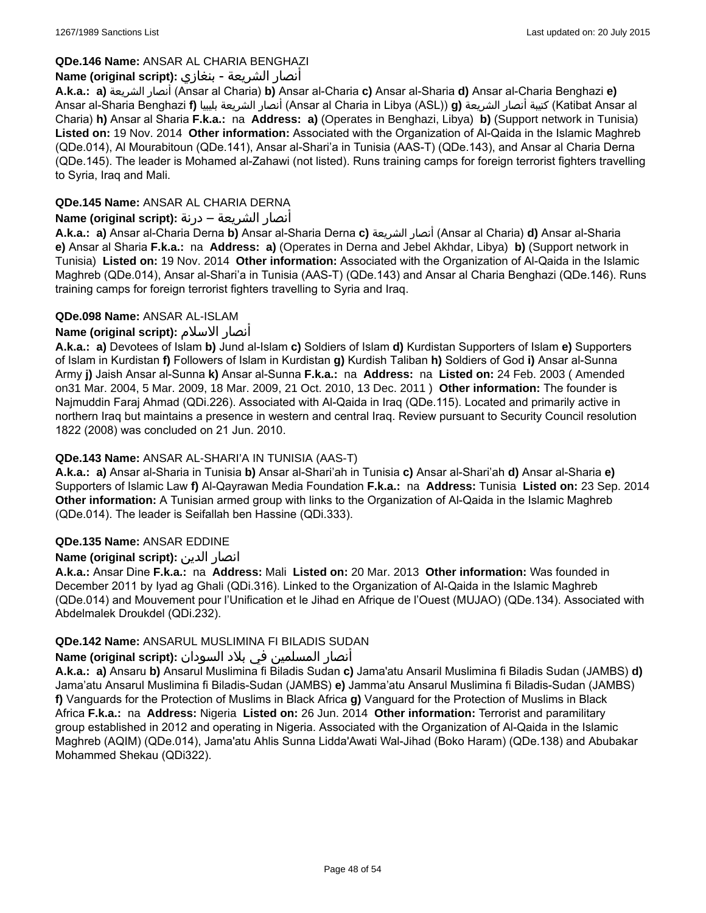## **QDe.146 Name:** ANSAR AL CHARIA BENGHAZI

### أنصار الشريعة - بنغازي **:(script original (Name**

**A.k.a.: a)** الشريعة أنصار) Ansar al Charia) **b)** Ansar al-Charia **c)** Ansar al-Sharia **d)** Ansar al-Charia Benghazi **e)** Ansar al-Sharia Benghazi **f)** بليبيا الشريعة أنصار) Ansar al Charia in Libya (ASL)) **g)** الشريعة أنصار كتيبة) Katibat Ansar al Charia) **h)** Ansar al Sharia **F.k.a.:** na **Address: a)** (Operates in Benghazi, Libya) **b)** (Support network in Tunisia) **Listed on:** 19 Nov. 2014 **Other information:** Associated with the Organization of Al-Qaida in the Islamic Maghreb (QDe.014), Al Mourabitoun (QDe.141), Ansar al-Shari'a in Tunisia (AAS-T) (QDe.143), and Ansar al Charia Derna (QDe.145). The leader is Mohamed al-Zahawi (not listed). Runs training camps for foreign terrorist fighters travelling to Syria, Iraq and Mali.

## **QDe.145 Name:** ANSAR AL CHARIA DERNA

## أنصار الشريعة – درنة **:(script original (Name**

**A.k.a.: a)** Ansar al-Charia Derna **b)** Ansar al-Sharia Derna **c)** الشريعة أنصار) Ansar al Charia) **d)** Ansar al-Sharia **e)** Ansar al Sharia **F.k.a.:** na **Address: a)** (Operates in Derna and Jebel Akhdar, Libya) **b)** (Support network in Tunisia) **Listed on:** 19 Nov. 2014 **Other information:** Associated with the Organization of Al-Qaida in the Islamic Maghreb (QDe.014), Ansar al-Shari'a in Tunisia (AAS-T) (QDe.143) and Ansar al Charia Benghazi (QDe.146). Runs training camps for foreign terrorist fighters travelling to Syria and Iraq.

### **QDe.098 Name:** ANSAR AL-ISLAM

## **Name (original script):** الاسلام أنصار

**A.k.a.: a)** Devotees of Islam **b)** Jund al-Islam **c)** Soldiers of Islam **d)** Kurdistan Supporters of Islam **e)** Supporters of Islam in Kurdistan **f)** Followers of Islam in Kurdistan **g)** Kurdish Taliban **h)** Soldiers of God **i)** Ansar al-Sunna Army **j)** Jaish Ansar al-Sunna **k)** Ansar al-Sunna **F.k.a.:** na **Address:** na **Listed on:** 24 Feb. 2003 ( Amended on31 Mar. 2004, 5 Mar. 2009, 18 Mar. 2009, 21 Oct. 2010, 13 Dec. 2011 ) **Other information:** The founder is Najmuddin Faraj Ahmad (QDi.226). Associated with Al-Qaida in Iraq (QDe.115). Located and primarily active in northern Iraq but maintains a presence in western and central Iraq. Review pursuant to Security Council resolution 1822 (2008) was concluded on 21 Jun. 2010.

## **QDe.143 Name:** ANSAR AL-SHARI'A IN TUNISIA (AAS-T)

**A.k.a.: a)** Ansar al-Sharia in Tunisia **b)** Ansar al-Shari'ah in Tunisia **c)** Ansar al-Shari'ah **d)** Ansar al-Sharia **e)** Supporters of Islamic Law **f)** Al-Qayrawan Media Foundation **F.k.a.:** na **Address:** Tunisia **Listed on:** 23 Sep. 2014 **Other information:** A Tunisian armed group with links to the Organization of Al-Qaida in the Islamic Maghreb (QDe.014). The leader is Seifallah ben Hassine (QDi.333).

### **QDe.135 Name:** ANSAR EDDINE

### **Name (original script):** الدين انصار

**A.k.a.:** Ansar Dine **F.k.a.:** na **Address:** Mali **Listed on:** 20 Mar. 2013 **Other information:** Was founded in December 2011 by Iyad ag Ghali (QDi.316). Linked to the Organization of Al-Qaida in the Islamic Maghreb (QDe.014) and Mouvement pour l'Unification et le Jihad en Afrique de l'Ouest (MUJAO) (QDe.134). Associated with Abdelmalek Droukdel (QDi.232).

### **QDe.142 Name:** ANSARUL MUSLIMINA FI BILADIS SUDAN

### أنصار المسلمین في بلاد السودان **:(script original (Name**

**A.k.a.: a)** Ansaru **b)** Ansarul Muslimina fi Biladis Sudan **c)** Jama'atu Ansaril Muslimina fi Biladis Sudan (JAMBS) **d)** Jama'atu Ansarul Muslimina fi Biladis-Sudan (JAMBS) **e)** Jamma'atu Ansarul Muslimina fi Biladis-Sudan (JAMBS) **f)** Vanguards for the Protection of Muslims in Black Africa **g)** Vanguard for the Protection of Muslims in Black Africa **F.k.a.:** na **Address:** Nigeria **Listed on:** 26 Jun. 2014 **Other information:** Terrorist and paramilitary group established in 2012 and operating in Nigeria. Associated with the Organization of Al-Qaida in the Islamic Maghreb (AQIM) (QDe.014), Jama'atu Ahlis Sunna Lidda'Awati Wal-Jihad (Boko Haram) (QDe.138) and Abubakar Mohammed Shekau (QDi322).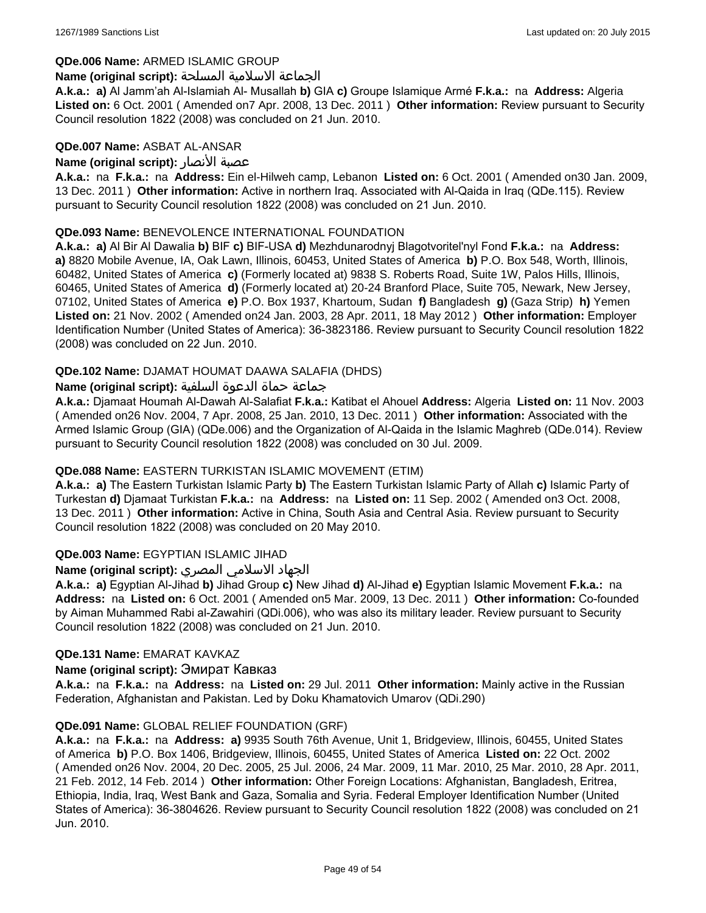### **QDe.006 Name:** ARMED ISLAMIC GROUP

#### الجماعة الاسلامية المسلحة **:(script original (Name**

**A.k.a.: a)** Al Jamm'ah Al-Islamiah Al- Musallah **b)** GIA **c)** Groupe Islamique Armé **F.k.a.:** na **Address:** Algeria **Listed on:** 6 Oct. 2001 ( Amended on7 Apr. 2008, 13 Dec. 2011 ) **Other information:** Review pursuant to Security Council resolution 1822 (2008) was concluded on 21 Jun. 2010.

#### **QDe.007 Name:** ASBAT AL-ANSAR

### **Name (original script):** الأنصار عصبة

**A.k.a.:** na **F.k.a.:** na **Address:** Ein el-Hilweh camp, Lebanon **Listed on:** 6 Oct. 2001 ( Amended on30 Jan. 2009, 13 Dec. 2011 ) **Other information:** Active in northern Iraq. Associated with Al-Qaida in Iraq (QDe.115). Review pursuant to Security Council resolution 1822 (2008) was concluded on 21 Jun. 2010.

### **QDe.093 Name:** BENEVOLENCE INTERNATIONAL FOUNDATION

**A.k.a.: a)** Al Bir Al Dawalia **b)** BIF **c)** BIF-USA **d)** Mezhdunarodnyj Blagotvoritel'nyl Fond **F.k.a.:** na **Address: a)** 8820 Mobile Avenue, IA, Oak Lawn, Illinois, 60453, United States of America **b)** P.O. Box 548, Worth, Illinois, 60482, United States of America **c)** (Formerly located at) 9838 S. Roberts Road, Suite 1W, Palos Hills, Illinois, 60465, United States of America **d)** (Formerly located at) 20-24 Branford Place, Suite 705, Newark, New Jersey, 07102, United States of America **e)** P.O. Box 1937, Khartoum, Sudan **f)** Bangladesh **g)** (Gaza Strip) **h)** Yemen **Listed on:** 21 Nov. 2002 ( Amended on24 Jan. 2003, 28 Apr. 2011, 18 May 2012 ) **Other information:** Employer Identification Number (United States of America): 36-3823186. Review pursuant to Security Council resolution 1822 (2008) was concluded on 22 Jun. 2010.

### **QDe.102 Name:** DJAMAT HOUMAT DAAWA SALAFIA (DHDS)

### جماعة حماة الدعوة السلفية **:(script original (Name**

**A.k.a.:** Djamaat Houmah Al-Dawah Al-Salafiat **F.k.a.:** Katibat el Ahouel **Address:** Algeria **Listed on:** 11 Nov. 2003 ( Amended on26 Nov. 2004, 7 Apr. 2008, 25 Jan. 2010, 13 Dec. 2011 ) **Other information:** Associated with the Armed Islamic Group (GIA) (QDe.006) and the Organization of Al-Qaida in the Islamic Maghreb (QDe.014). Review pursuant to Security Council resolution 1822 (2008) was concluded on 30 Jul. 2009.

### **QDe.088 Name:** EASTERN TURKISTAN ISLAMIC MOVEMENT (ETIM)

**A.k.a.: a)** The Eastern Turkistan Islamic Party **b)** The Eastern Turkistan Islamic Party of Allah **c)** Islamic Party of Turkestan **d)** Djamaat Turkistan **F.k.a.:** na **Address:** na **Listed on:** 11 Sep. 2002 ( Amended on3 Oct. 2008, 13 Dec. 2011 ) **Other information:** Active in China, South Asia and Central Asia. Review pursuant to Security Council resolution 1822 (2008) was concluded on 20 May 2010.

### **QDe.003 Name:** EGYPTIAN ISLAMIC JIHAD

### الجهاد الاسلامي المصري **:(script original (Name**

**A.k.a.: a)** Egyptian Al-Jihad **b)** Jihad Group **c)** New Jihad **d)** Al-Jihad **e)** Egyptian Islamic Movement **F.k.a.:** na **Address:** na **Listed on:** 6 Oct. 2001 ( Amended on5 Mar. 2009, 13 Dec. 2011 ) **Other information:** Co-founded by Aiman Muhammed Rabi al-Zawahiri (QDi.006), who was also its military leader. Review pursuant to Security Council resolution 1822 (2008) was concluded on 21 Jun. 2010.

#### **QDe.131 Name:** EMARAT KAVKAZ

#### **Name (original script):** Эмират Кавказ

**A.k.a.:** na **F.k.a.:** na **Address:** na **Listed on:** 29 Jul. 2011 **Other information:** Mainly active in the Russian Federation, Afghanistan and Pakistan. Led by Doku Khamatovich Umarov (QDi.290)

#### **QDe.091 Name:** GLOBAL RELIEF FOUNDATION (GRF)

**A.k.a.:** na **F.k.a.:** na **Address: a)** 9935 South 76th Avenue, Unit 1, Bridgeview, Illinois, 60455, United States of America **b)** P.O. Box 1406, Bridgeview, Illinois, 60455, United States of America **Listed on:** 22 Oct. 2002 ( Amended on26 Nov. 2004, 20 Dec. 2005, 25 Jul. 2006, 24 Mar. 2009, 11 Mar. 2010, 25 Mar. 2010, 28 Apr. 2011, 21 Feb. 2012, 14 Feb. 2014 ) **Other information:** Other Foreign Locations: Afghanistan, Bangladesh, Eritrea, Ethiopia, India, Iraq, West Bank and Gaza, Somalia and Syria. Federal Employer Identification Number (United States of America): 36-3804626. Review pursuant to Security Council resolution 1822 (2008) was concluded on 21 Jun. 2010.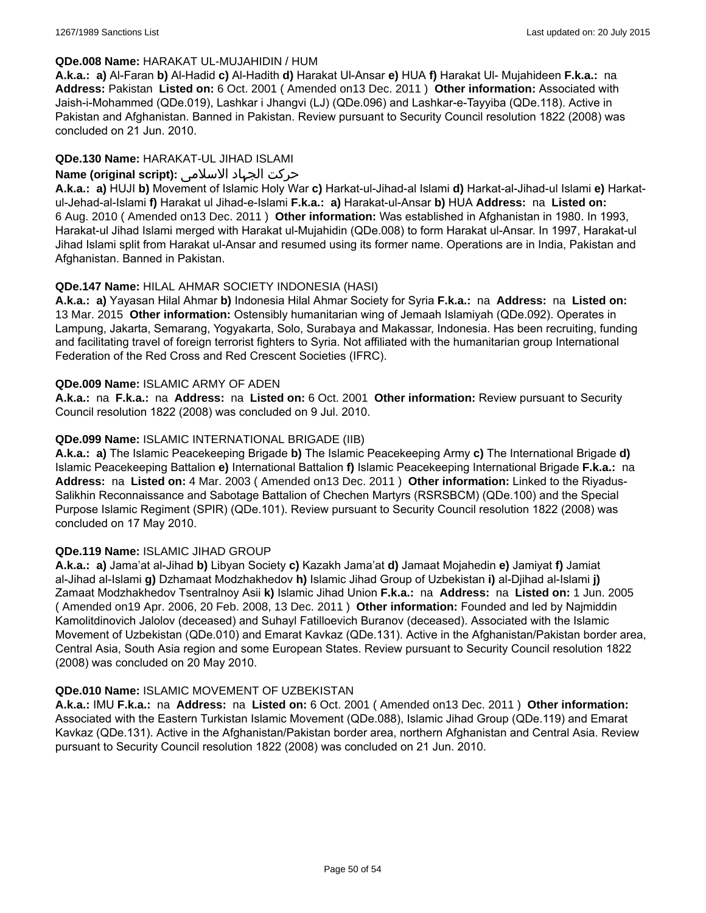### **QDe.008 Name:** HARAKAT UL-MUJAHIDIN / HUM

**A.k.a.: a)** Al-Faran **b)** Al-Hadid **c)** Al-Hadith **d)** Harakat Ul-Ansar **e)** HUA **f)** Harakat Ul- Mujahideen **F.k.a.:** na **Address:** Pakistan **Listed on:** 6 Oct. 2001 ( Amended on13 Dec. 2011 ) **Other information:** Associated with Jaish-i-Mohammed (QDe.019), Lashkar i Jhangvi (LJ) (QDe.096) and Lashkar-e-Tayyiba (QDe.118). Active in Pakistan and Afghanistan. Banned in Pakistan. Review pursuant to Security Council resolution 1822 (2008) was concluded on 21 Jun. 2010.

## **QDe.130 Name:** HARAKAT-UL JIHAD ISLAMI

### حرکت الجہاد الاسلامی **:(script original (Name**

**A.k.a.: a)** HUJI **b)** Movement of Islamic Holy War **c)** Harkat-ul-Jihad-al Islami **d)** Harkat-al-Jihad-ul Islami **e)** Harkatul-Jehad-al-Islami **f)** Harakat ul Jihad-e-Islami **F.k.a.: a)** Harakat-ul-Ansar **b)** HUA **Address:** na **Listed on:** 6 Aug. 2010 ( Amended on13 Dec. 2011 ) **Other information:** Was established in Afghanistan in 1980. In 1993, Harakat-ul Jihad Islami merged with Harakat ul-Mujahidin (QDe.008) to form Harakat ul-Ansar. In 1997, Harakat-ul Jihad Islami split from Harakat ul-Ansar and resumed using its former name. Operations are in India, Pakistan and Afghanistan. Banned in Pakistan.

### **QDe.147 Name:** HILAL AHMAR SOCIETY INDONESIA (HASI)

**A.k.a.: a)** Yayasan Hilal Ahmar **b)** Indonesia Hilal Ahmar Society for Syria **F.k.a.:** na **Address:** na **Listed on:** 13 Mar. 2015 **Other information:** Ostensibly humanitarian wing of Jemaah Islamiyah (QDe.092). Operates in Lampung, Jakarta, Semarang, Yogyakarta, Solo, Surabaya and Makassar, Indonesia. Has been recruiting, funding and facilitating travel of foreign terrorist fighters to Syria. Not affiliated with the humanitarian group International Federation of the Red Cross and Red Crescent Societies (IFRC).

### **QDe.009 Name:** ISLAMIC ARMY OF ADEN

**A.k.a.:** na **F.k.a.:** na **Address:** na **Listed on:** 6 Oct. 2001 **Other information:** Review pursuant to Security Council resolution 1822 (2008) was concluded on 9 Jul. 2010.

### **QDe.099 Name:** ISLAMIC INTERNATIONAL BRIGADE (IIB)

**A.k.a.: a)** The Islamic Peacekeeping Brigade **b)** The Islamic Peacekeeping Army **c)** The International Brigade **d)** Islamic Peacekeeping Battalion **e)** International Battalion **f)** Islamic Peacekeeping International Brigade **F.k.a.:** na **Address:** na **Listed on:** 4 Mar. 2003 ( Amended on13 Dec. 2011 ) **Other information:** Linked to the Riyadus-Salikhin Reconnaissance and Sabotage Battalion of Chechen Martyrs (RSRSBCM) (QDe.100) and the Special Purpose Islamic Regiment (SPIR) (QDe.101). Review pursuant to Security Council resolution 1822 (2008) was concluded on 17 May 2010.

### **QDe.119 Name:** ISLAMIC JIHAD GROUP

**A.k.a.: a)** Jama'at al-Jihad **b)** Libyan Society **c)** Kazakh Jama'at **d)** Jamaat Mojahedin **e)** Jamiyat **f)** Jamiat al-Jihad al-Islami **g)** Dzhamaat Modzhakhedov **h)** Islamic Jihad Group of Uzbekistan **i)** al-Djihad al-Islami **j)** Zamaat Modzhakhedov Tsentralnoy Asii **k)** Islamic Jihad Union **F.k.a.:** na **Address:** na **Listed on:** 1 Jun. 2005 ( Amended on19 Apr. 2006, 20 Feb. 2008, 13 Dec. 2011 ) **Other information:** Founded and led by Najmiddin Kamolitdinovich Jalolov (deceased) and Suhayl Fatilloevich Buranov (deceased). Associated with the Islamic Movement of Uzbekistan (QDe.010) and Emarat Kavkaz (QDe.131). Active in the Afghanistan/Pakistan border area, Central Asia, South Asia region and some European States. Review pursuant to Security Council resolution 1822 (2008) was concluded on 20 May 2010.

#### **QDe.010 Name:** ISLAMIC MOVEMENT OF UZBEKISTAN

**A.k.a.:** IMU **F.k.a.:** na **Address:** na **Listed on:** 6 Oct. 2001 ( Amended on13 Dec. 2011 ) **Other information:** Associated with the Eastern Turkistan Islamic Movement (QDe.088), Islamic Jihad Group (QDe.119) and Emarat Kavkaz (QDe.131). Active in the Afghanistan/Pakistan border area, northern Afghanistan and Central Asia. Review pursuant to Security Council resolution 1822 (2008) was concluded on 21 Jun. 2010.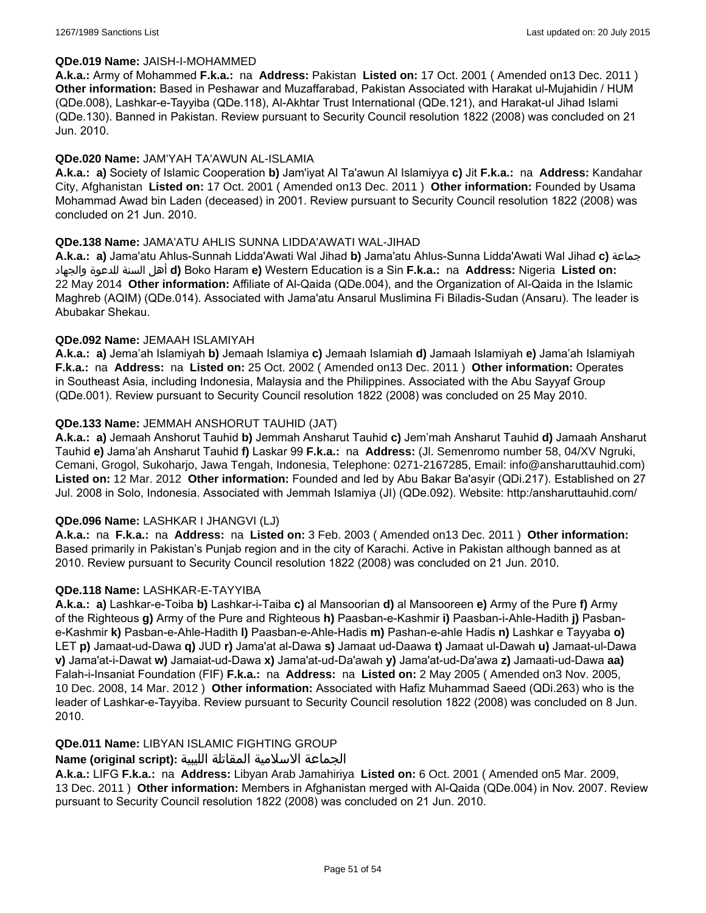### **QDe.019 Name:** JAISH-I-MOHAMMED

**A.k.a.:** Army of Mohammed **F.k.a.:** na **Address:** Pakistan **Listed on:** 17 Oct. 2001 ( Amended on13 Dec. 2011 ) **Other information:** Based in Peshawar and Muzaffarabad, Pakistan Associated with Harakat ul-Mujahidin / HUM (QDe.008), Lashkar-e-Tayyiba (QDe.118), Al-Akhtar Trust International (QDe.121), and Harakat-ul Jihad Islami (QDe.130). Banned in Pakistan. Review pursuant to Security Council resolution 1822 (2008) was concluded on 21 Jun. 2010.

### **QDe.020 Name:** JAM'YAH TA'AWUN AL-ISLAMIA

**A.k.a.: a)** Society of Islamic Cooperation **b)** Jam'iyat Al Ta'awun Al Islamiyya **c)** Jit **F.k.a.:** na **Address:** Kandahar City, Afghanistan **Listed on:** 17 Oct. 2001 ( Amended on13 Dec. 2011 ) **Other information:** Founded by Usama Mohammad Awad bin Laden (deceased) in 2001. Review pursuant to Security Council resolution 1822 (2008) was concluded on 21 Jun. 2010.

### **QDe.138 Name:** JAMA'ATU AHLIS SUNNA LIDDA'AWATI WAL-JIHAD

**A.k.a.: a)** Jama'atu Ahlus-Sunnah Lidda'Awati Wal Jihad **b)** Jama'atu Ahlus-Sunna Lidda'Awati Wal Jihad **c)** جماعة والجهاد للدعوة السنة أهل **d)** Boko Haram **e)** Western Education is a Sin **F.k.a.:** na **Address:** Nigeria **Listed on:** 22 May 2014 **Other information:** Affiliate of Al-Qaida (QDe.004), and the Organization of Al-Qaida in the Islamic Maghreb (AQIM) (QDe.014). Associated with Jama'atu Ansarul Muslimina Fi Biladis-Sudan (Ansaru). The leader is Abubakar Shekau.

### **QDe.092 Name:** JEMAAH ISLAMIYAH

**A.k.a.: a)** Jema'ah Islamiyah **b)** Jemaah Islamiya **c)** Jemaah Islamiah **d)** Jamaah Islamiyah **e)** Jama'ah Islamiyah **F.k.a.:** na **Address:** na **Listed on:** 25 Oct. 2002 ( Amended on13 Dec. 2011 ) **Other information:** Operates in Southeast Asia, including Indonesia, Malaysia and the Philippines. Associated with the Abu Sayyaf Group (QDe.001). Review pursuant to Security Council resolution 1822 (2008) was concluded on 25 May 2010.

### **QDe.133 Name:** JEMMAH ANSHORUT TAUHID (JAT)

**A.k.a.: a)** Jemaah Anshorut Tauhid **b)** Jemmah Ansharut Tauhid **c)** Jem'mah Ansharut Tauhid **d)** Jamaah Ansharut Tauhid **e)** Jama'ah Ansharut Tauhid **f)** Laskar 99 **F.k.a.:** na **Address:** (Jl. Semenromo number 58, 04/XV Ngruki, Cemani, Grogol, Sukoharjo, Jawa Tengah, Indonesia, Telephone: 0271-2167285, Email: info@ansharuttauhid.com) **Listed on:** 12 Mar. 2012 **Other information:** Founded and led by Abu Bakar Ba'asyir (QDi.217). Established on 27 Jul. 2008 in Solo, Indonesia. Associated with Jemmah Islamiya (JI) (QDe.092). Website: http:/ansharuttauhid.com/

#### **QDe.096 Name:** LASHKAR I JHANGVI (LJ)

**A.k.a.:** na **F.k.a.:** na **Address:** na **Listed on:** 3 Feb. 2003 ( Amended on13 Dec. 2011 ) **Other information:** Based primarily in Pakistan's Punjab region and in the city of Karachi. Active in Pakistan although banned as at 2010. Review pursuant to Security Council resolution 1822 (2008) was concluded on 21 Jun. 2010.

#### **QDe.118 Name:** LASHKAR-E-TAYYIBA

**A.k.a.: a)** Lashkar-e-Toiba **b)** Lashkar-i-Taiba **c)** al Mansoorian **d)** al Mansooreen **e)** Army of the Pure **f)** Army of the Righteous **g)** Army of the Pure and Righteous **h)** Paasban-e-Kashmir **i)** Paasban-i-Ahle-Hadith **j)** Pasbane-Kashmir **k)** Pasban-e-Ahle-Hadith **l)** Paasban-e-Ahle-Hadis **m)** Pashan-e-ahle Hadis **n)** Lashkar e Tayyaba **o)** LET **p)** Jamaat-ud-Dawa **q)** JUD **r)** Jama'at al-Dawa **s)** Jamaat ud-Daawa **t)** Jamaat ul-Dawah **u)** Jamaat-ul-Dawa **v)** Jama'at-i-Dawat **w)** Jamaiat-ud-Dawa **x)** Jama'at-ud-Da'awah **y)** Jama'at-ud-Da'awa **z)** Jamaati-ud-Dawa **aa)** Falah-i-Insaniat Foundation (FIF) **F.k.a.:** na **Address:** na **Listed on:** 2 May 2005 ( Amended on3 Nov. 2005, 10 Dec. 2008, 14 Mar. 2012 ) **Other information:** Associated with Hafiz Muhammad Saeed (QDi.263) who is the leader of Lashkar-e-Tayyiba. Review pursuant to Security Council resolution 1822 (2008) was concluded on 8 Jun. 2010.

### **QDe.011 Name:** LIBYAN ISLAMIC FIGHTING GROUP

# الجماعة الاسلامية المقاتلة الليبية **:(script original (Name**

**A.k.a.:** LIFG **F.k.a.:** na **Address:** Libyan Arab Jamahiriya **Listed on:** 6 Oct. 2001 ( Amended on5 Mar. 2009, 13 Dec. 2011 ) **Other information:** Members in Afghanistan merged with Al-Qaida (QDe.004) in Nov. 2007. Review pursuant to Security Council resolution 1822 (2008) was concluded on 21 Jun. 2010.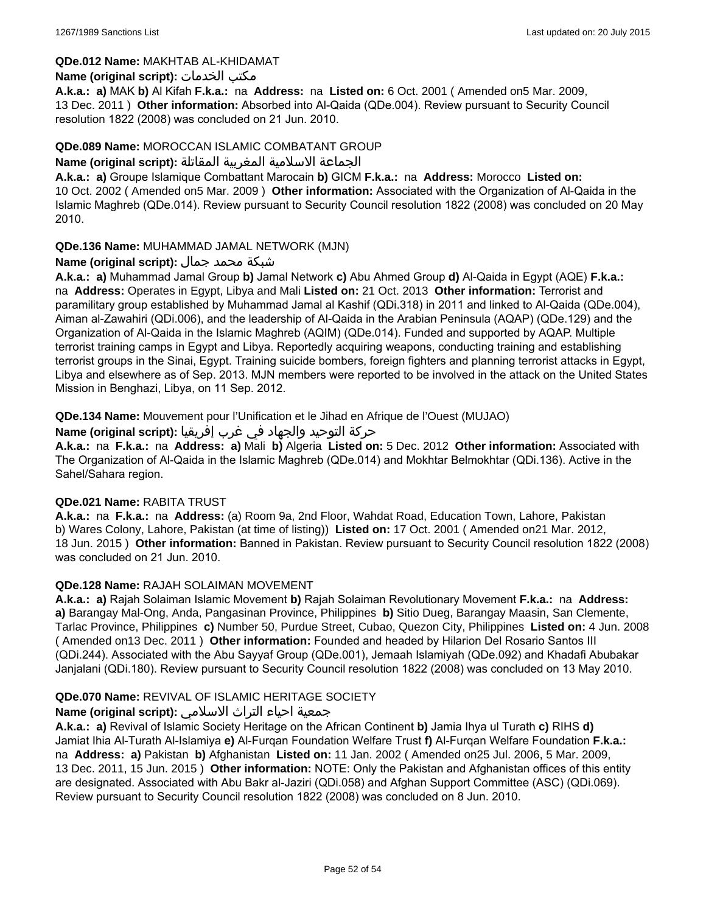### **QDe.012 Name:** MAKHTAB AL-KHIDAMAT

### **Name (original script):** الخدمات مكتب

**A.k.a.: a)** MAK **b)** Al Kifah **F.k.a.:** na **Address:** na **Listed on:** 6 Oct. 2001 ( Amended on5 Mar. 2009, 13 Dec. 2011 ) **Other information:** Absorbed into Al-Qaida (QDe.004). Review pursuant to Security Council resolution 1822 (2008) was concluded on 21 Jun. 2010.

### **QDe.089 Name:** MOROCCAN ISLAMIC COMBATANT GROUP

#### الجماعة الاسلامية المغربية المقاتلة **:(script original (Name**

**A.k.a.: a)** Groupe Islamique Combattant Marocain **b)** GICM **F.k.a.:** na **Address:** Morocco **Listed on:** 10 Oct. 2002 ( Amended on5 Mar. 2009 ) **Other information:** Associated with the Organization of Al-Qaida in the Islamic Maghreb (QDe.014). Review pursuant to Security Council resolution 1822 (2008) was concluded on 20 May 2010.

### **QDe.136 Name:** MUHAMMAD JAMAL NETWORK (MJN)

### شبكة محمد جمال **:(script original (Name**

**A.k.a.: a)** Muhammad Jamal Group **b)** Jamal Network **c)** Abu Ahmed Group **d)** Al-Qaida in Egypt (AQE) **F.k.a.:**  na **Address:** Operates in Egypt, Libya and Mali **Listed on:** 21 Oct. 2013 **Other information:** Terrorist and paramilitary group established by Muhammad Jamal al Kashif (QDi.318) in 2011 and linked to Al-Qaida (QDe.004), Aiman al-Zawahiri (QDi.006), and the leadership of Al-Qaida in the Arabian Peninsula (AQAP) (QDe.129) and the Organization of Al-Qaida in the Islamic Maghreb (AQIM) (QDe.014). Funded and supported by AQAP. Multiple terrorist training camps in Egypt and Libya. Reportedly acquiring weapons, conducting training and establishing terrorist groups in the Sinai, Egypt. Training suicide bombers, foreign fighters and planning terrorist attacks in Egypt, Libya and elsewhere as of Sep. 2013. MJN members were reported to be involved in the attack on the United States Mission in Benghazi, Libya, on 11 Sep. 2012.

**QDe.134 Name:** Mouvement pour l'Unification et le Jihad en Afrique de l'Ouest (MUJAO)

حركة التوحيد والجهاد في غرب إفريقيا **:Name (original script)** 

**A.k.a.:** na **F.k.a.:** na **Address: a)** Mali **b)** Algeria **Listed on:** 5 Dec. 2012 **Other information:** Associated with The Organization of Al-Qaida in the Islamic Maghreb (QDe.014) and Mokhtar Belmokhtar (QDi.136). Active in the Sahel/Sahara region.

### **QDe.021 Name:** RABITA TRUST

**A.k.a.:** na **F.k.a.:** na **Address:** (a) Room 9a, 2nd Floor, Wahdat Road, Education Town, Lahore, Pakistan b) Wares Colony, Lahore, Pakistan (at time of listing)) **Listed on:** 17 Oct. 2001 ( Amended on21 Mar. 2012, 18 Jun. 2015 ) **Other information:** Banned in Pakistan. Review pursuant to Security Council resolution 1822 (2008) was concluded on 21 Jun. 2010.

#### **QDe.128 Name:** RAJAH SOLAIMAN MOVEMENT

**A.k.a.: a)** Rajah Solaiman Islamic Movement **b)** Rajah Solaiman Revolutionary Movement **F.k.a.:** na **Address: a)** Barangay Mal-Ong, Anda, Pangasinan Province, Philippines **b)** Sitio Dueg, Barangay Maasin, San Clemente, Tarlac Province, Philippines **c)** Number 50, Purdue Street, Cubao, Quezon City, Philippines **Listed on:** 4 Jun. 2008 ( Amended on13 Dec. 2011 ) **Other information:** Founded and headed by Hilarion Del Rosario Santos III (QDi.244). Associated with the Abu Sayyaf Group (QDe.001), Jemaah Islamiyah (QDe.092) and Khadafi Abubakar Janjalani (QDi.180). Review pursuant to Security Council resolution 1822 (2008) was concluded on 13 May 2010.

### **QDe.070 Name:** REVIVAL OF ISLAMIC HERITAGE SOCIETY

### جمعية احياء التراث الاسلامي **:(script original (Name**

**A.k.a.: a)** Revival of Islamic Society Heritage on the African Continent **b)** Jamia Ihya ul Turath **c)** RIHS **d)** Jamiat Ihia Al-Turath Al-Islamiya **e)** Al-Furqan Foundation Welfare Trust **f)** Al-Furqan Welfare Foundation **F.k.a.:**  na **Address: a)** Pakistan **b)** Afghanistan **Listed on:** 11 Jan. 2002 ( Amended on25 Jul. 2006, 5 Mar. 2009, 13 Dec. 2011, 15 Jun. 2015 ) **Other information:** NOTE: Only the Pakistan and Afghanistan offices of this entity are designated. Associated with Abu Bakr al-Jaziri (QDi.058) and Afghan Support Committee (ASC) (QDi.069). Review pursuant to Security Council resolution 1822 (2008) was concluded on 8 Jun. 2010.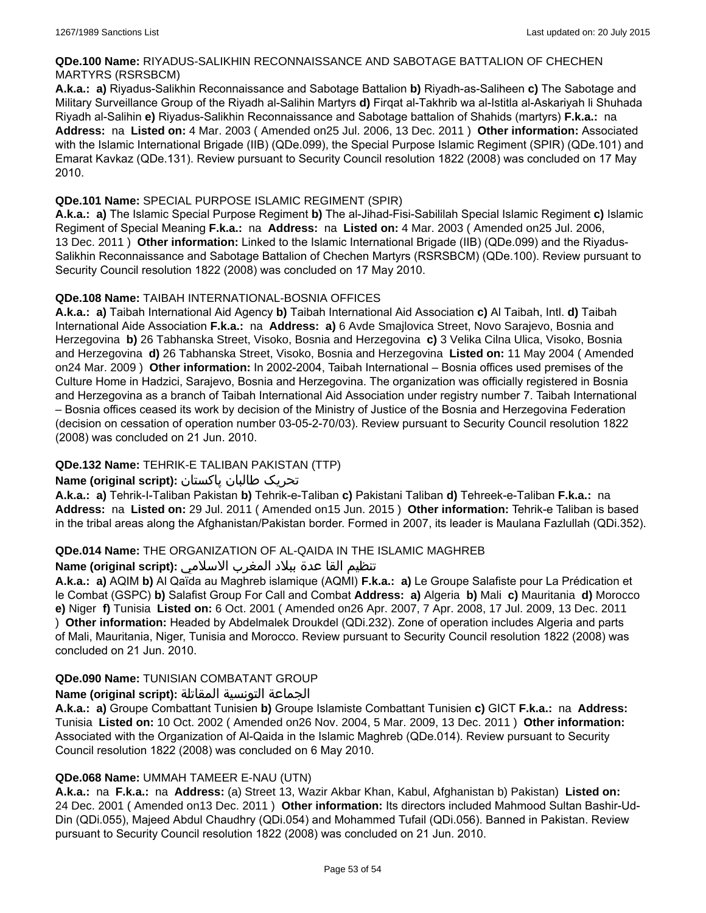### **QDe.100 Name:** RIYADUS-SALIKHIN RECONNAISSANCE AND SABOTAGE BATTALION OF CHECHEN MARTYRS (RSRSBCM)

**A.k.a.: a)** Riyadus-Salikhin Reconnaissance and Sabotage Battalion **b)** Riyadh-as-Saliheen **c)** The Sabotage and Military Surveillance Group of the Riyadh al-Salihin Martyrs **d)** Firqat al-Takhrib wa al-Istitla al-Askariyah li Shuhada Riyadh al-Salihin **e)** Riyadus-Salikhin Reconnaissance and Sabotage battalion of Shahids (martyrs) **F.k.a.:** na **Address:** na **Listed on:** 4 Mar. 2003 ( Amended on25 Jul. 2006, 13 Dec. 2011 ) **Other information:** Associated with the Islamic International Brigade (IIB) (QDe.099), the Special Purpose Islamic Regiment (SPIR) (QDe.101) and Emarat Kavkaz (QDe.131). Review pursuant to Security Council resolution 1822 (2008) was concluded on 17 May 2010.

### **QDe.101 Name:** SPECIAL PURPOSE ISLAMIC REGIMENT (SPIR)

**A.k.a.: a)** The Islamic Special Purpose Regiment **b)** The al-Jihad-Fisi-Sabililah Special Islamic Regiment **c)** Islamic Regiment of Special Meaning **F.k.a.:** na **Address:** na **Listed on:** 4 Mar. 2003 ( Amended on25 Jul. 2006, 13 Dec. 2011 ) **Other information:** Linked to the Islamic International Brigade (IIB) (QDe.099) and the Riyadus-Salikhin Reconnaissance and Sabotage Battalion of Chechen Martyrs (RSRSBCM) (QDe.100). Review pursuant to Security Council resolution 1822 (2008) was concluded on 17 May 2010.

### **QDe.108 Name:** TAIBAH INTERNATIONAL-BOSNIA OFFICES

**A.k.a.: a)** Taibah International Aid Agency **b)** Taibah International Aid Association **c)** Al Taibah, Intl. **d)** Taibah International Aide Association **F.k.a.:** na **Address: a)** 6 Avde Smajlovica Street, Novo Sarajevo, Bosnia and Herzegovina **b)** 26 Tabhanska Street, Visoko, Bosnia and Herzegovina **c)** 3 Velika Cilna Ulica, Visoko, Bosnia and Herzegovina **d)** 26 Tabhanska Street, Visoko, Bosnia and Herzegovina **Listed on:** 11 May 2004 ( Amended on24 Mar. 2009 ) **Other information:** In 2002-2004, Taibah International – Bosnia offices used premises of the Culture Home in Hadzici, Sarajevo, Bosnia and Herzegovina. The organization was officially registered in Bosnia and Herzegovina as a branch of Taibah International Aid Association under registry number 7. Taibah International – Bosnia offices ceased its work by decision of the Ministry of Justice of the Bosnia and Herzegovina Federation (decision on cessation of operation number 03-05-2-70/03). Review pursuant to Security Council resolution 1822 (2008) was concluded on 21 Jun. 2010.

## **QDe.132 Name:** TEHRIK-E TALIBAN PAKISTAN (TTP)

## تحریک طالبان پاکستان **:(script original (Name**

**A.k.a.: a)** Tehrik-I-Taliban Pakistan **b)** Tehrik-e-Taliban **c)** Pakistani Taliban **d)** Tehreek-e-Taliban **F.k.a.:** na **Address:** na **Listed on:** 29 Jul. 2011 ( Amended on15 Jun. 2015 ) **Other information:** Tehrik-e Taliban is based in the tribal areas along the Afghanistan/Pakistan border. Formed in 2007, its leader is Maulana Fazlullah (QDi.352).

### **QDe.014 Name:** THE ORGANIZATION OF AL-QAIDA IN THE ISLAMIC MAGHREB

### تنظيم القا عدة ببلاد المغرب الاسلامي **:(script original (Name**

**A.k.a.: a)** AQIM **b)** Al Qaïda au Maghreb islamique (AQMI) **F.k.a.: a)** Le Groupe Salafiste pour La Prédication et le Combat (GSPC) **b)** Salafist Group For Call and Combat **Address: a)** Algeria **b)** Mali **c)** Mauritania **d)** Morocco **e)** Niger **f)** Tunisia **Listed on:** 6 Oct. 2001 ( Amended on26 Apr. 2007, 7 Apr. 2008, 17 Jul. 2009, 13 Dec. 2011 ) **Other information:** Headed by Abdelmalek Droukdel (QDi.232). Zone of operation includes Algeria and parts of Mali, Mauritania, Niger, Tunisia and Morocco. Review pursuant to Security Council resolution 1822 (2008) was concluded on 21 Jun. 2010.

### **QDe.090 Name:** TUNISIAN COMBATANT GROUP

### الجماعة التونسية المقاتلة **:(script original (Name**

**A.k.a.: a)** Groupe Combattant Tunisien **b)** Groupe Islamiste Combattant Tunisien **c)** GICT **F.k.a.:** na **Address:** Tunisia **Listed on:** 10 Oct. 2002 ( Amended on26 Nov. 2004, 5 Mar. 2009, 13 Dec. 2011 ) **Other information:** Associated with the Organization of Al-Qaida in the Islamic Maghreb (QDe.014). Review pursuant to Security Council resolution 1822 (2008) was concluded on 6 May 2010.

### **QDe.068 Name:** UMMAH TAMEER E-NAU (UTN)

**A.k.a.:** na **F.k.a.:** na **Address:** (a) Street 13, Wazir Akbar Khan, Kabul, Afghanistan b) Pakistan) **Listed on:** 24 Dec. 2001 ( Amended on13 Dec. 2011 ) **Other information:** Its directors included Mahmood Sultan Bashir-Ud-Din (QDi.055), Majeed Abdul Chaudhry (QDi.054) and Mohammed Tufail (QDi.056). Banned in Pakistan. Review pursuant to Security Council resolution 1822 (2008) was concluded on 21 Jun. 2010.